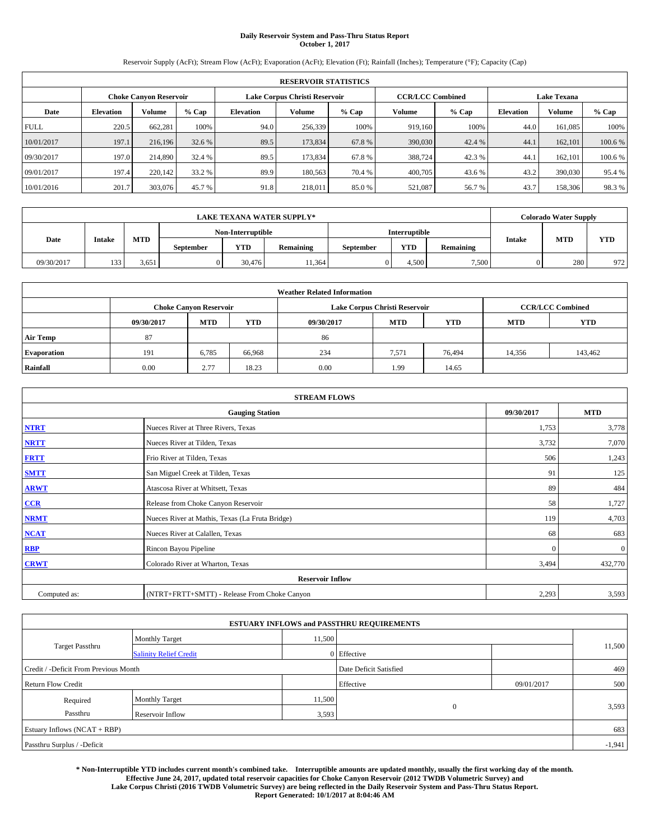# **Daily Reservoir System and Pass-Thru Status Report October 1, 2017**

Reservoir Supply (AcFt); Stream Flow (AcFt); Evaporation (AcFt); Elevation (Ft); Rainfall (Inches); Temperature (°F); Capacity (Cap)

|             | <b>RESERVOIR STATISTICS</b> |         |         |                  |                                                          |         |         |         |                    |               |        |
|-------------|-----------------------------|---------|---------|------------------|----------------------------------------------------------|---------|---------|---------|--------------------|---------------|--------|
|             | Choke Canvon Reservoir      |         |         |                  | Lake Corpus Christi Reservoir<br><b>CCR/LCC Combined</b> |         |         |         | <b>Lake Texana</b> |               |        |
| Date        | <b>Elevation</b>            | Volume  | $%$ Cap | <b>Elevation</b> | <b>Volume</b>                                            | $%$ Cap | Volume  | $%$ Cap | <b>Elevation</b>   | <b>Volume</b> | % Cap  |
| <b>FULL</b> | 220.5                       | 662,281 | 100%    | 94.0             | 256,339                                                  | 100%    | 919.160 | 100%    | 44.0               | 161.085       | 100%   |
| 10/01/2017  | 197.1                       | 216,196 | 32.6 %  | 89.5             | 173,834                                                  | 67.8%   | 390,030 | 42.4 %  | 44.                | 162,101       | 100.6% |
| 09/30/2017  | 197.0                       | 214,890 | 32.4 %  | 89.5             | 173.834                                                  | 67.8%   | 388,724 | 42.3 %  | 44.                | 162,101       | 100.6% |
| 09/01/2017  | 197.4                       | 220,142 | 33.2 %  | 89.9             | 180,563                                                  | 70.4 %  | 400,705 | 43.6 %  | 43.2               | 390,030       | 95.4%  |
| 10/01/2016  | 201.7                       | 303,076 | 45.7 %  | 91.8             | 218,011                                                  | 85.0%   | 521,087 | 56.7 %  | 43.7               | 158,306       | 98.3%  |

|            | <b>LAKE TEXANA WATER SUPPLY*</b> |            |                  |                                |       |  |                      |                  |               |            | <b>Colorado Water Supply</b> |
|------------|----------------------------------|------------|------------------|--------------------------------|-------|--|----------------------|------------------|---------------|------------|------------------------------|
|            |                                  |            |                  | Non-Interruptible              |       |  | <b>Interruptible</b> |                  |               |            |                              |
| Date       | <b>Intake</b>                    | <b>MTD</b> | <b>September</b> | <b>YTD</b><br><b>Remaining</b> |       |  | <b>YTD</b>           | <b>Remaining</b> | <b>Intake</b> | <b>MTD</b> | <b>YTD</b>                   |
| 09/30/2017 | 133                              | 3.651      |                  | 30.476                         | 1.364 |  | 4.500                | 7.500            |               | 280        | 972                          |

| <b>Weather Related Information</b> |            |                                                                                  |        |      |                               |                         |        |            |  |  |
|------------------------------------|------------|----------------------------------------------------------------------------------|--------|------|-------------------------------|-------------------------|--------|------------|--|--|
|                                    |            | <b>Choke Canyon Reservoir</b>                                                    |        |      | Lake Corpus Christi Reservoir | <b>CCR/LCC Combined</b> |        |            |  |  |
|                                    | 09/30/2017 | <b>YTD</b><br><b>MTD</b><br><b>MTD</b><br><b>YTD</b><br><b>MTD</b><br>09/30/2017 |        |      |                               |                         |        | <b>YTD</b> |  |  |
| <b>Air Temp</b>                    | 87         |                                                                                  |        | 86   |                               |                         |        |            |  |  |
| <b>Evaporation</b>                 | 191        | 6,785                                                                            | 66,968 | 234  | 7,571                         | 76,494                  | 14,356 | 143,462    |  |  |
| Rainfall                           | 0.00       | 2.77                                                                             | 18.23  | 0.00 | 1.99                          | 14.65                   |        |            |  |  |

| <b>STREAM FLOWS</b>     |                                                 |              |              |  |  |  |  |  |  |
|-------------------------|-------------------------------------------------|--------------|--------------|--|--|--|--|--|--|
|                         | <b>Gauging Station</b>                          |              |              |  |  |  |  |  |  |
| <b>NTRT</b>             | Nueces River at Three Rivers, Texas             | 1,753        | 3,778        |  |  |  |  |  |  |
| <b>NRTT</b>             | Nueces River at Tilden, Texas                   | 3,732        | 7,070        |  |  |  |  |  |  |
| <b>FRTT</b>             | Frio River at Tilden, Texas                     | 506          | 1,243        |  |  |  |  |  |  |
| <b>SMTT</b>             | San Miguel Creek at Tilden, Texas               | 91           | 125          |  |  |  |  |  |  |
| <b>ARWT</b>             | Atascosa River at Whitsett, Texas               | 89           | 484          |  |  |  |  |  |  |
| $CCR$                   | Release from Choke Canyon Reservoir             | 58           | 1,727        |  |  |  |  |  |  |
| <b>NRMT</b>             | Nueces River at Mathis, Texas (La Fruta Bridge) | 119          | 4,703        |  |  |  |  |  |  |
| <b>NCAT</b>             | Nueces River at Calallen, Texas                 | 68           | 683          |  |  |  |  |  |  |
| RBP                     | Rincon Bayou Pipeline                           | $\mathbf{0}$ | $\mathbf{0}$ |  |  |  |  |  |  |
| <b>CRWT</b>             | Colorado River at Wharton, Texas                | 3,494        | 432,770      |  |  |  |  |  |  |
| <b>Reservoir Inflow</b> |                                                 |              |              |  |  |  |  |  |  |
| Computed as:            | (NTRT+FRTT+SMTT) - Release From Choke Canyon    |              |              |  |  |  |  |  |  |

| <b>ESTUARY INFLOWS and PASSTHRU REQUIREMENTS</b> |                               |                        |             |            |        |  |  |  |  |  |
|--------------------------------------------------|-------------------------------|------------------------|-------------|------------|--------|--|--|--|--|--|
|                                                  | <b>Monthly Target</b>         | 11,500                 |             |            |        |  |  |  |  |  |
| Target Passthru                                  | <b>Salinity Relief Credit</b> |                        | 0 Effective |            | 11,500 |  |  |  |  |  |
| Credit / -Deficit From Previous Month            |                               | Date Deficit Satisfied |             | 469        |        |  |  |  |  |  |
| <b>Return Flow Credit</b>                        |                               |                        | Effective   | 09/01/2017 | 500    |  |  |  |  |  |
| Required                                         | <b>Monthly Target</b>         |                        | 11,500      |            |        |  |  |  |  |  |
| Passthru                                         | <b>Reservoir Inflow</b>       | 3,593                  | $\Omega$    |            | 3,593  |  |  |  |  |  |
| Estuary Inflows (NCAT + RBP)                     |                               |                        |             |            |        |  |  |  |  |  |
| Passthru Surplus / -Deficit                      |                               |                        |             |            |        |  |  |  |  |  |

**\* Non-Interruptible YTD includes current month's combined take. Interruptible amounts are updated monthly, usually the first working day of the month. Effective June 24, 2017, updated total reservoir capacities for Choke Canyon Reservoir (2012 TWDB Volumetric Survey) and Lake Corpus Christi (2016 TWDB Volumetric Survey) are being reflected in the Daily Reservoir System and Pass-Thru Status Report. Report Generated: 10/1/2017 at 8:04:46 AM**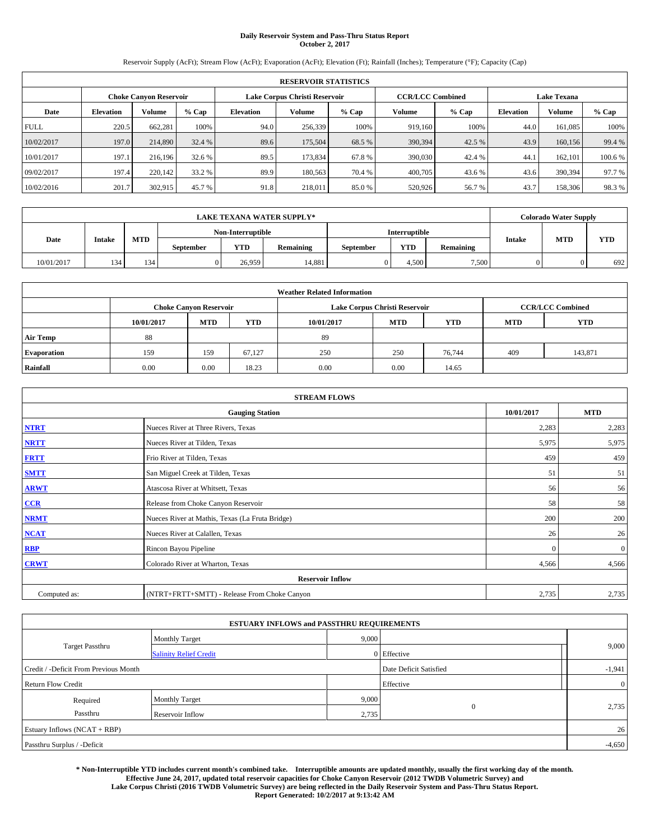# **Daily Reservoir System and Pass-Thru Status Report October 2, 2017**

Reservoir Supply (AcFt); Stream Flow (AcFt); Evaporation (AcFt); Elevation (Ft); Rainfall (Inches); Temperature (°F); Capacity (Cap)

|             | <b>RESERVOIR STATISTICS</b> |         |         |                               |               |         |                         |         |                    |               |        |
|-------------|-----------------------------|---------|---------|-------------------------------|---------------|---------|-------------------------|---------|--------------------|---------------|--------|
|             | Choke Canvon Reservoir      |         |         | Lake Corpus Christi Reservoir |               |         | <b>CCR/LCC Combined</b> |         | <b>Lake Texana</b> |               |        |
| Date        | <b>Elevation</b>            | Volume  | $%$ Cap | <b>Elevation</b>              | <b>Volume</b> | $%$ Cap | Volume                  | $%$ Cap | <b>Elevation</b>   | <b>Volume</b> | % Cap  |
| <b>FULL</b> | 220.5                       | 662,281 | 100%    | 94.0                          | 256,339       | 100%    | 919.160                 | 100%    | 44.0               | 161.085       | 100%   |
| 10/02/2017  | 197.0                       | 214,890 | 32.4 %  | 89.6                          | 175,504       | 68.5%   | 390,394                 | 42.5 %  | 43.9               | 160,156       | 99.4 % |
| 10/01/2017  | 197.1                       | 216,196 | 32.6 %  | 89.5                          | 173.834       | 67.8%   | 390,030                 | 42.4 %  | 44.                | 162,101       | 100.6% |
| 09/02/2017  | 197.4                       | 220,142 | 33.2 %  | 89.9                          | 180,563       | 70.4 %  | 400,705                 | 43.6 %  | 43.6               | 390,394       | 97.7 % |
| 10/02/2016  | 201.7                       | 302,915 | 45.7 %  | 91.8                          | 218,011       | 85.0%   | 520,926                 | 56.7 %  | 43.7               | 158,306       | 98.3%  |

|            | <b>LAKE TEXANA WATER SUPPLY*</b> |            |           |                   |                  |           |               |                  |               |            | <b>Colorado Water Supply</b> |
|------------|----------------------------------|------------|-----------|-------------------|------------------|-----------|---------------|------------------|---------------|------------|------------------------------|
|            |                                  |            |           | Non-Interruptible |                  |           | Interruptible |                  |               |            |                              |
| Date       | <b>Intake</b>                    | <b>MTD</b> | September | YTD               | <b>Remaining</b> | September | <b>YTD</b>    | <b>Remaining</b> | <b>Intake</b> | <b>MTD</b> | <b>YTD</b>                   |
| 10/01/2017 | 134                              | 134        |           | 26,959            | 14,881           |           | 4,500         | 7,500            |               |            | 692                          |

| <b>Weather Related Information</b> |            |                                                                                  |        |      |                               |                         |     |            |  |  |
|------------------------------------|------------|----------------------------------------------------------------------------------|--------|------|-------------------------------|-------------------------|-----|------------|--|--|
|                                    |            | <b>Choke Canyon Reservoir</b>                                                    |        |      | Lake Corpus Christi Reservoir | <b>CCR/LCC Combined</b> |     |            |  |  |
|                                    | 10/01/2017 | <b>YTD</b><br><b>MTD</b><br><b>MTD</b><br><b>YTD</b><br>10/01/2017<br><b>MTD</b> |        |      |                               |                         |     | <b>YTD</b> |  |  |
| <b>Air Temp</b>                    | 88         |                                                                                  |        | -89  |                               |                         |     |            |  |  |
| <b>Evaporation</b>                 | 159        | 159                                                                              | 67.127 | 250  | 250                           | 76,744                  | 409 | 143,871    |  |  |
| Rainfall                           | 0.00       | 0.00                                                                             | 18.23  | 0.00 | 0.00                          | 14.65                   |     |            |  |  |

| <b>STREAM FLOWS</b> |                                                 |            |              |  |  |  |  |  |  |
|---------------------|-------------------------------------------------|------------|--------------|--|--|--|--|--|--|
|                     | <b>Gauging Station</b>                          | 10/01/2017 | <b>MTD</b>   |  |  |  |  |  |  |
| <b>NTRT</b>         | Nueces River at Three Rivers, Texas             | 2,283      | 2,283        |  |  |  |  |  |  |
| <b>NRTT</b>         | Nueces River at Tilden, Texas                   | 5,975      | 5,975        |  |  |  |  |  |  |
| <b>FRTT</b>         | Frio River at Tilden, Texas                     | 459        | 459          |  |  |  |  |  |  |
| <b>SMTT</b>         | San Miguel Creek at Tilden, Texas               | 51         | 51           |  |  |  |  |  |  |
| <b>ARWT</b>         | Atascosa River at Whitsett, Texas               | 56         | 56           |  |  |  |  |  |  |
| CCR                 | Release from Choke Canyon Reservoir             | 58         | 58           |  |  |  |  |  |  |
| <b>NRMT</b>         | Nueces River at Mathis, Texas (La Fruta Bridge) | 200        | 200          |  |  |  |  |  |  |
| <b>NCAT</b>         | Nueces River at Calallen, Texas                 | 26         | 26           |  |  |  |  |  |  |
| <b>RBP</b>          | Rincon Bayou Pipeline                           | $\Omega$   | $\mathbf{0}$ |  |  |  |  |  |  |
| <b>CRWT</b>         | Colorado River at Wharton, Texas                | 4,566      | 4,566        |  |  |  |  |  |  |
|                     | <b>Reservoir Inflow</b>                         |            |              |  |  |  |  |  |  |
| Computed as:        | (NTRT+FRTT+SMTT) - Release From Choke Canyon    | 2,735      | 2,735        |  |  |  |  |  |  |

| <b>ESTUARY INFLOWS and PASSTHRU REQUIREMENTS</b> |                               |       |                        |  |                |  |  |  |  |
|--------------------------------------------------|-------------------------------|-------|------------------------|--|----------------|--|--|--|--|
|                                                  | <b>Monthly Target</b>         | 9,000 |                        |  |                |  |  |  |  |
| <b>Target Passthru</b>                           | <b>Salinity Relief Credit</b> |       | 0 Effective            |  | 9,000          |  |  |  |  |
| Credit / -Deficit From Previous Month            |                               |       | Date Deficit Satisfied |  | $-1,941$       |  |  |  |  |
| <b>Return Flow Credit</b>                        |                               |       | Effective              |  | $\overline{0}$ |  |  |  |  |
| Required                                         | <b>Monthly Target</b>         | 9,000 |                        |  |                |  |  |  |  |
| Passthru<br>Reservoir Inflow                     |                               | 2,735 | $\overline{0}$         |  | 2,735          |  |  |  |  |
| Estuary Inflows (NCAT + RBP)                     |                               |       |                        |  | 26             |  |  |  |  |
| Passthru Surplus / -Deficit                      |                               |       |                        |  |                |  |  |  |  |

**\* Non-Interruptible YTD includes current month's combined take. Interruptible amounts are updated monthly, usually the first working day of the month. Effective June 24, 2017, updated total reservoir capacities for Choke Canyon Reservoir (2012 TWDB Volumetric Survey) and Lake Corpus Christi (2016 TWDB Volumetric Survey) are being reflected in the Daily Reservoir System and Pass-Thru Status Report. Report Generated: 10/2/2017 at 9:13:42 AM**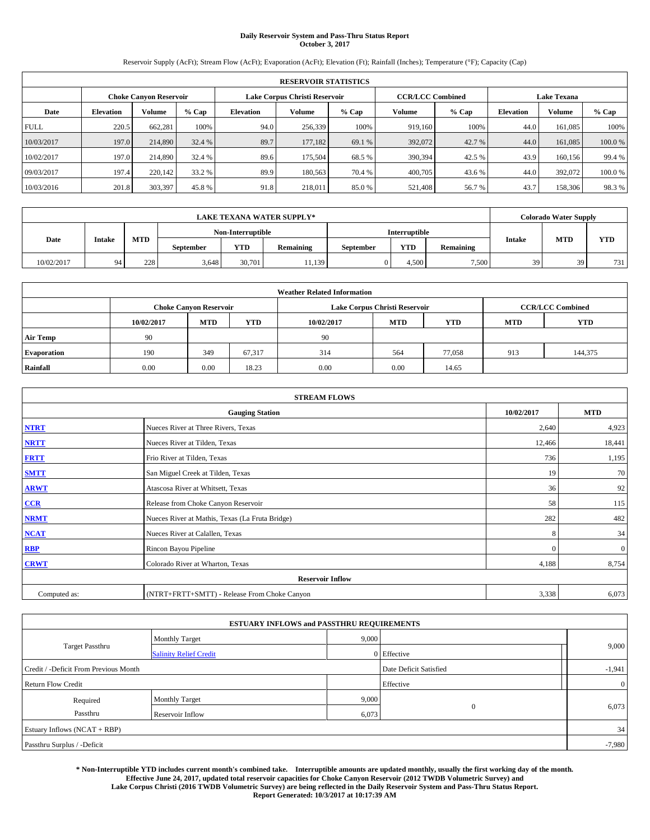# **Daily Reservoir System and Pass-Thru Status Report October 3, 2017**

Reservoir Supply (AcFt); Stream Flow (AcFt); Evaporation (AcFt); Elevation (Ft); Rainfall (Inches); Temperature (°F); Capacity (Cap)

| <b>RESERVOIR STATISTICS</b> |                               |         |         |           |                               |         |                         |         |                    |               |        |
|-----------------------------|-------------------------------|---------|---------|-----------|-------------------------------|---------|-------------------------|---------|--------------------|---------------|--------|
|                             | <b>Choke Canyon Reservoir</b> |         |         |           | Lake Corpus Christi Reservoir |         | <b>CCR/LCC Combined</b> |         | <b>Lake Texana</b> |               |        |
| Date                        | <b>Elevation</b>              | Volume  | $%$ Cap | Elevation | Volume                        | $%$ Cap | Volume                  | $%$ Cap | <b>Elevation</b>   | <b>Volume</b> | % Cap  |
| <b>FULL</b>                 | 220.5                         | 662,281 | 100%    | 94.0      | 256,339                       | 100%    | 919.160                 | 100%    | 44.0               | 161.085       | 100%   |
| 10/03/2017                  | 197.0                         | 214,890 | 32.4 %  | 89.7      | 177.182                       | 69.1 %  | 392,072                 | 42.7 %  | 44.0               | 161,085       | 100.0% |
| 10/02/2017                  | 197.0                         | 214,890 | 32.4 %  | 89.6      | 175,504                       | 68.5 %  | 390,394                 | 42.5 %  | 43.9               | 160,156       | 99.4 % |
| 09/03/2017                  | 197.4                         | 220,142 | 33.2 %  | 89.9      | 180,563                       | 70.4 %  | 400,705                 | 43.6%   | 44.0               | 392,072       | 100.0% |
| 10/03/2016                  | 201.8                         | 303,397 | 45.8%   | 91.8      | 218,011                       | 85.0%   | 521,408                 | 56.7 %  | 43.7               | 158,306       | 98.3%  |

|            | <b>LAKE TEXANA WATER SUPPLY*</b> |            |                   |        |                  |           |                      |           |               | <b>Colorado Water Supply</b> |            |  |
|------------|----------------------------------|------------|-------------------|--------|------------------|-----------|----------------------|-----------|---------------|------------------------------|------------|--|
|            |                                  |            | Non-Interruptible |        |                  |           | <b>Interruptible</b> |           |               |                              |            |  |
| Date       | <b>Intake</b>                    | <b>MTD</b> | September         | YTD    | <b>Remaining</b> | September | <b>YTD</b>           | Remaining | <b>Intake</b> | <b>MTD</b>                   | <b>YTD</b> |  |
| 10/02/2017 | 94                               | 228        | 3,648             | 30,701 | 11,139           |           | 4.500                | 7,500     | 39            | 39                           | 731        |  |

| <b>Weather Related Information</b> |            |                               |            |            |                                                      |                         |     |         |  |  |
|------------------------------------|------------|-------------------------------|------------|------------|------------------------------------------------------|-------------------------|-----|---------|--|--|
|                                    |            | <b>Choke Canyon Reservoir</b> |            |            | Lake Corpus Christi Reservoir                        | <b>CCR/LCC Combined</b> |     |         |  |  |
|                                    | 10/02/2017 | <b>MTD</b>                    | <b>YTD</b> | 10/02/2017 | <b>YTD</b><br><b>MTD</b><br><b>YTD</b><br><b>MTD</b> |                         |     |         |  |  |
| <b>Air Temp</b>                    | 90         |                               |            | 90         |                                                      |                         |     |         |  |  |
| <b>Evaporation</b>                 | 190        | 349                           | 67,317     | 314        | 564                                                  | 77,058                  | 913 | 144,375 |  |  |
| Rainfall                           | 0.00       | 0.00                          | 18.23      | 0.00       | 0.00                                                 | 14.65                   |     |         |  |  |

| <b>STREAM FLOWS</b> |                                                 |            |              |  |  |  |  |  |  |
|---------------------|-------------------------------------------------|------------|--------------|--|--|--|--|--|--|
|                     | 10/02/2017                                      | <b>MTD</b> |              |  |  |  |  |  |  |
| <b>NTRT</b>         | Nueces River at Three Rivers, Texas             | 2,640      | 4,923        |  |  |  |  |  |  |
| <b>NRTT</b>         | Nueces River at Tilden, Texas                   | 12,466     | 18,441       |  |  |  |  |  |  |
| <b>FRTT</b>         | Frio River at Tilden, Texas                     | 736        | 1,195        |  |  |  |  |  |  |
| <b>SMTT</b>         | San Miguel Creek at Tilden, Texas               | 19         | 70           |  |  |  |  |  |  |
| <b>ARWT</b>         | Atascosa River at Whitsett, Texas               | 36         | 92           |  |  |  |  |  |  |
| $CCR$               | Release from Choke Canyon Reservoir             | 58         | 115          |  |  |  |  |  |  |
| <b>NRMT</b>         | Nueces River at Mathis, Texas (La Fruta Bridge) | 282        | 482          |  |  |  |  |  |  |
| <b>NCAT</b>         | Nueces River at Calallen, Texas                 | 8          | 34           |  |  |  |  |  |  |
| RBP                 | Rincon Bayou Pipeline                           | $\Omega$   | $\mathbf{0}$ |  |  |  |  |  |  |
| <b>CRWT</b>         | Colorado River at Wharton, Texas                | 4,188      | 8,754        |  |  |  |  |  |  |
|                     | <b>Reservoir Inflow</b>                         |            |              |  |  |  |  |  |  |
| Computed as:        | (NTRT+FRTT+SMTT) - Release From Choke Canyon    | 3,338      | 6,073        |  |  |  |  |  |  |

|                                       |                               | <b>ESTUARY INFLOWS and PASSTHRU REQUIREMENTS</b> |                        |  |                |  |  |
|---------------------------------------|-------------------------------|--------------------------------------------------|------------------------|--|----------------|--|--|
|                                       | <b>Monthly Target</b>         |                                                  | 9,000                  |  |                |  |  |
| <b>Target Passthru</b>                | <b>Salinity Relief Credit</b> |                                                  | 0 Effective            |  | 9,000          |  |  |
| Credit / -Deficit From Previous Month |                               |                                                  | Date Deficit Satisfied |  | $-1,941$       |  |  |
| <b>Return Flow Credit</b>             |                               |                                                  | Effective              |  | $\overline{0}$ |  |  |
| Required                              | <b>Monthly Target</b>         | 9,000                                            |                        |  |                |  |  |
| Passthru<br>Reservoir Inflow          |                               | 6,073                                            | $\overline{0}$         |  | 6,073          |  |  |
| Estuary Inflows (NCAT + RBP)          |                               |                                                  |                        |  |                |  |  |
| Passthru Surplus / -Deficit           |                               |                                                  |                        |  |                |  |  |

**\* Non-Interruptible YTD includes current month's combined take. Interruptible amounts are updated monthly, usually the first working day of the month. Effective June 24, 2017, updated total reservoir capacities for Choke Canyon Reservoir (2012 TWDB Volumetric Survey) and Lake Corpus Christi (2016 TWDB Volumetric Survey) are being reflected in the Daily Reservoir System and Pass-Thru Status Report. Report Generated: 10/3/2017 at 10:17:39 AM**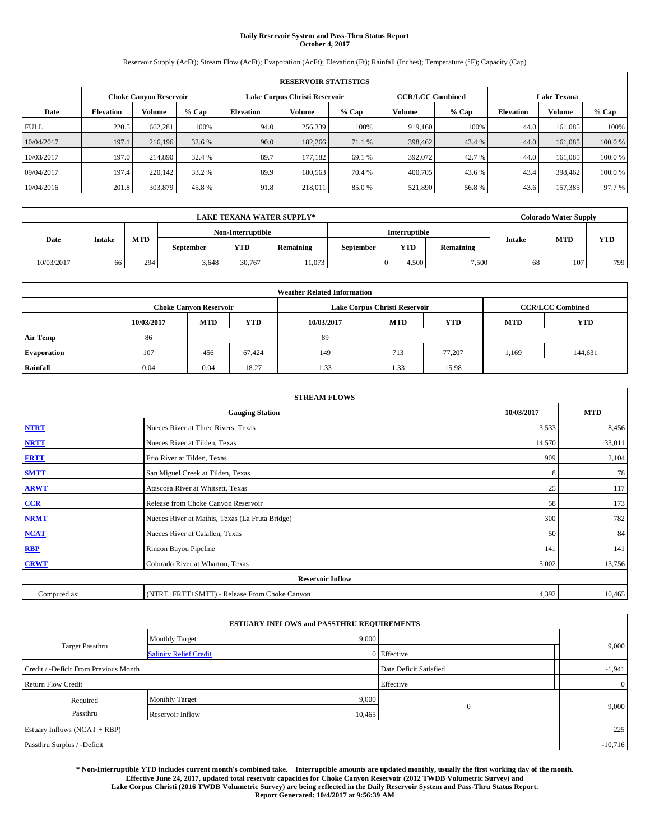# **Daily Reservoir System and Pass-Thru Status Report October 4, 2017**

Reservoir Supply (AcFt); Stream Flow (AcFt); Evaporation (AcFt); Elevation (Ft); Rainfall (Inches); Temperature (°F); Capacity (Cap)

| <b>RESERVOIR STATISTICS</b> |                  |                        |         |                  |                               |         |                         |         |                  |                    |        |
|-----------------------------|------------------|------------------------|---------|------------------|-------------------------------|---------|-------------------------|---------|------------------|--------------------|--------|
|                             |                  | Choke Canvon Reservoir |         |                  | Lake Corpus Christi Reservoir |         | <b>CCR/LCC Combined</b> |         |                  | <b>Lake Texana</b> |        |
| Date                        | <b>Elevation</b> | Volume                 | $%$ Cap | <b>Elevation</b> | <b>Volume</b>                 | $%$ Cap | Volume                  | $%$ Cap | <b>Elevation</b> | <b>Volume</b>      | % Cap  |
| <b>FULL</b>                 | 220.5            | 662,281                | 100%    | 94.0             | 256,339                       | 100%    | 919.160                 | 100%    | 44.0             | 161.085            | 100%   |
| 10/04/2017                  | 197.1            | 216,196                | 32.6 %  | 90.0             | 182,266                       | 71.1 %  | 398,462                 | 43.4 %  | 44.0             | 161,085            | 100.0% |
| 10/03/2017                  | 197.0            | 214,890                | 32.4 %  | 89.7             | 177.182                       | 69.1 %  | 392,072                 | 42.7 %  | 44.0             | 161.085            | 100.0% |
| 09/04/2017                  | 197.4            | 220,142                | 33.2 %  | 89.9             | 180,563                       | 70.4 %  | 400,705                 | 43.6 %  | 43.4             | 398,462            | 100.0% |
| 10/04/2016                  | 201.8            | 303,879                | 45.8%   | 91.8             | 218,011                       | 85.0%   | 521,890                 | 56.8%   | 43.6             | 157.385            | 97.7 % |

| <b>LAKE TEXANA WATER SUPPLY*</b> |                   |            |           |        |                  |               |            |                  |    | <b>Colorado Water Supply</b> |     |
|----------------------------------|-------------------|------------|-----------|--------|------------------|---------------|------------|------------------|----|------------------------------|-----|
|                                  | Non-Interruptible |            |           |        |                  | Interruptible |            |                  |    | <b>YTD</b>                   |     |
| Date                             | <b>Intake</b>     | <b>MTD</b> | September | YTD    | <b>Remaining</b> | September     | <b>YTD</b> | <b>Remaining</b> |    | <b>MTD</b><br><b>Intake</b>  |     |
| 10/03/2017                       | 66                | 294        | 3,648     | 30,767 | 11,073           |               | 4.500      | 7,500            | 68 | 107                          | 799 |

| <b>Weather Related Information</b> |            |                               |            |            |                                                      |                         |       |         |  |
|------------------------------------|------------|-------------------------------|------------|------------|------------------------------------------------------|-------------------------|-------|---------|--|
|                                    |            | <b>Choke Canyon Reservoir</b> |            |            | Lake Corpus Christi Reservoir                        | <b>CCR/LCC Combined</b> |       |         |  |
|                                    | 10/03/2017 | <b>MTD</b>                    | <b>YTD</b> | 10/03/2017 | <b>YTD</b><br><b>MTD</b><br><b>YTD</b><br><b>MTD</b> |                         |       |         |  |
| <b>Air Temp</b>                    | 86         |                               |            | -89        |                                                      |                         |       |         |  |
| <b>Evaporation</b>                 | 107        | 456                           | 67.424     | 149        | 713                                                  | 77.207                  | 1,169 | 144,631 |  |
| Rainfall                           | 0.04       | 0.04                          | 18.27      | 1.33       | 1.33                                                 | 15.98                   |       |         |  |

| <b>STREAM FLOWS</b> |                                                 |            |        |  |  |  |  |  |  |
|---------------------|-------------------------------------------------|------------|--------|--|--|--|--|--|--|
|                     | 10/03/2017                                      | <b>MTD</b> |        |  |  |  |  |  |  |
| <b>NTRT</b>         | Nueces River at Three Rivers, Texas             | 3,533      | 8,456  |  |  |  |  |  |  |
| <b>NRTT</b>         | Nueces River at Tilden, Texas                   | 14,570     | 33,011 |  |  |  |  |  |  |
| <b>FRTT</b>         | Frio River at Tilden, Texas                     | 909        | 2,104  |  |  |  |  |  |  |
| <b>SMTT</b>         | San Miguel Creek at Tilden, Texas               | 8          | 78     |  |  |  |  |  |  |
| <b>ARWT</b>         | Atascosa River at Whitsett, Texas               | 25         | 117    |  |  |  |  |  |  |
| $CCR$               | Release from Choke Canyon Reservoir             | 58         | 173    |  |  |  |  |  |  |
| <b>NRMT</b>         | Nueces River at Mathis, Texas (La Fruta Bridge) | 300        | 782    |  |  |  |  |  |  |
| <b>NCAT</b>         | Nueces River at Calallen, Texas                 | 50         | 84     |  |  |  |  |  |  |
| RBP                 | Rincon Bayou Pipeline                           | 141        | 141    |  |  |  |  |  |  |
| <b>CRWT</b>         | Colorado River at Wharton, Texas                | 5,002      | 13,756 |  |  |  |  |  |  |
|                     | <b>Reservoir Inflow</b>                         |            |        |  |  |  |  |  |  |
| Computed as:        | (NTRT+FRTT+SMTT) - Release From Choke Canyon    | 4,392      | 10,465 |  |  |  |  |  |  |

| <b>ESTUARY INFLOWS and PASSTHRU REQUIREMENTS</b> |                               |           |                        |                |  |  |  |  |  |  |
|--------------------------------------------------|-------------------------------|-----------|------------------------|----------------|--|--|--|--|--|--|
|                                                  | <b>Monthly Target</b>         | 9,000     |                        |                |  |  |  |  |  |  |
| Target Passthru                                  | <b>Salinity Relief Credit</b> |           | 0 Effective            | 9,000          |  |  |  |  |  |  |
| Credit / -Deficit From Previous Month            |                               |           | Date Deficit Satisfied | $-1,941$       |  |  |  |  |  |  |
| <b>Return Flow Credit</b>                        |                               |           | Effective              | $\overline{0}$ |  |  |  |  |  |  |
| Required                                         | <b>Monthly Target</b>         | 9,000     |                        |                |  |  |  |  |  |  |
| Passthru<br>Reservoir Inflow                     |                               | 10,465    | $\Omega$               | 9,000          |  |  |  |  |  |  |
| Estuary Inflows (NCAT + RBP)                     |                               |           |                        | 225            |  |  |  |  |  |  |
| Passthru Surplus / -Deficit                      |                               | $-10,716$ |                        |                |  |  |  |  |  |  |

**\* Non-Interruptible YTD includes current month's combined take. Interruptible amounts are updated monthly, usually the first working day of the month. Effective June 24, 2017, updated total reservoir capacities for Choke Canyon Reservoir (2012 TWDB Volumetric Survey) and Lake Corpus Christi (2016 TWDB Volumetric Survey) are being reflected in the Daily Reservoir System and Pass-Thru Status Report. Report Generated: 10/4/2017 at 9:56:39 AM**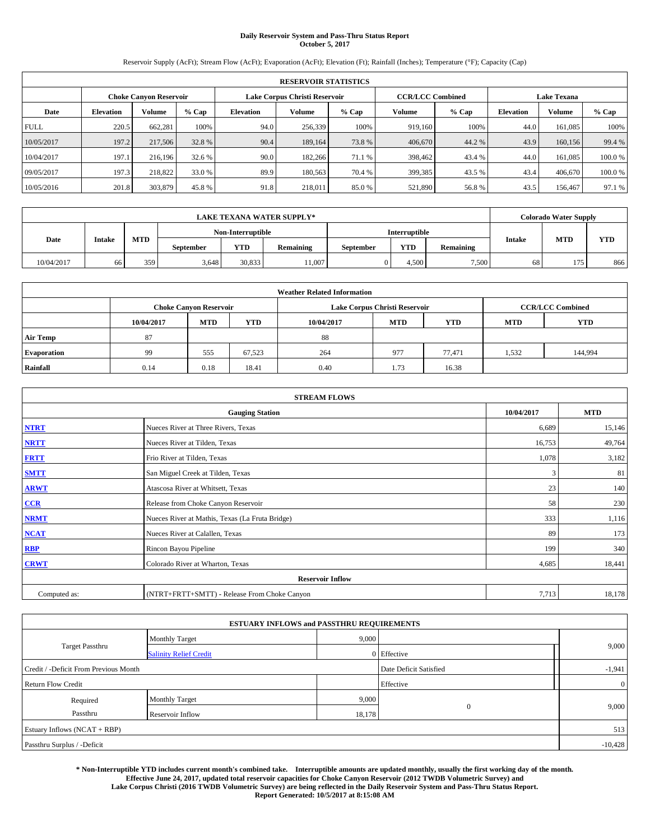# **Daily Reservoir System and Pass-Thru Status Report October 5, 2017**

Reservoir Supply (AcFt); Stream Flow (AcFt); Evaporation (AcFt); Elevation (Ft); Rainfall (Inches); Temperature (°F); Capacity (Cap)

| <b>RESERVOIR STATISTICS</b> |                  |                        |         |                  |                               |         |                         |         |                  |                    |        |
|-----------------------------|------------------|------------------------|---------|------------------|-------------------------------|---------|-------------------------|---------|------------------|--------------------|--------|
|                             |                  | Choke Canvon Reservoir |         |                  | Lake Corpus Christi Reservoir |         | <b>CCR/LCC Combined</b> |         |                  | <b>Lake Texana</b> |        |
| Date                        | <b>Elevation</b> | Volume                 | $%$ Cap | <b>Elevation</b> | <b>Volume</b>                 | $%$ Cap | Volume                  | $%$ Cap | <b>Elevation</b> | <b>Volume</b>      | % Cap  |
| <b>FULL</b>                 | 220.5            | 662,281                | 100%    | 94.0             | 256,339                       | 100%    | 919.160                 | 100%    | 44.0             | 161.085            | 100%   |
| 10/05/2017                  | 197.2            | 217,506                | 32.8 %  | 90.4             | 189.164                       | 73.8%   | 406,670                 | 44.2%   | 43.9             | 160,156            | 99.4 % |
| 10/04/2017                  | 197.1            | 216,196                | 32.6 %  | 90.0             | 182,266                       | 71.1 %  | 398,462                 | 43.4 %  | 44.0             | 161.085            | 100.0% |
| 09/05/2017                  | 197.3            | 218,822                | 33.0 %  | 89.9             | 180,563                       | 70.4 %  | 399,385                 | 43.5 %  | 43.4             | 406,670            | 100.0% |
| 10/05/2016                  | 201.8            | 303,879                | 45.8%   | 91.8             | 218,011                       | 85.0%   | 521,890                 | 56.8%   | 43.5             | 156,467            | 97.1 % |

| <b>LAKE TEXANA WATER SUPPLY*</b> |               |     |           |                   |           |           |               |           | <b>Colorado Water Supply</b> |                             |            |
|----------------------------------|---------------|-----|-----------|-------------------|-----------|-----------|---------------|-----------|------------------------------|-----------------------------|------------|
|                                  |               |     |           | Non-Interruptible |           |           | Interruptible |           |                              |                             | <b>YTD</b> |
| Date                             | <b>Intake</b> | MTD | September | YTD               | Remaining | September | YTD           | Remaining |                              | <b>MTD</b><br><b>Intake</b> |            |
| 10/04/2017                       | 66            | 359 | 3,648     | 30,833            | 11,007    |           | 4,500         | 7,500     | 68                           | 175                         | 866        |

| <b>Weather Related Information</b> |            |                               |            |            |                                                      |                         |       |         |  |  |
|------------------------------------|------------|-------------------------------|------------|------------|------------------------------------------------------|-------------------------|-------|---------|--|--|
|                                    |            | <b>Choke Canyon Reservoir</b> |            |            | Lake Corpus Christi Reservoir                        | <b>CCR/LCC Combined</b> |       |         |  |  |
|                                    | 10/04/2017 | <b>MTD</b>                    | <b>YTD</b> | 10/04/2017 | <b>YTD</b><br><b>MTD</b><br><b>YTD</b><br><b>MTD</b> |                         |       |         |  |  |
| <b>Air Temp</b>                    | 87         |                               |            | 88         |                                                      |                         |       |         |  |  |
| <b>Evaporation</b>                 | 99         | 555                           | 67,523     | 264        | 977                                                  | 77.471                  | 1,532 | 144,994 |  |  |
| Rainfall                           | 0.14       | 0.18                          | 18.41      | 0.40       | 1.73                                                 | 16.38                   |       |         |  |  |

| <b>STREAM FLOWS</b> |                                                 |            |        |  |  |  |  |  |  |
|---------------------|-------------------------------------------------|------------|--------|--|--|--|--|--|--|
|                     | 10/04/2017                                      | <b>MTD</b> |        |  |  |  |  |  |  |
| <b>NTRT</b>         | Nueces River at Three Rivers, Texas             | 6,689      | 15,146 |  |  |  |  |  |  |
| <b>NRTT</b>         | Nueces River at Tilden, Texas                   | 16,753     | 49,764 |  |  |  |  |  |  |
| <b>FRTT</b>         | Frio River at Tilden, Texas                     | 1,078      | 3,182  |  |  |  |  |  |  |
| <b>SMTT</b>         | San Miguel Creek at Tilden, Texas               | 3          | 81     |  |  |  |  |  |  |
| <b>ARWT</b>         | Atascosa River at Whitsett, Texas               | 23         | 140    |  |  |  |  |  |  |
| $CCR$               | Release from Choke Canyon Reservoir             | 58         | 230    |  |  |  |  |  |  |
| <b>NRMT</b>         | Nueces River at Mathis, Texas (La Fruta Bridge) | 333        | 1,116  |  |  |  |  |  |  |
| <b>NCAT</b>         | Nueces River at Calallen, Texas                 | 89         | 173    |  |  |  |  |  |  |
| RBP                 | Rincon Bayou Pipeline                           | 199        | 340    |  |  |  |  |  |  |
| <b>CRWT</b>         | Colorado River at Wharton, Texas                | 4,685      | 18,441 |  |  |  |  |  |  |
|                     | <b>Reservoir Inflow</b>                         |            |        |  |  |  |  |  |  |
| Computed as:        | (NTRT+FRTT+SMTT) - Release From Choke Canyon    | 7,713      | 18,178 |  |  |  |  |  |  |

|                                       | <b>ESTUARY INFLOWS and PASSTHRU REQUIREMENTS</b> |        |                        |                |
|---------------------------------------|--------------------------------------------------|--------|------------------------|----------------|
|                                       | <b>Monthly Target</b>                            | 9,000  |                        |                |
| Target Passthru                       | <b>Salinity Relief Credit</b>                    |        | 0 Effective            | 9,000          |
| Credit / -Deficit From Previous Month |                                                  |        | Date Deficit Satisfied | $-1,941$       |
| <b>Return Flow Credit</b>             |                                                  |        | Effective              | $\overline{0}$ |
| Required                              | <b>Monthly Target</b>                            | 9,000  |                        |                |
| Passthru                              | Reservoir Inflow                                 | 18,178 | $\Omega$               | 9,000          |
| Estuary Inflows (NCAT + RBP)          |                                                  |        |                        | 513            |
| Passthru Surplus / -Deficit           |                                                  |        |                        | $-10,428$      |

**\* Non-Interruptible YTD includes current month's combined take. Interruptible amounts are updated monthly, usually the first working day of the month. Effective June 24, 2017, updated total reservoir capacities for Choke Canyon Reservoir (2012 TWDB Volumetric Survey) and Lake Corpus Christi (2016 TWDB Volumetric Survey) are being reflected in the Daily Reservoir System and Pass-Thru Status Report. Report Generated: 10/5/2017 at 8:15:08 AM**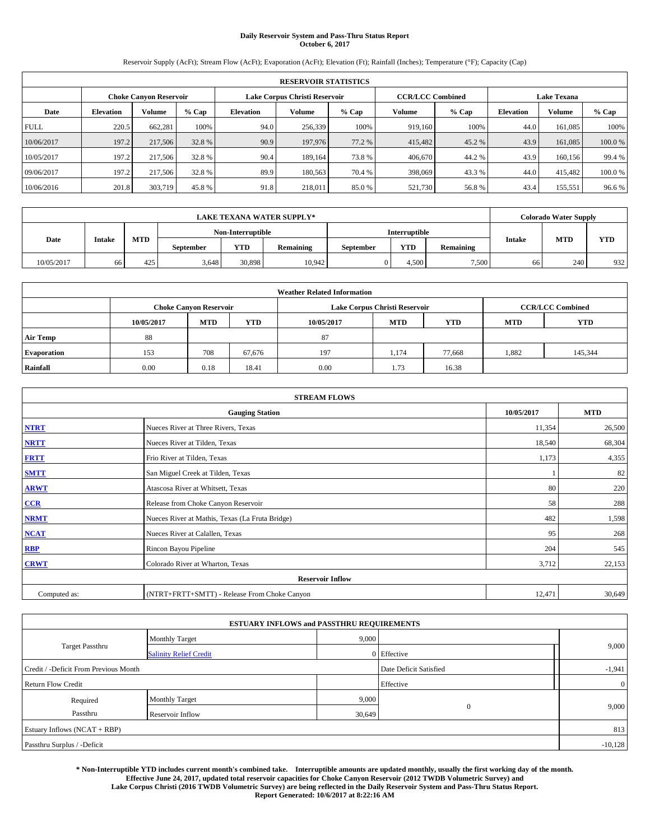# **Daily Reservoir System and Pass-Thru Status Report October 6, 2017**

Reservoir Supply (AcFt); Stream Flow (AcFt); Evaporation (AcFt); Elevation (Ft); Rainfall (Inches); Temperature (°F); Capacity (Cap)

|             | <b>RESERVOIR STATISTICS</b> |                        |         |                  |                               |         |                         |         |                  |                    |        |  |
|-------------|-----------------------------|------------------------|---------|------------------|-------------------------------|---------|-------------------------|---------|------------------|--------------------|--------|--|
|             |                             | Choke Canvon Reservoir |         |                  | Lake Corpus Christi Reservoir |         | <b>CCR/LCC Combined</b> |         |                  | <b>Lake Texana</b> |        |  |
| Date        | <b>Elevation</b>            | Volume                 | $%$ Cap | <b>Elevation</b> | <b>Volume</b>                 | $%$ Cap | Volume                  | $%$ Cap | <b>Elevation</b> | <b>Volume</b>      | % Cap  |  |
| <b>FULL</b> | 220.5                       | 662,281                | 100%    | 94.0             | 256,339                       | 100%    | 919.160                 | 100%    | 44.0             | 161.085            | 100%   |  |
| 10/06/2017  | 197.2                       | 217,506                | 32.8 %  | 90.9             | 197,976                       | 77.2 %  | 415,482                 | 45.2 %  | 43.9             | 161,085            | 100.0% |  |
| 10/05/2017  | 197.2                       | 217,506                | 32.8 %  | 90.4             | 189.164                       | 73.8%   | 406,670                 | 44.2%   | 43.9             | 160.156            | 99.4 % |  |
| 09/06/2017  | 197.2                       | 217,506                | 32.8 %  | 89.9             | 180,563                       | 70.4 %  | 398,069                 | 43.3 %  | 44.0             | 415,482            | 100.0% |  |
| 10/06/2016  | 201.8                       | 303,719                | 45.8%   | 91.8             | 218,011                       | 85.0%   | 521,730                 | 56.8%   | 43.4             | 155,551            | 96.6%  |  |

|            | <b>LAKE TEXANA WATER SUPPLY*</b><br>Non-Interruptible<br>Interruptible |     |           |        |           |           |       |           | <b>Colorado Water Supply</b> |     |            |
|------------|------------------------------------------------------------------------|-----|-----------|--------|-----------|-----------|-------|-----------|------------------------------|-----|------------|
|            |                                                                        |     |           |        |           |           |       |           |                              |     |            |
| Date       | <b>Intake</b>                                                          | MTD | September | YTD    | Remaining | September | YTD   | Remaining | <b>MTD</b><br><b>Intake</b>  |     | <b>YTD</b> |
| 10/05/2017 | 66                                                                     | 425 | 3,648     | 30,898 | 10,942    |           | 4,500 | 7,500     | 66                           | 240 | 932        |

| <b>Weather Related Information</b> |                                                                                           |            |            |            |            |            |            |            |  |  |
|------------------------------------|-------------------------------------------------------------------------------------------|------------|------------|------------|------------|------------|------------|------------|--|--|
|                                    | <b>CCR/LCC Combined</b><br><b>Choke Canyon Reservoir</b><br>Lake Corpus Christi Reservoir |            |            |            |            |            |            |            |  |  |
|                                    | 10/05/2017                                                                                | <b>MTD</b> | <b>YTD</b> | 10/05/2017 | <b>MTD</b> | <b>YTD</b> | <b>MTD</b> | <b>YTD</b> |  |  |
| <b>Air Temp</b>                    | 88                                                                                        |            |            | 87         |            |            |            |            |  |  |
| <b>Evaporation</b>                 | 153                                                                                       | 708        | 67,676     | 197        | 1,174      | 77,668     | 1,882      | 145,344    |  |  |
| Rainfall                           | 0.00                                                                                      | 0.18       | 18.41      | 0.00       | 1.73       | 16.38      |            |            |  |  |

|              | <b>STREAM FLOWS</b>                             |            |            |  |  |  |  |  |  |  |
|--------------|-------------------------------------------------|------------|------------|--|--|--|--|--|--|--|
|              | <b>Gauging Station</b>                          | 10/05/2017 | <b>MTD</b> |  |  |  |  |  |  |  |
| <b>NTRT</b>  | Nueces River at Three Rivers, Texas             | 11,354     | 26,500     |  |  |  |  |  |  |  |
| <b>NRTT</b>  | Nueces River at Tilden, Texas                   | 18,540     | 68,304     |  |  |  |  |  |  |  |
| <b>FRTT</b>  | Frio River at Tilden, Texas                     | 1,173      | 4,355      |  |  |  |  |  |  |  |
| <b>SMTT</b>  | San Miguel Creek at Tilden, Texas               |            | 82         |  |  |  |  |  |  |  |
| <b>ARWT</b>  | Atascosa River at Whitsett, Texas               | 80         | 220        |  |  |  |  |  |  |  |
| $CCR$        | Release from Choke Canyon Reservoir             | 58         | 288        |  |  |  |  |  |  |  |
| <b>NRMT</b>  | Nueces River at Mathis, Texas (La Fruta Bridge) | 482        | 1,598      |  |  |  |  |  |  |  |
| <b>NCAT</b>  | Nueces River at Calallen, Texas                 | 95         | 268        |  |  |  |  |  |  |  |
| RBP          | Rincon Bayou Pipeline                           | 204        | 545        |  |  |  |  |  |  |  |
| <b>CRWT</b>  | Colorado River at Wharton, Texas                | 3,712      | 22,153     |  |  |  |  |  |  |  |
|              | <b>Reservoir Inflow</b>                         |            |            |  |  |  |  |  |  |  |
| Computed as: | (NTRT+FRTT+SMTT) - Release From Choke Canyon    | 12,471     | 30,649     |  |  |  |  |  |  |  |

|                                       | <b>ESTUARY INFLOWS and PASSTHRU REQUIREMENTS</b> |        |                        |                |
|---------------------------------------|--------------------------------------------------|--------|------------------------|----------------|
|                                       | <b>Monthly Target</b>                            | 9,000  |                        |                |
| Target Passthru                       | <b>Salinity Relief Credit</b>                    |        | 0 Effective            | 9,000          |
| Credit / -Deficit From Previous Month |                                                  |        | Date Deficit Satisfied | $-1,941$       |
| <b>Return Flow Credit</b>             |                                                  |        | Effective              | $\overline{0}$ |
| Required                              | <b>Monthly Target</b>                            | 9,000  |                        |                |
| Passthru                              | Reservoir Inflow                                 | 30,649 | $\Omega$               | 9,000          |
| Estuary Inflows (NCAT + RBP)          |                                                  |        |                        | 813            |
| Passthru Surplus / -Deficit           |                                                  |        |                        | $-10,128$      |

**\* Non-Interruptible YTD includes current month's combined take. Interruptible amounts are updated monthly, usually the first working day of the month. Effective June 24, 2017, updated total reservoir capacities for Choke Canyon Reservoir (2012 TWDB Volumetric Survey) and Lake Corpus Christi (2016 TWDB Volumetric Survey) are being reflected in the Daily Reservoir System and Pass-Thru Status Report. Report Generated: 10/6/2017 at 8:22:16 AM**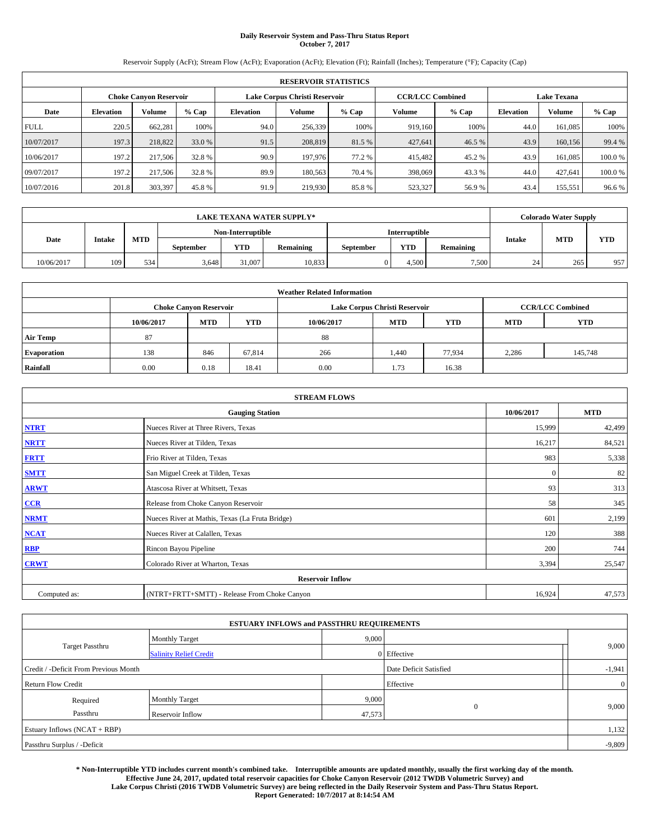# **Daily Reservoir System and Pass-Thru Status Report October 7, 2017**

Reservoir Supply (AcFt); Stream Flow (AcFt); Evaporation (AcFt); Elevation (Ft); Rainfall (Inches); Temperature (°F); Capacity (Cap)

|             |                  |                        |         |                  | <b>RESERVOIR STATISTICS</b>   |         |                         |         |                  |                    |        |
|-------------|------------------|------------------------|---------|------------------|-------------------------------|---------|-------------------------|---------|------------------|--------------------|--------|
|             |                  | Choke Canvon Reservoir |         |                  | Lake Corpus Christi Reservoir |         | <b>CCR/LCC Combined</b> |         |                  | <b>Lake Texana</b> |        |
| Date        | <b>Elevation</b> | Volume                 | $%$ Cap | <b>Elevation</b> | <b>Volume</b>                 | $%$ Cap | Volume                  | $%$ Cap | <b>Elevation</b> | <b>Volume</b>      | % Cap  |
| <b>FULL</b> | 220.5            | 662,281                | 100%    | 94.0             | 256,339                       | 100%    | 919.160                 | 100%    | 44.0             | 161.085            | 100%   |
| 10/07/2017  | 197.3            | 218,822                | 33.0 %  | 91.5             | 208,819                       | 81.5 %  | 427,641                 | 46.5 %  | 43.9             | 160,156            | 99.4 % |
| 10/06/2017  | 197.2            | 217,506                | 32.8 %  | 90.9             | 197,976                       | 77.2 %  | 415,482                 | 45.2 %  | 43.9             | 161.085            | 100.0% |
| 09/07/2017  | 197.2            | 217,506                | 32.8 %  | 89.9             | 180,563                       | 70.4 %  | 398,069                 | 43.3%   | 44.0             | 427.641            | 100.0% |
| 10/07/2016  | 201.8            | 303,397                | 45.8%   | 91.9             | 219,930                       | 85.8%   | 523,327                 | 56.9%   | 43.4             | 155,551            | 96.6%  |

|            | <b>LAKE TEXANA WATER SUPPLY*</b><br>Non-Interruptible<br>Interruptible |            |           |            |           |                  |            |                  |               | <b>Colorado Water Supply</b> |            |  |
|------------|------------------------------------------------------------------------|------------|-----------|------------|-----------|------------------|------------|------------------|---------------|------------------------------|------------|--|
|            |                                                                        |            |           |            |           |                  |            |                  |               |                              |            |  |
| Date       | <b>Intake</b>                                                          | <b>MTD</b> | September | <b>YTD</b> | Remaining | <b>September</b> | <b>YTD</b> | <b>Remaining</b> | <b>Intake</b> | <b>MTD</b>                   | <b>YTD</b> |  |
| 10/06/2017 | 109                                                                    | 534        | 3,648     | 31,007     | 10,833    |                  | 4.500      | 7.500            | 24            | 265                          | 957        |  |

| <b>Weather Related Information</b> |                                                                                           |            |            |            |            |            |            |            |  |  |
|------------------------------------|-------------------------------------------------------------------------------------------|------------|------------|------------|------------|------------|------------|------------|--|--|
|                                    | <b>CCR/LCC Combined</b><br><b>Choke Canyon Reservoir</b><br>Lake Corpus Christi Reservoir |            |            |            |            |            |            |            |  |  |
|                                    | 10/06/2017                                                                                | <b>MTD</b> | <b>YTD</b> | 10/06/2017 | <b>MTD</b> | <b>YTD</b> | <b>MTD</b> | <b>YTD</b> |  |  |
| <b>Air Temp</b>                    | 87                                                                                        |            |            | 88         |            |            |            |            |  |  |
| <b>Evaporation</b>                 | 138                                                                                       | 846        | 67,814     | 266        | 1,440      | 77.934     | 2,286      | 145,748    |  |  |
| Rainfall                           | 0.00                                                                                      | 0.18       | 18.41      | 0.00       | 1.73       | 16.38      |            |            |  |  |

|              | <b>STREAM FLOWS</b>                             |              |            |  |  |  |  |  |  |
|--------------|-------------------------------------------------|--------------|------------|--|--|--|--|--|--|
|              | <b>Gauging Station</b>                          | 10/06/2017   | <b>MTD</b> |  |  |  |  |  |  |
| <b>NTRT</b>  | Nueces River at Three Rivers, Texas             | 15,999       | 42,499     |  |  |  |  |  |  |
| <b>NRTT</b>  | Nueces River at Tilden, Texas                   | 16,217       | 84,521     |  |  |  |  |  |  |
| <b>FRTT</b>  | Frio River at Tilden, Texas                     | 983          | 5,338      |  |  |  |  |  |  |
| <b>SMTT</b>  | San Miguel Creek at Tilden, Texas               | $\mathbf{0}$ | 82         |  |  |  |  |  |  |
| <b>ARWT</b>  | Atascosa River at Whitsett, Texas               | 93           | 313        |  |  |  |  |  |  |
| $CCR$        | Release from Choke Canyon Reservoir             | 58           | 345        |  |  |  |  |  |  |
| <b>NRMT</b>  | Nueces River at Mathis, Texas (La Fruta Bridge) | 601          | 2,199      |  |  |  |  |  |  |
| <b>NCAT</b>  | Nueces River at Calallen, Texas                 | 120          | 388        |  |  |  |  |  |  |
| RBP          | Rincon Bayou Pipeline                           | 200          | 744        |  |  |  |  |  |  |
| <b>CRWT</b>  | Colorado River at Wharton, Texas                | 3,394        | 25,547     |  |  |  |  |  |  |
|              | <b>Reservoir Inflow</b>                         |              |            |  |  |  |  |  |  |
| Computed as: | (NTRT+FRTT+SMTT) - Release From Choke Canyon    | 16,924       | 47,573     |  |  |  |  |  |  |

|                                       |                               | <b>ESTUARY INFLOWS and PASSTHRU REQUIREMENTS</b> |                        |  |                |  |  |
|---------------------------------------|-------------------------------|--------------------------------------------------|------------------------|--|----------------|--|--|
|                                       | <b>Monthly Target</b>         | 9,000                                            |                        |  | 9,000          |  |  |
| <b>Target Passthru</b>                | <b>Salinity Relief Credit</b> |                                                  | 0 Effective            |  |                |  |  |
| Credit / -Deficit From Previous Month |                               |                                                  | Date Deficit Satisfied |  | $-1,941$       |  |  |
| <b>Return Flow Credit</b>             |                               |                                                  | Effective              |  | $\overline{0}$ |  |  |
| Required                              | <b>Monthly Target</b>         | 9,000                                            |                        |  |                |  |  |
| Passthru                              | Reservoir Inflow              | 47,573                                           | $\theta$               |  | 9,000          |  |  |
| Estuary Inflows (NCAT + RBP)          |                               |                                                  |                        |  | 1,132          |  |  |
| Passthru Surplus / -Deficit           |                               |                                                  |                        |  | $-9,809$       |  |  |

**\* Non-Interruptible YTD includes current month's combined take. Interruptible amounts are updated monthly, usually the first working day of the month. Effective June 24, 2017, updated total reservoir capacities for Choke Canyon Reservoir (2012 TWDB Volumetric Survey) and Lake Corpus Christi (2016 TWDB Volumetric Survey) are being reflected in the Daily Reservoir System and Pass-Thru Status Report. Report Generated: 10/7/2017 at 8:14:54 AM**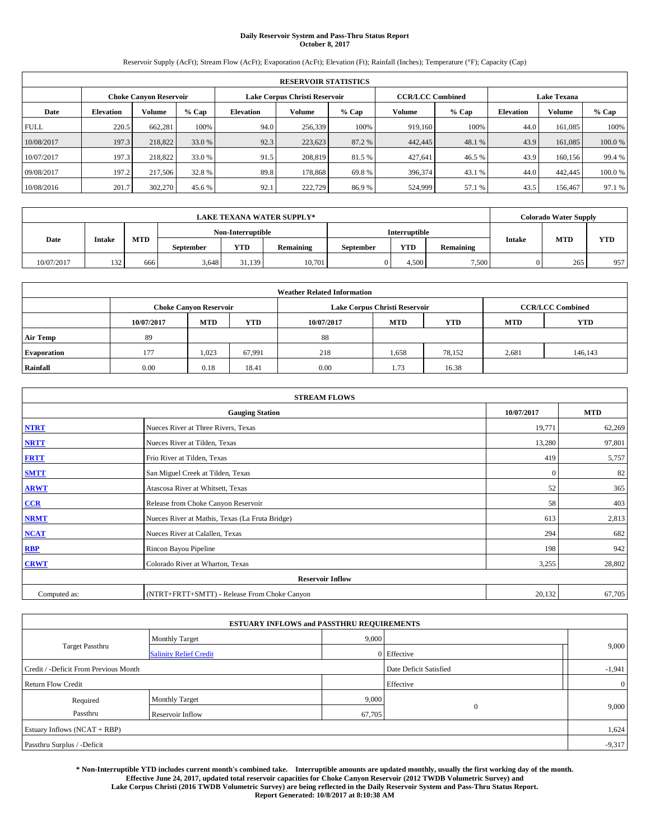# **Daily Reservoir System and Pass-Thru Status Report October 8, 2017**

Reservoir Supply (AcFt); Stream Flow (AcFt); Evaporation (AcFt); Elevation (Ft); Rainfall (Inches); Temperature (°F); Capacity (Cap)

|             | <b>RESERVOIR STATISTICS</b> |                        |         |                  |                               |         |                         |         |                  |                    |        |
|-------------|-----------------------------|------------------------|---------|------------------|-------------------------------|---------|-------------------------|---------|------------------|--------------------|--------|
|             |                             | Choke Canvon Reservoir |         |                  | Lake Corpus Christi Reservoir |         | <b>CCR/LCC Combined</b> |         |                  | <b>Lake Texana</b> |        |
| Date        | <b>Elevation</b>            | Volume                 | $%$ Cap | <b>Elevation</b> | <b>Volume</b>                 | $%$ Cap | Volume                  | $%$ Cap | <b>Elevation</b> | <b>Volume</b>      | % Cap  |
| <b>FULL</b> | 220.5                       | 662,281                | 100%    | 94.0             | 256,339                       | 100%    | 919.160                 | 100%    | 44.0             | 161.085            | 100%   |
| 10/08/2017  | 197.3                       | 218,822                | 33.0 %  | 92.3             | 223,623                       | 87.2 %  | 442,445                 | 48.1 %  | 43.9             | 161,085            | 100.0% |
| 10/07/2017  | 197.3                       | 218,822                | 33.0 %  | 91.5             | 208,819                       | 81.5 %  | 427.641                 | 46.5 %  | 43.9             | 160.156            | 99.4 % |
| 09/08/2017  | 197.2                       | 217,506                | 32.8 %  | 89.8             | 178,868                       | 69.8%   | 396,374                 | 43.1 %  | 44.0             | 442,445            | 100.0% |
| 10/08/2016  | 201.7                       | 302,270                | 45.6 %  | 92.1             | 222,729                       | 86.9%   | 524,999                 | 57.1 %  | 43.5             | 156,467            | 97.1 % |

|            | <b>LAKE TEXANA WATER SUPPLY*</b> |            |                   |        |                  |           |               |                  |               | <b>Colorado Water Supply</b> |            |  |
|------------|----------------------------------|------------|-------------------|--------|------------------|-----------|---------------|------------------|---------------|------------------------------|------------|--|
|            |                                  |            | Non-Interruptible |        |                  |           | Interruptible |                  |               |                              |            |  |
| Date       | <b>Intake</b>                    | <b>MTD</b> | September         | YTD    | <b>Remaining</b> | September | <b>YTD</b>    | <b>Remaining</b> | <b>Intake</b> | <b>MTD</b>                   | <b>YTD</b> |  |
| 10/07/2017 | 132                              | 666        | 3,648             | 31.139 | 10,701           |           | 4.500         | 7,500            |               | 265                          | 957        |  |

|                    | <b>Weather Related Information</b> |                               |            |                                                      |                               |                         |       |         |  |  |  |  |
|--------------------|------------------------------------|-------------------------------|------------|------------------------------------------------------|-------------------------------|-------------------------|-------|---------|--|--|--|--|
|                    |                                    | <b>Choke Canyon Reservoir</b> |            |                                                      | Lake Corpus Christi Reservoir | <b>CCR/LCC Combined</b> |       |         |  |  |  |  |
|                    | 10/07/2017                         | <b>MTD</b>                    | <b>YTD</b> | <b>MTD</b><br>10/07/2017<br><b>YTD</b><br><b>MTD</b> |                               |                         |       |         |  |  |  |  |
| <b>Air Temp</b>    | 89                                 |                               |            | 88                                                   |                               |                         |       |         |  |  |  |  |
| <b>Evaporation</b> | 177                                | 1,023                         | 67,991     | 218                                                  | 1,658                         | 78,152                  | 2,681 | 146,143 |  |  |  |  |
| Rainfall           | 0.00                               | 0.18                          | 18.41      | 0.00                                                 | 1.73                          | 16.38                   |       |         |  |  |  |  |

| <b>STREAM FLOWS</b> |                                                 |              |            |  |  |  |  |  |
|---------------------|-------------------------------------------------|--------------|------------|--|--|--|--|--|
|                     | <b>Gauging Station</b>                          | 10/07/2017   | <b>MTD</b> |  |  |  |  |  |
| <b>NTRT</b>         | Nueces River at Three Rivers, Texas             | 19,771       | 62,269     |  |  |  |  |  |
| <b>NRTT</b>         | Nueces River at Tilden, Texas                   | 13,280       | 97,801     |  |  |  |  |  |
| <b>FRTT</b>         | Frio River at Tilden, Texas                     | 419          | 5,757      |  |  |  |  |  |
| <b>SMTT</b>         | San Miguel Creek at Tilden, Texas               | $\mathbf{0}$ | 82         |  |  |  |  |  |
| <b>ARWT</b>         | Atascosa River at Whitsett, Texas               | 52           | 365        |  |  |  |  |  |
| $CCR$               | Release from Choke Canyon Reservoir             | 58           | 403        |  |  |  |  |  |
| <b>NRMT</b>         | Nueces River at Mathis, Texas (La Fruta Bridge) | 613          | 2,813      |  |  |  |  |  |
| <b>NCAT</b>         | Nueces River at Calallen, Texas                 | 294          | 682        |  |  |  |  |  |
| RBP                 | Rincon Bayou Pipeline                           | 198          | 942        |  |  |  |  |  |
| <b>CRWT</b>         | Colorado River at Wharton, Texas                | 3,255        | 28,802     |  |  |  |  |  |
|                     | <b>Reservoir Inflow</b>                         |              |            |  |  |  |  |  |
| Computed as:        | (NTRT+FRTT+SMTT) - Release From Choke Canyon    | 20,132       | 67,705     |  |  |  |  |  |

|                                       |                               | <b>ESTUARY INFLOWS and PASSTHRU REQUIREMENTS</b> |             |                |  |  |
|---------------------------------------|-------------------------------|--------------------------------------------------|-------------|----------------|--|--|
|                                       | <b>Monthly Target</b>         | 9,000                                            |             |                |  |  |
| <b>Target Passthru</b>                | <b>Salinity Relief Credit</b> |                                                  | 0 Effective | 9,000          |  |  |
| Credit / -Deficit From Previous Month | Date Deficit Satisfied        | $-1,941$                                         |             |                |  |  |
| <b>Return Flow Credit</b>             |                               |                                                  | Effective   | $\overline{0}$ |  |  |
| Required                              | <b>Monthly Target</b>         | 9,000                                            |             |                |  |  |
| Passthru                              | Reservoir Inflow              | 67,705                                           | $\theta$    | 9,000          |  |  |
| Estuary Inflows (NCAT + RBP)          |                               |                                                  |             | 1,624          |  |  |
| Passthru Surplus / -Deficit           |                               |                                                  |             |                |  |  |

**\* Non-Interruptible YTD includes current month's combined take. Interruptible amounts are updated monthly, usually the first working day of the month. Effective June 24, 2017, updated total reservoir capacities for Choke Canyon Reservoir (2012 TWDB Volumetric Survey) and Lake Corpus Christi (2016 TWDB Volumetric Survey) are being reflected in the Daily Reservoir System and Pass-Thru Status Report. Report Generated: 10/8/2017 at 8:10:38 AM**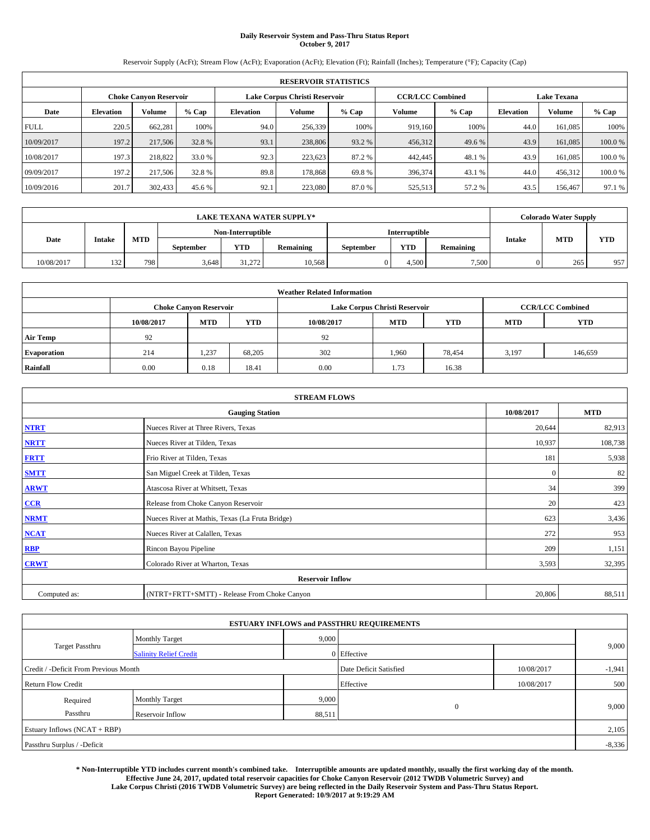# **Daily Reservoir System and Pass-Thru Status Report October 9, 2017**

Reservoir Supply (AcFt); Stream Flow (AcFt); Evaporation (AcFt); Elevation (Ft); Rainfall (Inches); Temperature (°F); Capacity (Cap)

|             | <b>RESERVOIR STATISTICS</b> |                        |         |                               |               |         |                         |         |                    |               |        |  |  |
|-------------|-----------------------------|------------------------|---------|-------------------------------|---------------|---------|-------------------------|---------|--------------------|---------------|--------|--|--|
|             |                             | Choke Canvon Reservoir |         | Lake Corpus Christi Reservoir |               |         | <b>CCR/LCC Combined</b> |         | <b>Lake Texana</b> |               |        |  |  |
| Date        | <b>Elevation</b>            | Volume                 | $%$ Cap | <b>Elevation</b>              | <b>Volume</b> | $%$ Cap | Volume                  | $%$ Cap | <b>Elevation</b>   | <b>Volume</b> | % Cap  |  |  |
| <b>FULL</b> | 220.5                       | 662,281                | 100%    | 94.0                          | 256,339       | 100%    | 919.160                 | 100%    | 44.0               | 161.085       | 100%   |  |  |
| 10/09/2017  | 197.2                       | 217,506                | 32.8 %  | 93.1                          | 238,806       | 93.2 %  | 456,312                 | 49.6 %  | 43.9               | 161,085       | 100.0% |  |  |
| 10/08/2017  | 197.3                       | 218,822                | 33.0 %  | 92.3                          | 223.623       | 87.2 %  | 442,445                 | 48.1 %  | 43.9               | 161.085       | 100.0% |  |  |
| 09/09/2017  | 197.2                       | 217,506                | 32.8 %  | 89.8                          | 178,868       | 69.8%   | 396,374                 | 43.1 %  | 44.0               | 456.312       | 100.0% |  |  |
| 10/09/2016  | 201.7                       | 302,433                | 45.6 %  | 92.1                          | 223,080       | 87.0%   | 525,513                 | 57.2 %  | 43.5               | 156,467       | 97.1 % |  |  |

|            | <b>LAKE TEXANA WATER SUPPLY*</b> |            |                   |        |                  |           |               |                  |               | <b>Colorado Water Supply</b> |            |  |
|------------|----------------------------------|------------|-------------------|--------|------------------|-----------|---------------|------------------|---------------|------------------------------|------------|--|
|            |                                  |            | Non-Interruptible |        |                  |           | Interruptible |                  |               |                              |            |  |
| Date       | <b>Intake</b>                    | <b>MTD</b> | September         | YTD    | <b>Remaining</b> | September | <b>YTD</b>    | <b>Remaining</b> | <b>Intake</b> | <b>MTD</b>                   | <b>YTD</b> |  |
| 10/08/2017 | 132                              | 798        | 3,648             | 31.272 | 10,568           |           | 4.500         | 7,500            |               | 265                          | 957        |  |

|                    | <b>Weather Related Information</b> |                               |            |                                                      |                               |                         |       |         |  |  |  |  |
|--------------------|------------------------------------|-------------------------------|------------|------------------------------------------------------|-------------------------------|-------------------------|-------|---------|--|--|--|--|
|                    |                                    | <b>Choke Canyon Reservoir</b> |            |                                                      | Lake Corpus Christi Reservoir | <b>CCR/LCC Combined</b> |       |         |  |  |  |  |
|                    | 10/08/2017                         | <b>MTD</b>                    | <b>YTD</b> | <b>MTD</b><br>10/08/2017<br><b>YTD</b><br><b>MTD</b> |                               |                         |       |         |  |  |  |  |
| <b>Air Temp</b>    | 92                                 |                               |            | 92                                                   |                               |                         |       |         |  |  |  |  |
| <b>Evaporation</b> | 214                                | 1,237                         | 68,205     | 302                                                  | 1,960                         | 78,454                  | 3,197 | 146,659 |  |  |  |  |
| Rainfall           | 0.00                               | 0.18                          | 18.41      | 0.00                                                 | 1.73                          | 16.38                   |       |         |  |  |  |  |

| <b>STREAM FLOWS</b> |                                                 |            |            |  |  |  |  |  |
|---------------------|-------------------------------------------------|------------|------------|--|--|--|--|--|
|                     | <b>Gauging Station</b>                          | 10/08/2017 | <b>MTD</b> |  |  |  |  |  |
| <b>NTRT</b>         | Nueces River at Three Rivers, Texas             | 20,644     | 82,913     |  |  |  |  |  |
| <b>NRTT</b>         | Nueces River at Tilden, Texas                   | 10,937     | 108,738    |  |  |  |  |  |
| <b>FRTT</b>         | Frio River at Tilden, Texas                     | 181        | 5,938      |  |  |  |  |  |
| <b>SMTT</b>         | San Miguel Creek at Tilden, Texas               | $\Omega$   | 82         |  |  |  |  |  |
| <b>ARWT</b>         | Atascosa River at Whitsett, Texas               | 34         | 399        |  |  |  |  |  |
| $CCR$               | Release from Choke Canyon Reservoir             | 20         | 423        |  |  |  |  |  |
| <b>NRMT</b>         | Nueces River at Mathis, Texas (La Fruta Bridge) | 623        | 3,436      |  |  |  |  |  |
| <b>NCAT</b>         | Nueces River at Calallen, Texas                 | 272        | 953        |  |  |  |  |  |
| RBP                 | Rincon Bayou Pipeline                           | 209        | 1,151      |  |  |  |  |  |
| <b>CRWT</b>         | Colorado River at Wharton, Texas                | 3,593      | 32,395     |  |  |  |  |  |
|                     | <b>Reservoir Inflow</b>                         |            |            |  |  |  |  |  |
| Computed as:        | (NTRT+FRTT+SMTT) - Release From Choke Canyon    | 20,806     | 88,511     |  |  |  |  |  |

|                                       |                               |        | <b>ESTUARY INFLOWS and PASSTHRU REQUIREMENTS</b> |            |          |  |
|---------------------------------------|-------------------------------|--------|--------------------------------------------------|------------|----------|--|
|                                       | <b>Monthly Target</b>         | 9,000  |                                                  |            |          |  |
| Target Passthru                       | <b>Salinity Relief Credit</b> |        | 0 Effective                                      |            | 9,000    |  |
| Credit / -Deficit From Previous Month |                               |        | Date Deficit Satisfied                           | 10/08/2017 | $-1,941$ |  |
| <b>Return Flow Credit</b>             |                               |        | Effective                                        | 10/08/2017 | 500      |  |
| Required                              | <b>Monthly Target</b>         | 9,000  |                                                  |            |          |  |
| Passthru                              | Reservoir Inflow              | 88,511 | $\mathbf{0}$                                     |            | 9,000    |  |
| Estuary Inflows (NCAT + RBP)          |                               |        |                                                  |            | 2,105    |  |
| Passthru Surplus / -Deficit           |                               |        |                                                  |            | $-8,336$ |  |

**\* Non-Interruptible YTD includes current month's combined take. Interruptible amounts are updated monthly, usually the first working day of the month. Effective June 24, 2017, updated total reservoir capacities for Choke Canyon Reservoir (2012 TWDB Volumetric Survey) and Lake Corpus Christi (2016 TWDB Volumetric Survey) are being reflected in the Daily Reservoir System and Pass-Thru Status Report. Report Generated: 10/9/2017 at 9:19:29 AM**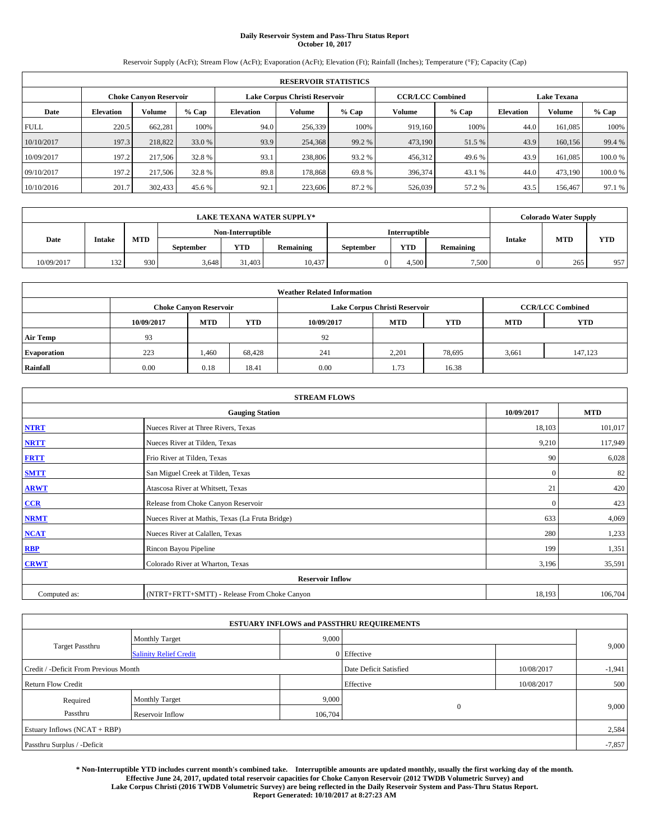# **Daily Reservoir System and Pass-Thru Status Report October 10, 2017**

Reservoir Supply (AcFt); Stream Flow (AcFt); Evaporation (AcFt); Elevation (Ft); Rainfall (Inches); Temperature (°F); Capacity (Cap)

|             | <b>RESERVOIR STATISTICS</b>         |                        |        |                               |         |         |                         |         |                    |               |        |  |  |
|-------------|-------------------------------------|------------------------|--------|-------------------------------|---------|---------|-------------------------|---------|--------------------|---------------|--------|--|--|
|             |                                     | Choke Canvon Reservoir |        | Lake Corpus Christi Reservoir |         |         | <b>CCR/LCC Combined</b> |         | <b>Lake Texana</b> |               |        |  |  |
| Date        | % Cap<br>Volume<br><b>Elevation</b> |                        |        | <b>Elevation</b>              | Volume  | $%$ Cap | Volume                  | $%$ Cap | <b>Elevation</b>   | <b>Volume</b> | % Cap  |  |  |
| <b>FULL</b> | 220.5                               | 662,281                | 100%   | 94.0                          | 256,339 | 100%    | 919.160                 | 100%    | 44.0               | 161.085       | 100%   |  |  |
| 10/10/2017  | 197.3                               | 218,822                | 33.0 % | 93.9                          | 254,368 | 99.2 %  | 473,190                 | 51.5 %  | 43.9               | 160,156       | 99.4 % |  |  |
| 10/09/2017  | 197.2                               | 217,506                | 32.8 % | 93.1                          | 238,806 | 93.2 %  | 456,312                 | 49.6 %  | 43.9               | 161.085       | 100.0% |  |  |
| 09/10/2017  | 197.2                               | 217,506                | 32.8%  | 89.8                          | 178,868 | 69.8%   | 396,374                 | 43.1 %  | 44.0               | 473,190       | 100.0% |  |  |
| 10/10/2016  | 201.7                               | 302,433                | 45.6 % | 92.1                          | 223,606 | 87.2%   | 526,039                 | 57.2 %  | 43.5               | 156,467       | 97.1 % |  |  |

|            | <b>LAKE TEXANA WATER SUPPLY*</b> |            |                   |            |           |               |            |           | <b>Colorado Water Supply</b> |            |            |
|------------|----------------------------------|------------|-------------------|------------|-----------|---------------|------------|-----------|------------------------------|------------|------------|
|            | <b>Intake</b>                    | <b>MTD</b> | Non-Interruptible |            |           | Interruptible |            |           |                              |            |            |
| Date       |                                  |            | September         | <b>YTD</b> | Remaining | September     | <b>YTD</b> | Remaining | <b>Intake</b>                | <b>MTD</b> | <b>YTD</b> |
| 10/09/2017 | 132                              | 930        | 3,648             | 31,403     | 10,437    |               | 4.500      | 7.500     |                              | 265        | 957        |

|                    | <b>Weather Related Information</b> |                               |                                                                    |      |                               |                         |       |         |  |  |  |  |
|--------------------|------------------------------------|-------------------------------|--------------------------------------------------------------------|------|-------------------------------|-------------------------|-------|---------|--|--|--|--|
|                    |                                    | <b>Choke Canyon Reservoir</b> |                                                                    |      | Lake Corpus Christi Reservoir | <b>CCR/LCC Combined</b> |       |         |  |  |  |  |
|                    | 10/09/2017                         | <b>MTD</b>                    | <b>YTD</b><br><b>MTD</b><br>10/09/2017<br><b>YTD</b><br><b>MTD</b> |      |                               |                         |       |         |  |  |  |  |
| <b>Air Temp</b>    | 93                                 |                               |                                                                    | 92   |                               |                         |       |         |  |  |  |  |
| <b>Evaporation</b> | 223                                | 1.460                         | 68.428                                                             | 241  | 2,201                         | 78,695                  | 3,661 | 147,123 |  |  |  |  |
| Rainfall           | 0.00                               | 0.18                          | 18.41                                                              | 0.00 | 1.73                          | 16.38                   |       |         |  |  |  |  |

| <b>STREAM FLOWS</b> |                                                 |              |         |  |  |  |  |  |  |
|---------------------|-------------------------------------------------|--------------|---------|--|--|--|--|--|--|
|                     | <b>Gauging Station</b>                          |              |         |  |  |  |  |  |  |
| <b>NTRT</b>         | Nueces River at Three Rivers, Texas             | 18,103       | 101,017 |  |  |  |  |  |  |
| <b>NRTT</b>         | Nueces River at Tilden, Texas                   | 9,210        | 117,949 |  |  |  |  |  |  |
| <b>FRTT</b>         | Frio River at Tilden, Texas                     | 90           | 6,028   |  |  |  |  |  |  |
| <b>SMTT</b>         | San Miguel Creek at Tilden, Texas               | $\mathbf{0}$ | 82      |  |  |  |  |  |  |
| <b>ARWT</b>         | Atascosa River at Whitsett, Texas               | 21           | 420     |  |  |  |  |  |  |
| $CCR$               | Release from Choke Canyon Reservoir             | $\mathbf{0}$ | 423     |  |  |  |  |  |  |
| <b>NRMT</b>         | Nueces River at Mathis, Texas (La Fruta Bridge) | 633          | 4,069   |  |  |  |  |  |  |
| <b>NCAT</b>         | Nueces River at Calallen, Texas                 | 280          | 1,233   |  |  |  |  |  |  |
| RBP                 | Rincon Bayou Pipeline                           | 199          | 1,351   |  |  |  |  |  |  |
| <b>CRWT</b>         | Colorado River at Wharton, Texas                | 3,196        | 35,591  |  |  |  |  |  |  |
|                     |                                                 |              |         |  |  |  |  |  |  |
| Computed as:        | (NTRT+FRTT+SMTT) - Release From Choke Canyon    | 18,193       | 106,704 |  |  |  |  |  |  |

| <b>ESTUARY INFLOWS and PASSTHRU REQUIREMENTS</b> |                               |         |                                      |            |          |  |  |  |  |  |
|--------------------------------------------------|-------------------------------|---------|--------------------------------------|------------|----------|--|--|--|--|--|
|                                                  | <b>Monthly Target</b>         | 9,000   |                                      |            | 9,000    |  |  |  |  |  |
| <b>Target Passthru</b>                           | <b>Salinity Relief Credit</b> |         | 0 Effective                          |            |          |  |  |  |  |  |
| Credit / -Deficit From Previous Month            |                               |         | Date Deficit Satisfied<br>10/08/2017 |            | $-1,941$ |  |  |  |  |  |
| <b>Return Flow Credit</b>                        |                               |         | Effective                            | 10/08/2017 | 500      |  |  |  |  |  |
| Required                                         | <b>Monthly Target</b>         | 9,000   |                                      |            |          |  |  |  |  |  |
| Passthru                                         | Reservoir Inflow              | 106,704 | $\mathbf{0}$                         |            | 9,000    |  |  |  |  |  |
|                                                  | Estuary Inflows (NCAT + RBP)  |         |                                      |            |          |  |  |  |  |  |
| Passthru Surplus / -Deficit                      |                               |         |                                      |            | $-7,857$ |  |  |  |  |  |

**\* Non-Interruptible YTD includes current month's combined take. Interruptible amounts are updated monthly, usually the first working day of the month. Effective June 24, 2017, updated total reservoir capacities for Choke Canyon Reservoir (2012 TWDB Volumetric Survey) and Lake Corpus Christi (2016 TWDB Volumetric Survey) are being reflected in the Daily Reservoir System and Pass-Thru Status Report. Report Generated: 10/10/2017 at 8:27:23 AM**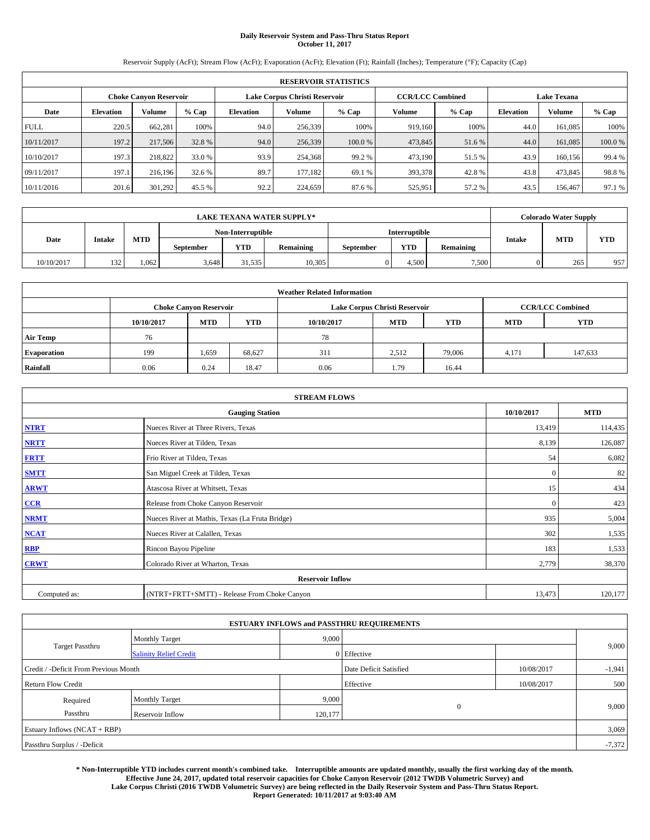# **Daily Reservoir System and Pass-Thru Status Report October 11, 2017**

Reservoir Supply (AcFt); Stream Flow (AcFt); Evaporation (AcFt); Elevation (Ft); Rainfall (Inches); Temperature (°F); Capacity (Cap)

|             | <b>RESERVOIR STATISTICS</b> |                               |         |           |                               |         |                         |         |                    |               |        |  |
|-------------|-----------------------------|-------------------------------|---------|-----------|-------------------------------|---------|-------------------------|---------|--------------------|---------------|--------|--|
|             |                             | <b>Choke Canyon Reservoir</b> |         |           | Lake Corpus Christi Reservoir |         | <b>CCR/LCC Combined</b> |         | <b>Lake Texana</b> |               |        |  |
| Date        | <b>Elevation</b>            | Volume                        | $%$ Cap | Elevation | Volume                        | $%$ Cap | Volume                  | $%$ Cap | <b>Elevation</b>   | <b>Volume</b> | % Cap  |  |
| <b>FULL</b> | 220.5                       | 662.281                       | 100%    | 94.0      | 256,339                       | 100%    | 919.160                 | 100%    | 44.0               | 161,085       | 100%   |  |
| 10/11/2017  | 197.2                       | 217,506                       | 32.8 %  | 94.0      | 256,339                       | 100.0 % | 473,845                 | 51.6 %  | 44.0               | 161,085       | 100.0% |  |
| 10/10/2017  | 197.3                       | 218,822                       | 33.0 %  | 93.9      | 254,368                       | 99.2 %  | 473,190                 | 51.5 %  | 43.9               | 160,156       | 99.4 % |  |
| 09/11/2017  | 197.1                       | 216.196                       | 32.6 %  | 89.7      | 177.182                       | 69.1 %  | 393,378                 | 42.8%   | 43.8               | 473,845       | 98.8%  |  |
| 10/11/2016  | 201.6                       | 301,292                       | 45.5 %  | 92.2      | 224,659                       | 87.6 %  | 525,951                 | 57.2%   | 43.5               | 156,467       | 97.1 % |  |

| <b>LAKE TEXANA WATER SUPPLY*</b> |               |      |                   |            |                  |                      | <b>Colorado Water Supply</b> |           |               |            |            |
|----------------------------------|---------------|------|-------------------|------------|------------------|----------------------|------------------------------|-----------|---------------|------------|------------|
|                                  |               |      | Non-Interruptible |            |                  | <b>Interruptible</b> |                              |           |               |            |            |
| Date                             | <b>Intake</b> | MTD  | September         | <b>YTD</b> | <b>Remaining</b> | September            | <b>YTD</b>                   | Remaining | <b>Intake</b> | <b>MTD</b> | <b>YTD</b> |
| 10/10/2017                       | 132           | .062 | 3.648             | 31,535     | 10,305           |                      | 4.500                        | 7,500     |               | 265        | 957        |

| <b>Weather Related Information</b> |            |                               |            |            |                               |                         |            |            |  |  |  |
|------------------------------------|------------|-------------------------------|------------|------------|-------------------------------|-------------------------|------------|------------|--|--|--|
|                                    |            | <b>Choke Canyon Reservoir</b> |            |            | Lake Corpus Christi Reservoir | <b>CCR/LCC Combined</b> |            |            |  |  |  |
|                                    | 10/10/2017 | <b>MTD</b>                    | <b>YTD</b> | 10/10/2017 | <b>MTD</b>                    | <b>YTD</b>              | <b>MTD</b> | <b>YTD</b> |  |  |  |
| <b>Air Temp</b>                    | 76         |                               |            | 78         |                               |                         |            |            |  |  |  |
| <b>Evaporation</b>                 | 199        | 1,659                         | 68,627     | 311        | 2,512                         | 79,006                  | 4,171      | 147,633    |  |  |  |
| Rainfall                           | 0.06       | 0.24                          | 18.47      | 0.06       | 1.79                          | 16.44                   |            |            |  |  |  |

| <b>STREAM FLOWS</b> |                                                 |              |         |  |  |  |  |  |  |
|---------------------|-------------------------------------------------|--------------|---------|--|--|--|--|--|--|
|                     | <b>Gauging Station</b>                          |              |         |  |  |  |  |  |  |
| <b>NTRT</b>         | Nueces River at Three Rivers, Texas             | 13,419       | 114,435 |  |  |  |  |  |  |
| <b>NRTT</b>         | Nueces River at Tilden, Texas                   | 8,139        | 126,087 |  |  |  |  |  |  |
| <b>FRTT</b>         | Frio River at Tilden, Texas                     | 54           | 6,082   |  |  |  |  |  |  |
| <b>SMTT</b>         | San Miguel Creek at Tilden, Texas               | $\mathbf{0}$ | 82      |  |  |  |  |  |  |
| <b>ARWT</b>         | Atascosa River at Whitsett, Texas               | 15           | 434     |  |  |  |  |  |  |
| $CCR$               | Release from Choke Canyon Reservoir             | $\mathbf{0}$ | 423     |  |  |  |  |  |  |
| <b>NRMT</b>         | Nueces River at Mathis, Texas (La Fruta Bridge) | 935          | 5,004   |  |  |  |  |  |  |
| <b>NCAT</b>         | Nueces River at Calallen, Texas                 | 302          | 1,535   |  |  |  |  |  |  |
| RBP                 | Rincon Bayou Pipeline                           | 183          | 1,533   |  |  |  |  |  |  |
| <b>CRWT</b>         | Colorado River at Wharton, Texas                | 2,779        | 38,370  |  |  |  |  |  |  |
|                     | <b>Reservoir Inflow</b>                         |              |         |  |  |  |  |  |  |
| Computed as:        | (NTRT+FRTT+SMTT) - Release From Choke Canyon    | 13,473       | 120,177 |  |  |  |  |  |  |

| <b>ESTUARY INFLOWS and PASSTHRU REQUIREMENTS</b> |                               |         |                        |            |          |  |  |  |  |  |
|--------------------------------------------------|-------------------------------|---------|------------------------|------------|----------|--|--|--|--|--|
|                                                  | <b>Monthly Target</b>         | 9,000   |                        |            |          |  |  |  |  |  |
| <b>Target Passthru</b>                           | <b>Salinity Relief Credit</b> |         | 0 Effective            |            | 9,000    |  |  |  |  |  |
| Credit / -Deficit From Previous Month            |                               |         | Date Deficit Satisfied | 10/08/2017 | $-1,941$ |  |  |  |  |  |
| <b>Return Flow Credit</b>                        |                               |         | Effective              | 10/08/2017 | 500      |  |  |  |  |  |
| Required                                         | <b>Monthly Target</b>         | 9,000   |                        |            |          |  |  |  |  |  |
| Passthru                                         | Reservoir Inflow              | 120,177 | $\mathbf{0}$           |            | 9,000    |  |  |  |  |  |
|                                                  | Estuary Inflows (NCAT + RBP)  |         |                        |            |          |  |  |  |  |  |
| Passthru Surplus / -Deficit                      |                               |         |                        |            | $-7,372$ |  |  |  |  |  |

**\* Non-Interruptible YTD includes current month's combined take. Interruptible amounts are updated monthly, usually the first working day of the month. Effective June 24, 2017, updated total reservoir capacities for Choke Canyon Reservoir (2012 TWDB Volumetric Survey) and Lake Corpus Christi (2016 TWDB Volumetric Survey) are being reflected in the Daily Reservoir System and Pass-Thru Status Report. Report Generated: 10/11/2017 at 9:03:40 AM**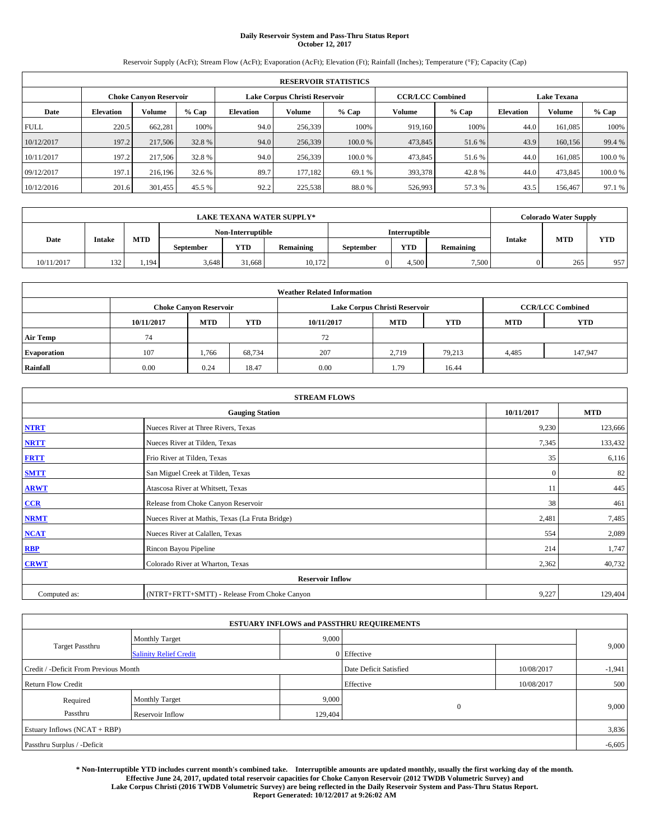## **Daily Reservoir System and Pass-Thru Status Report October 12, 2017**

Reservoir Supply (AcFt); Stream Flow (AcFt); Evaporation (AcFt); Elevation (Ft); Rainfall (Inches); Temperature (°F); Capacity (Cap)

|             | <b>RESERVOIR STATISTICS</b> |                               |         |                  |                               |         |                         |         |                  |                    |         |  |
|-------------|-----------------------------|-------------------------------|---------|------------------|-------------------------------|---------|-------------------------|---------|------------------|--------------------|---------|--|
|             |                             | <b>Choke Canyon Reservoir</b> |         |                  | Lake Corpus Christi Reservoir |         | <b>CCR/LCC Combined</b> |         |                  | <b>Lake Texana</b> |         |  |
| Date        | <b>Elevation</b>            | Volume                        | $%$ Cap | <b>Elevation</b> | Volume                        | % Cap   | Volume                  | $%$ Cap | <b>Elevation</b> | <b>Volume</b>      | $%$ Cap |  |
| <b>FULL</b> | 220.5                       | 662,281                       | 100%    | 94.0             | 256,339                       | 100%    | 919.160                 | 100%    | 44.0             | 161.085            | 100%    |  |
| 10/12/2017  | 197.2                       | 217,506                       | 32.8 %  | 94.0             | 256,339                       | 100.0%  | 473,845                 | 51.6 %  | 43.9             | 160,156            | 99.4 %  |  |
| 10/11/2017  | 197.2                       | 217,506                       | 32.8 %  | 94.0             | 256,339                       | 100.0 % | 473,845                 | 51.6%   | 44.0             | 161.085            | 100.0%  |  |
| 09/12/2017  | 197.1                       | 216,196                       | 32.6 %  | 89.7             | 177.182                       | 69.1 %  | 393,378                 | 42.8%   | 44.0             | 473,845            | 100.0%  |  |
| 10/12/2016  | 201.6                       | 301,455                       | 45.5 %  | 92.2             | 225,538                       | 88.0%   | 526,993                 | 57.3 %  | 43.5             | 156,467            | 97.1 %  |  |

| <b>LAKE TEXANA WATER SUPPLY*</b> |               |            |                   |            |           |                  | <b>Colorado Water Supply</b> |                  |        |            |            |
|----------------------------------|---------------|------------|-------------------|------------|-----------|------------------|------------------------------|------------------|--------|------------|------------|
|                                  |               |            | Non-Interruptible |            |           | Interruptible    |                              |                  |        |            |            |
| Date                             | <b>Intake</b> | <b>MTD</b> | <b>September</b>  | <b>YTD</b> | Remaining | <b>September</b> | <b>YTD</b>                   | <b>Remaining</b> | Intake | <b>MTD</b> | <b>YTD</b> |
| 10/11/2017                       | 132           | 1.194      | 3.648             | 31.668     | 10.172    |                  | 4,500                        | 7,500            |        | 265        | 957        |

| <b>Weather Related Information</b> |            |                               |            |            |                               |                         |            |            |  |  |  |
|------------------------------------|------------|-------------------------------|------------|------------|-------------------------------|-------------------------|------------|------------|--|--|--|
|                                    |            | <b>Choke Canyon Reservoir</b> |            |            | Lake Corpus Christi Reservoir | <b>CCR/LCC Combined</b> |            |            |  |  |  |
|                                    | 10/11/2017 | <b>MTD</b>                    | <b>YTD</b> | 10/11/2017 | <b>MTD</b>                    | <b>YTD</b>              | <b>MTD</b> | <b>YTD</b> |  |  |  |
| <b>Air Temp</b>                    | 74         |                               |            | 72         |                               |                         |            |            |  |  |  |
| <b>Evaporation</b>                 | 107        | 1,766                         | 68,734     | 207        | 2.719                         | 79,213                  | 4,485      | 147,947    |  |  |  |
| Rainfall                           | 0.00       | 0.24                          | 18.47      | 0.00       | 1.79                          | 16.44                   |            |            |  |  |  |

| <b>STREAM FLOWS</b>     |                                                 |              |         |  |  |  |  |  |  |
|-------------------------|-------------------------------------------------|--------------|---------|--|--|--|--|--|--|
|                         | <b>Gauging Station</b>                          |              |         |  |  |  |  |  |  |
| <b>NTRT</b>             | Nueces River at Three Rivers, Texas             | 9,230        | 123,666 |  |  |  |  |  |  |
| <b>NRTT</b>             | Nueces River at Tilden, Texas                   | 7,345        | 133,432 |  |  |  |  |  |  |
| <b>FRTT</b>             | Frio River at Tilden, Texas                     | 35           | 6,116   |  |  |  |  |  |  |
| <b>SMTT</b>             | San Miguel Creek at Tilden, Texas               | $\mathbf{0}$ | 82      |  |  |  |  |  |  |
| <b>ARWT</b>             | Atascosa River at Whitsett, Texas               | 11           | 445     |  |  |  |  |  |  |
| $CCR$                   | Release from Choke Canyon Reservoir             | 38           | 461     |  |  |  |  |  |  |
| <b>NRMT</b>             | Nueces River at Mathis, Texas (La Fruta Bridge) | 2,481        | 7,485   |  |  |  |  |  |  |
| <b>NCAT</b>             | Nueces River at Calallen, Texas                 | 554          | 2,089   |  |  |  |  |  |  |
| RBP                     | Rincon Bayou Pipeline                           | 214          | 1,747   |  |  |  |  |  |  |
| <b>CRWT</b>             | Colorado River at Wharton, Texas                | 2,362        | 40,732  |  |  |  |  |  |  |
| <b>Reservoir Inflow</b> |                                                 |              |         |  |  |  |  |  |  |
| Computed as:            | (NTRT+FRTT+SMTT) - Release From Choke Canyon    | 9,227        | 129,404 |  |  |  |  |  |  |

| <b>ESTUARY INFLOWS and PASSTHRU REQUIREMENTS</b> |                               |         |                        |            |          |  |  |  |  |  |
|--------------------------------------------------|-------------------------------|---------|------------------------|------------|----------|--|--|--|--|--|
|                                                  | <b>Monthly Target</b>         | 9,000   |                        |            |          |  |  |  |  |  |
| Target Passthru                                  | <b>Salinity Relief Credit</b> |         | 0 Effective            |            | 9,000    |  |  |  |  |  |
| Credit / -Deficit From Previous Month            |                               |         | Date Deficit Satisfied | 10/08/2017 | $-1,941$ |  |  |  |  |  |
| <b>Return Flow Credit</b>                        |                               |         | Effective              | 10/08/2017 | 500      |  |  |  |  |  |
| Required                                         | <b>Monthly Target</b>         | 9,000   |                        |            |          |  |  |  |  |  |
| Passthru                                         | Reservoir Inflow              | 129,404 | 0                      |            | 9,000    |  |  |  |  |  |
| Estuary Inflows (NCAT + RBP)                     |                               |         |                        |            |          |  |  |  |  |  |
| Passthru Surplus / -Deficit                      |                               |         |                        |            | $-6,605$ |  |  |  |  |  |

**\* Non-Interruptible YTD includes current month's combined take. Interruptible amounts are updated monthly, usually the first working day of the month. Effective June 24, 2017, updated total reservoir capacities for Choke Canyon Reservoir (2012 TWDB Volumetric Survey) and Lake Corpus Christi (2016 TWDB Volumetric Survey) are being reflected in the Daily Reservoir System and Pass-Thru Status Report. Report Generated: 10/12/2017 at 9:26:02 AM**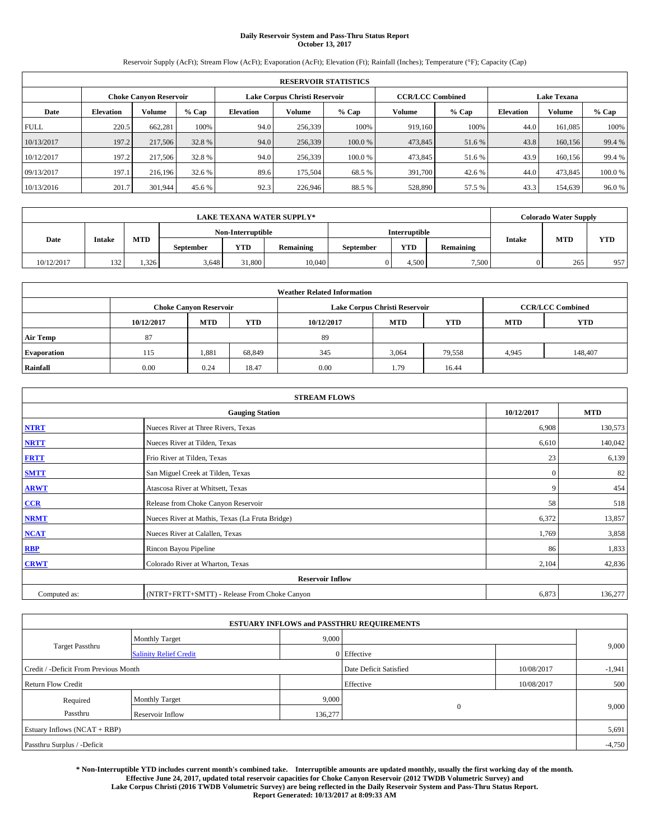## **Daily Reservoir System and Pass-Thru Status Report October 13, 2017**

Reservoir Supply (AcFt); Stream Flow (AcFt); Evaporation (AcFt); Elevation (Ft); Rainfall (Inches); Temperature (°F); Capacity (Cap)

|             | <b>RESERVOIR STATISTICS</b>   |         |         |                               |         |         |                         |         |                    |               |        |
|-------------|-------------------------------|---------|---------|-------------------------------|---------|---------|-------------------------|---------|--------------------|---------------|--------|
|             | <b>Choke Canyon Reservoir</b> |         |         | Lake Corpus Christi Reservoir |         |         | <b>CCR/LCC Combined</b> |         | <b>Lake Texana</b> |               |        |
| Date        | <b>Elevation</b>              | Volume  | $%$ Cap | <b>Elevation</b>              | Volume  | % Cap   | Volume                  | $%$ Cap | <b>Elevation</b>   | <b>Volume</b> | % Cap  |
| <b>FULL</b> | 220.5                         | 662.281 | 100%    | 94.0                          | 256,339 | 100%    | 919.160                 | 100%    | 44.0               | 161.085       | 100%   |
| 10/13/2017  | 197.2                         | 217,506 | 32.8%   | 94.0                          | 256,339 | 100.0%  | 473,845                 | 51.6 %  | 43.8               | 160,156       | 99.4 % |
| 10/12/2017  | 197.2                         | 217,506 | 32.8 %  | 94.0                          | 256,339 | 100.0 % | 473,845                 | 51.6%   | 43.9               | 160.156       | 99.4 % |
| 09/13/2017  | 197.1                         | 216,196 | 32.6 %  | 89.6                          | 175,504 | 68.5 %  | 391,700                 | 42.6%   | 44.0               | 473,845       | 100.0% |
| 10/13/2016  | 201.7                         | 301,944 | 45.6 %  | 92.3                          | 226,946 | 88.5%   | 528,890                 | 57.5 %  | 43.3               | 154,639       | 96.0%  |

|            | <b>LAKE TEXANA WATER SUPPLY*</b> |            |                   |            |           |                  |               |                  |               | <b>Colorado Water Supply</b> |            |  |
|------------|----------------------------------|------------|-------------------|------------|-----------|------------------|---------------|------------------|---------------|------------------------------|------------|--|
|            |                                  |            | Non-Interruptible |            |           |                  | Interruptible |                  |               |                              |            |  |
| Date       | <b>Intake</b>                    | <b>MTD</b> | <b>September</b>  | <b>YTD</b> | Remaining | <b>September</b> | <b>YTD</b>    | <b>Remaining</b> | <b>Intake</b> | <b>MTD</b>                   | <b>YTD</b> |  |
| 10/12/2017 | 132                              | 1.326      | 3.648             | 31,800     | 10.040    |                  | 4,500         | 7,500            |               | 265                          | 957        |  |

| <b>Weather Related Information</b> |            |                                                      |        |            |                               |                         |       |         |  |  |
|------------------------------------|------------|------------------------------------------------------|--------|------------|-------------------------------|-------------------------|-------|---------|--|--|
|                                    |            | <b>Choke Canyon Reservoir</b>                        |        |            | Lake Corpus Christi Reservoir | <b>CCR/LCC Combined</b> |       |         |  |  |
|                                    | 10/12/2017 | <b>YTD</b><br><b>MTD</b><br><b>MTD</b><br>10/12/2017 |        | <b>YTD</b> | <b>MTD</b>                    | <b>YTD</b>              |       |         |  |  |
| <b>Air Temp</b>                    | 87         |                                                      |        | -89        |                               |                         |       |         |  |  |
| <b>Evaporation</b>                 | 115        | 1,881                                                | 68,849 | 345        | 3,064                         | 79,558                  | 4,945 | 148,407 |  |  |
| Rainfall                           | 0.00       | 0.24                                                 | 18.47  | 0.00       | 1.79                          | 16.44                   |       |         |  |  |

| <b>STREAM FLOWS</b> |                                                 |              |            |  |  |  |  |  |  |
|---------------------|-------------------------------------------------|--------------|------------|--|--|--|--|--|--|
|                     | <b>Gauging Station</b>                          | 10/12/2017   | <b>MTD</b> |  |  |  |  |  |  |
| <b>NTRT</b>         | Nueces River at Three Rivers, Texas             | 6,908        | 130,573    |  |  |  |  |  |  |
| <b>NRTT</b>         | Nueces River at Tilden, Texas                   | 6,610        | 140,042    |  |  |  |  |  |  |
| <b>FRTT</b>         | Frio River at Tilden, Texas                     | 23           | 6,139      |  |  |  |  |  |  |
| <b>SMTT</b>         | San Miguel Creek at Tilden, Texas               | $\mathbf{0}$ | 82         |  |  |  |  |  |  |
| <b>ARWT</b>         | Atascosa River at Whitsett, Texas               | 9            | 454        |  |  |  |  |  |  |
| $CCR$               | Release from Choke Canyon Reservoir             | 58           | 518        |  |  |  |  |  |  |
| <b>NRMT</b>         | Nueces River at Mathis, Texas (La Fruta Bridge) | 6,372        | 13,857     |  |  |  |  |  |  |
| <b>NCAT</b>         | Nueces River at Calallen, Texas                 | 1,769        | 3,858      |  |  |  |  |  |  |
| RBP                 | Rincon Bayou Pipeline                           | 86           | 1,833      |  |  |  |  |  |  |
| <b>CRWT</b>         | Colorado River at Wharton, Texas                | 2,104        | 42,836     |  |  |  |  |  |  |
|                     | <b>Reservoir Inflow</b>                         |              |            |  |  |  |  |  |  |
| Computed as:        | (NTRT+FRTT+SMTT) - Release From Choke Canyon    | 6,873        | 136,277    |  |  |  |  |  |  |

|                                       |                               | <b>ESTUARY INFLOWS and PASSTHRU REQUIREMENTS</b> |                        |            |          |  |  |  |
|---------------------------------------|-------------------------------|--------------------------------------------------|------------------------|------------|----------|--|--|--|
|                                       | <b>Monthly Target</b>         | 9,000                                            |                        |            |          |  |  |  |
| <b>Target Passthru</b>                | <b>Salinity Relief Credit</b> |                                                  | 0 Effective            |            | 9,000    |  |  |  |
| Credit / -Deficit From Previous Month |                               |                                                  | Date Deficit Satisfied | 10/08/2017 | $-1,941$ |  |  |  |
| <b>Return Flow Credit</b>             |                               |                                                  | Effective              | 10/08/2017 | 500      |  |  |  |
| Required                              | <b>Monthly Target</b>         | 9,000                                            |                        |            |          |  |  |  |
| Passthru                              | Reservoir Inflow              | 136,277                                          | $\mathbf{0}$           |            | 9,000    |  |  |  |
|                                       | Estuary Inflows (NCAT + RBP)  |                                                  |                        |            |          |  |  |  |
| Passthru Surplus / -Deficit           |                               |                                                  |                        |            |          |  |  |  |

**\* Non-Interruptible YTD includes current month's combined take. Interruptible amounts are updated monthly, usually the first working day of the month. Effective June 24, 2017, updated total reservoir capacities for Choke Canyon Reservoir (2012 TWDB Volumetric Survey) and Lake Corpus Christi (2016 TWDB Volumetric Survey) are being reflected in the Daily Reservoir System and Pass-Thru Status Report. Report Generated: 10/13/2017 at 8:09:33 AM**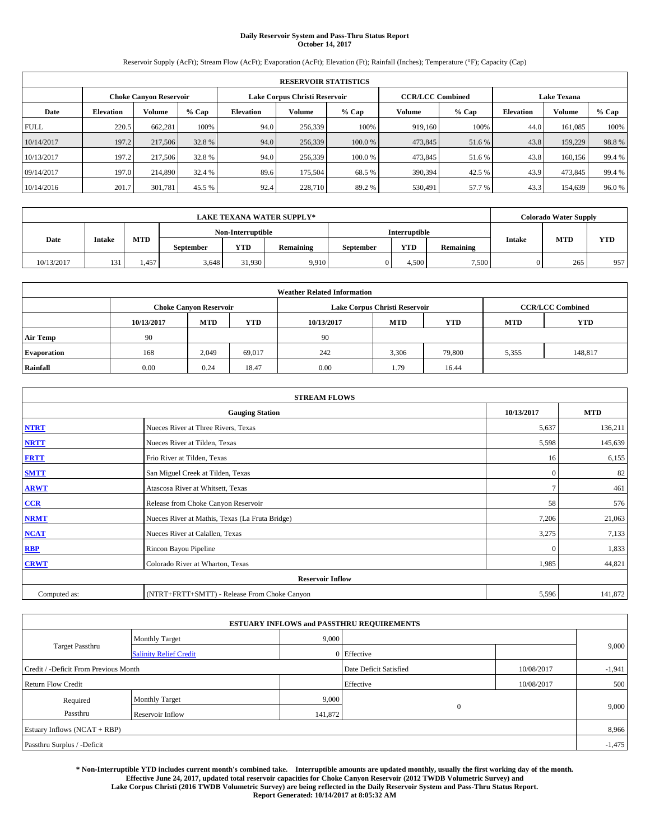# **Daily Reservoir System and Pass-Thru Status Report October 14, 2017**

Reservoir Supply (AcFt); Stream Flow (AcFt); Evaporation (AcFt); Elevation (Ft); Rainfall (Inches); Temperature (°F); Capacity (Cap)

|             | <b>RESERVOIR STATISTICS</b>   |         |        |                               |         |         |                         |         |                    |         |         |
|-------------|-------------------------------|---------|--------|-------------------------------|---------|---------|-------------------------|---------|--------------------|---------|---------|
|             | <b>Choke Canvon Reservoir</b> |         |        | Lake Corpus Christi Reservoir |         |         | <b>CCR/LCC Combined</b> |         | <b>Lake Texana</b> |         |         |
| Date        | <b>Elevation</b>              | Volume  | % Cap  | <b>Elevation</b>              | Volume  | $%$ Cap | Volume                  | $%$ Cap | <b>Elevation</b>   | Volume  | $%$ Cap |
| <b>FULL</b> | 220.5                         | 662,281 | 100%   | 94.0                          | 256,339 | 100%    | 919.160                 | 100%    | 44.0               | 161.085 | 100%    |
| 10/14/2017  | 197.2                         | 217,506 | 32.8%  | 94.0                          | 256,339 | 100.0 % | 473,845                 | 51.6 %  | 43.8               | 159,229 | 98.8%   |
| 10/13/2017  | 197.2                         | 217,506 | 32.8%  | 94.0                          | 256,339 | 100.0%  | 473,845                 | 51.6 %  | 43.8               | 160,156 | 99.4 %  |
| 09/14/2017  | 197.0                         | 214,890 | 32.4 % | 89.6                          | 175.504 | 68.5 %  | 390,394                 | 42.5 %  | 43.9               | 473,845 | 99.4 %  |
| 10/14/2016  | 201.7                         | 301,781 | 45.5 % | 92.4                          | 228,710 | 89.2 %  | 530,491                 | 57.7 %  | 43.3               | 154,639 | 96.0%   |

|            | <b>LAKE TEXANA WATER SUPPLY*</b>                                            |       |                   |        |       |           |                      |                  |               |            | <b>Colorado Water Supply</b> |
|------------|-----------------------------------------------------------------------------|-------|-------------------|--------|-------|-----------|----------------------|------------------|---------------|------------|------------------------------|
|            |                                                                             |       | Non-Interruptible |        |       |           | <b>Interruptible</b> |                  |               |            |                              |
|            | <b>MTD</b><br>Date<br>Intake<br><b>YTD</b><br><b>Remaining</b><br>September |       |                   |        |       | September | <b>YTD</b>           | <b>Remaining</b> | <b>Intake</b> | <b>MTD</b> | <b>YTD</b>                   |
| 10/13/2017 | 131                                                                         | 1.457 | 3.648             | 31,930 | 9,910 |           | 4.500                | 7,500            |               | 265        | 957                          |

| <b>Weather Related Information</b> |            |                                                                    |        |      |                               |                         |       |         |  |  |
|------------------------------------|------------|--------------------------------------------------------------------|--------|------|-------------------------------|-------------------------|-------|---------|--|--|
|                                    |            | <b>Choke Canyon Reservoir</b>                                      |        |      | Lake Corpus Christi Reservoir | <b>CCR/LCC Combined</b> |       |         |  |  |
|                                    | 10/13/2017 | <b>YTD</b><br><b>MTD</b><br><b>MTD</b><br><b>YTD</b><br>10/13/2017 |        |      | <b>MTD</b>                    | <b>YTD</b>              |       |         |  |  |
| <b>Air Temp</b>                    | 90         |                                                                    |        | 90   |                               |                         |       |         |  |  |
| <b>Evaporation</b>                 | 168        | 2,049                                                              | 69,017 | 242  | 3,306                         | 79,800                  | 5,355 | 148,817 |  |  |
| Rainfall                           | 0.00       | 0.24                                                               | 18.47  | 0.00 | 1.79                          | 16.44                   |       |         |  |  |

| <b>STREAM FLOWS</b> |                                                 |              |            |  |  |  |  |  |  |
|---------------------|-------------------------------------------------|--------------|------------|--|--|--|--|--|--|
|                     | <b>Gauging Station</b>                          | 10/13/2017   | <b>MTD</b> |  |  |  |  |  |  |
| <b>NTRT</b>         | Nueces River at Three Rivers, Texas             | 5,637        | 136,211    |  |  |  |  |  |  |
| <b>NRTT</b>         | Nueces River at Tilden, Texas                   | 5,598        | 145,639    |  |  |  |  |  |  |
| <b>FRTT</b>         | Frio River at Tilden, Texas                     | 16           | 6,155      |  |  |  |  |  |  |
| <b>SMTT</b>         | San Miguel Creek at Tilden, Texas               | $\mathbf{0}$ | 82         |  |  |  |  |  |  |
| <b>ARWT</b>         | Atascosa River at Whitsett, Texas               | $\tau$       | 461        |  |  |  |  |  |  |
| $CCR$               | Release from Choke Canyon Reservoir             | 58           | 576        |  |  |  |  |  |  |
| <b>NRMT</b>         | Nueces River at Mathis, Texas (La Fruta Bridge) | 7,206        | 21,063     |  |  |  |  |  |  |
| <b>NCAT</b>         | Nueces River at Calallen, Texas                 | 3,275        | 7,133      |  |  |  |  |  |  |
| RBP                 | Rincon Bayou Pipeline                           | $\Omega$     | 1,833      |  |  |  |  |  |  |
| <b>CRWT</b>         | Colorado River at Wharton, Texas                | 1,985        | 44,821     |  |  |  |  |  |  |
|                     | <b>Reservoir Inflow</b>                         |              |            |  |  |  |  |  |  |
| Computed as:        | (NTRT+FRTT+SMTT) - Release From Choke Canyon    | 5,596        | 141,872    |  |  |  |  |  |  |

|                                       |                               | <b>ESTUARY INFLOWS and PASSTHRU REQUIREMENTS</b> |                        |            |          |  |  |  |
|---------------------------------------|-------------------------------|--------------------------------------------------|------------------------|------------|----------|--|--|--|
|                                       | <b>Monthly Target</b>         | 9,000                                            |                        |            |          |  |  |  |
| <b>Target Passthru</b>                | <b>Salinity Relief Credit</b> |                                                  | 0 Effective            |            | 9,000    |  |  |  |
| Credit / -Deficit From Previous Month |                               |                                                  | Date Deficit Satisfied | 10/08/2017 | $-1,941$ |  |  |  |
| <b>Return Flow Credit</b>             |                               |                                                  | Effective              | 10/08/2017 | 500      |  |  |  |
| Required                              | <b>Monthly Target</b>         | 9,000                                            |                        |            |          |  |  |  |
| Passthru                              | Reservoir Inflow              | 141,872                                          | $\mathbf{0}$           |            | 9,000    |  |  |  |
| Estuary Inflows (NCAT + RBP)          |                               |                                                  |                        |            |          |  |  |  |
| Passthru Surplus / -Deficit           |                               |                                                  |                        |            |          |  |  |  |

**\* Non-Interruptible YTD includes current month's combined take. Interruptible amounts are updated monthly, usually the first working day of the month. Effective June 24, 2017, updated total reservoir capacities for Choke Canyon Reservoir (2012 TWDB Volumetric Survey) and Lake Corpus Christi (2016 TWDB Volumetric Survey) are being reflected in the Daily Reservoir System and Pass-Thru Status Report. Report Generated: 10/14/2017 at 8:05:32 AM**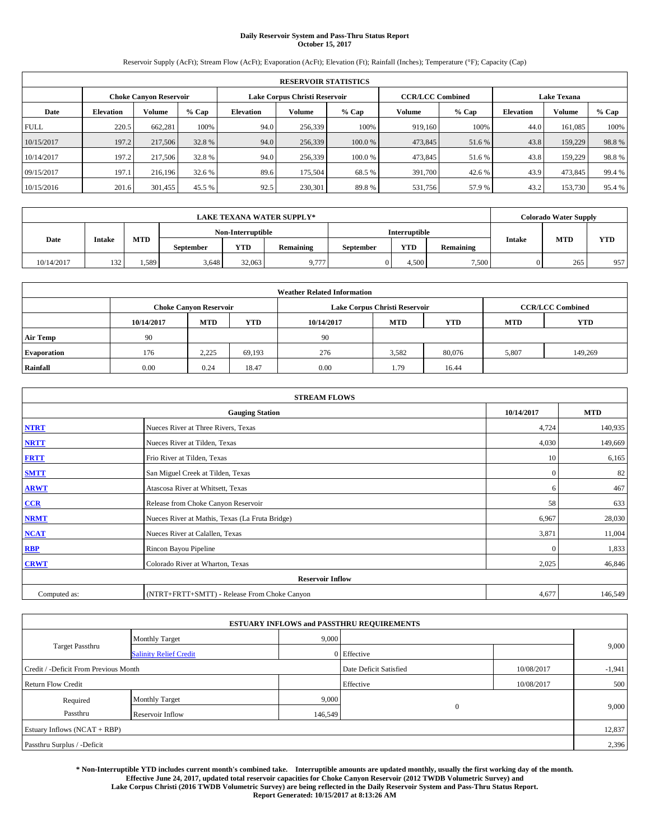# **Daily Reservoir System and Pass-Thru Status Report October 15, 2017**

Reservoir Supply (AcFt); Stream Flow (AcFt); Evaporation (AcFt); Elevation (Ft); Rainfall (Inches); Temperature (°F); Capacity (Cap)

|             | <b>RESERVOIR STATISTICS</b>   |               |        |                               |               |         |                         |         |                  |                    |        |
|-------------|-------------------------------|---------------|--------|-------------------------------|---------------|---------|-------------------------|---------|------------------|--------------------|--------|
|             | <b>Choke Canvon Reservoir</b> |               |        | Lake Corpus Christi Reservoir |               |         | <b>CCR/LCC Combined</b> |         |                  | <b>Lake Texana</b> |        |
| Date        | <b>Elevation</b>              | <b>Volume</b> | % Cap  | <b>Elevation</b>              | <b>Volume</b> | $%$ Cap | Volume                  | $%$ Cap | <b>Elevation</b> | Volume             | % Cap  |
| <b>FULL</b> | 220.5                         | 662.281       | 100%   | 94.0                          | 256,339       | 100%    | 919,160                 | 100%    | 44.0             | 161.085            | 100%   |
| 10/15/2017  | 197.2                         | 217,506       | 32.8%  | 94.0                          | 256,339       | 100.0 % | 473,845                 | 51.6 %  | 43.8             | 159,229            | 98.8%  |
| 10/14/2017  | 197.2                         | 217,506       | 32.8%  | 94.0                          | 256,339       | 100.0 % | 473,845                 | 51.6 %  | 43.8             | 159,229            | 98.8%  |
| 09/15/2017  | 197.1                         | 216.196       | 32.6 % | 89.6                          | 175.504       | 68.5%   | 391,700                 | 42.6 %  | 43.9             | 473,845            | 99.4%  |
| 10/15/2016  | 201.6                         | 301,455       | 45.5 % | 92.5                          | 230,301       | 89.8%   | 531,756                 | 57.9 %  | 43.2             | 153,730            | 95.4 % |

|                                                                             | <b>LAKE TEXANA WATER SUPPLY*</b> |       |       |                   |       |           |               |                  |               |            | <b>Colorado Water Supply</b> |
|-----------------------------------------------------------------------------|----------------------------------|-------|-------|-------------------|-------|-----------|---------------|------------------|---------------|------------|------------------------------|
|                                                                             |                                  |       |       | Non-Interruptible |       |           | Interruptible |                  |               |            |                              |
| <b>MTD</b><br>Date<br>Intake<br><b>YTD</b><br><b>Remaining</b><br>September |                                  |       |       |                   |       | September | <b>YTD</b>    | <b>Remaining</b> | <b>Intake</b> | <b>MTD</b> | <b>YTD</b>                   |
| 10/14/2017                                                                  | 132                              | 1.589 | 3.648 | 32,063            | 9.777 |           | 4.500         | 7,500            |               | 265        | 957                          |

| <b>Weather Related Information</b> |            |                               |            |            |                                                      |                         |       |         |  |  |
|------------------------------------|------------|-------------------------------|------------|------------|------------------------------------------------------|-------------------------|-------|---------|--|--|
|                                    |            | <b>Choke Canyon Reservoir</b> |            |            | Lake Corpus Christi Reservoir                        | <b>CCR/LCC Combined</b> |       |         |  |  |
|                                    | 10/14/2017 | <b>MTD</b>                    | <b>YTD</b> | 10/14/2017 | <b>YTD</b><br><b>MTD</b><br><b>YTD</b><br><b>MTD</b> |                         |       |         |  |  |
| <b>Air Temp</b>                    | 90         |                               |            | 90         |                                                      |                         |       |         |  |  |
| <b>Evaporation</b>                 | 176        | 2.225                         | 69,193     | 276        | 3,582                                                | 80,076                  | 5,807 | 149,269 |  |  |
| Rainfall                           | 0.00       | 0.24                          | 18.47      | 0.00       | 1.79                                                 | 16.44                   |       |         |  |  |

| <b>STREAM FLOWS</b> |                                                 |                |         |  |  |  |  |  |  |
|---------------------|-------------------------------------------------|----------------|---------|--|--|--|--|--|--|
|                     | 10/14/2017                                      | <b>MTD</b>     |         |  |  |  |  |  |  |
| <b>NTRT</b>         | Nueces River at Three Rivers, Texas             | 4,724          | 140,935 |  |  |  |  |  |  |
| <b>NRTT</b>         | Nueces River at Tilden, Texas                   | 4,030          | 149,669 |  |  |  |  |  |  |
| <b>FRTT</b>         | Frio River at Tilden, Texas                     | 10             | 6,165   |  |  |  |  |  |  |
| <b>SMTT</b>         | San Miguel Creek at Tilden, Texas               | $\mathbf{0}$   | 82      |  |  |  |  |  |  |
| <b>ARWT</b>         | Atascosa River at Whitsett, Texas               | 6              | 467     |  |  |  |  |  |  |
| $CCR$               | Release from Choke Canyon Reservoir             | 58             | 633     |  |  |  |  |  |  |
| <b>NRMT</b>         | Nueces River at Mathis, Texas (La Fruta Bridge) | 6,967          | 28,030  |  |  |  |  |  |  |
| <b>NCAT</b>         | Nueces River at Calallen, Texas                 | 3,871          | 11,004  |  |  |  |  |  |  |
| RBP                 | Rincon Bayou Pipeline                           | $\overline{0}$ | 1,833   |  |  |  |  |  |  |
| <b>CRWT</b>         | Colorado River at Wharton, Texas                | 2,025          | 46,846  |  |  |  |  |  |  |
|                     | <b>Reservoir Inflow</b>                         |                |         |  |  |  |  |  |  |
| Computed as:        | (NTRT+FRTT+SMTT) - Release From Choke Canyon    | 4,677          | 146,549 |  |  |  |  |  |  |

|                                       |                               |         | <b>ESTUARY INFLOWS and PASSTHRU REQUIREMENTS</b> |            |          |
|---------------------------------------|-------------------------------|---------|--------------------------------------------------|------------|----------|
|                                       | <b>Monthly Target</b>         | 9,000   |                                                  |            |          |
| <b>Target Passthru</b>                | <b>Salinity Relief Credit</b> |         | 0 Effective                                      |            | 9,000    |
| Credit / -Deficit From Previous Month |                               |         | Date Deficit Satisfied                           | 10/08/2017 | $-1,941$ |
| <b>Return Flow Credit</b>             |                               |         | Effective                                        | 10/08/2017 | 500      |
| Required                              | <b>Monthly Target</b>         | 9,000   |                                                  |            |          |
| Passthru                              | Reservoir Inflow              | 146,549 | $\overline{0}$                                   |            | 9,000    |
| Estuary Inflows (NCAT + RBP)          |                               |         |                                                  |            | 12,837   |
| Passthru Surplus / -Deficit           |                               |         |                                                  |            | 2,396    |

**\* Non-Interruptible YTD includes current month's combined take. Interruptible amounts are updated monthly, usually the first working day of the month. Effective June 24, 2017, updated total reservoir capacities for Choke Canyon Reservoir (2012 TWDB Volumetric Survey) and Lake Corpus Christi (2016 TWDB Volumetric Survey) are being reflected in the Daily Reservoir System and Pass-Thru Status Report. Report Generated: 10/15/2017 at 8:13:26 AM**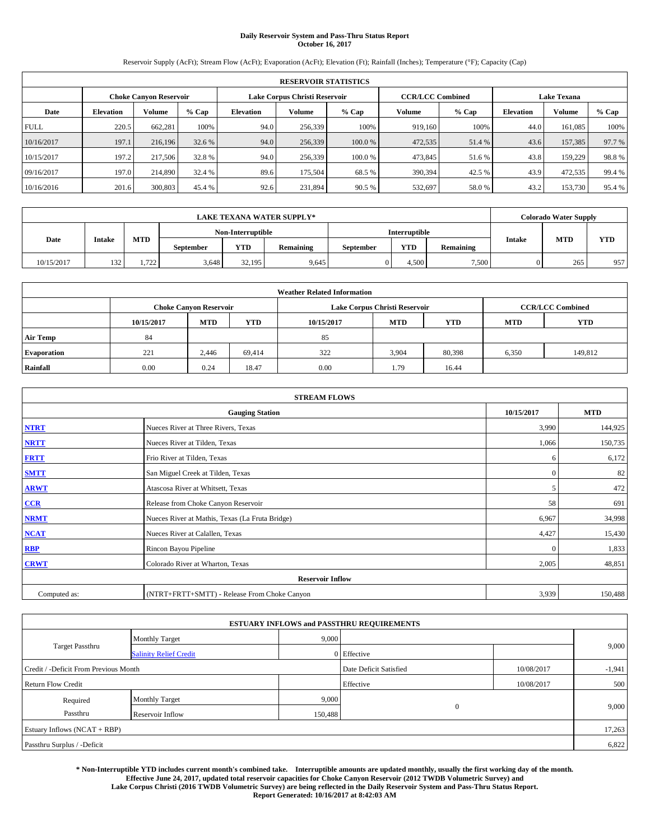# **Daily Reservoir System and Pass-Thru Status Report October 16, 2017**

Reservoir Supply (AcFt); Stream Flow (AcFt); Evaporation (AcFt); Elevation (Ft); Rainfall (Inches); Temperature (°F); Capacity (Cap)

| <b>RESERVOIR STATISTICS</b> |                  |                               |        |                               |               |         |                         |         |                    |         |        |
|-----------------------------|------------------|-------------------------------|--------|-------------------------------|---------------|---------|-------------------------|---------|--------------------|---------|--------|
|                             |                  | <b>Choke Canvon Reservoir</b> |        | Lake Corpus Christi Reservoir |               |         | <b>CCR/LCC Combined</b> |         | <b>Lake Texana</b> |         |        |
| Date                        | <b>Elevation</b> | <b>Volume</b>                 | % Cap  | <b>Elevation</b>              | <b>Volume</b> | $%$ Cap | Volume                  | $%$ Cap | <b>Elevation</b>   | Volume  | % Cap  |
| <b>FULL</b>                 | 220.5            | 662.281                       | 100%   | 94.0                          | 256,339       | 100%    | 919,160                 | 100%    | 44.0               | 161.085 | 100%   |
| 10/16/2017                  | 197.1            | 216,196                       | 32.6 % | 94.0                          | 256,339       | 100.0 % | 472,535                 | 51.4 %  | 43.6               | 157,385 | 97.7 % |
| 10/15/2017                  | 197.2            | 217,506                       | 32.8%  | 94.0                          | 256,339       | 100.0 % | 473,845                 | 51.6 %  | 43.8               | 159,229 | 98.8%  |
| 09/16/2017                  | 197.0            | 214,890                       | 32.4 % | 89.6                          | 175.504       | 68.5%   | 390,394                 | 42.5 %  | 43.9               | 472,535 | 99.4%  |
| 10/16/2016                  | 201.6            | 300,803                       | 45.4 % | 92.6                          | 231,894       | 90.5 %  | 532,697                 | 58.0%   | 43.2               | 153,730 | 95.4 % |

| <b>LAKE TEXANA WATER SUPPLY*</b> |               |               |                  |                   |           |                  |               |                  | <b>Colorado Water Supply</b> |            |            |
|----------------------------------|---------------|---------------|------------------|-------------------|-----------|------------------|---------------|------------------|------------------------------|------------|------------|
|                                  |               |               |                  | Non-Interruptible |           |                  | Interruptible |                  |                              |            |            |
| Date                             | <b>Intake</b> | MTD           | <b>September</b> | YTD               | Remaining | <b>September</b> | <b>YTD</b>    | <b>Remaining</b> | <b>Intake</b>                | <b>MTD</b> | <b>YTD</b> |
| 10/15/2017                       | 132           | 722<br>1, 122 | 3.648            | 32.195            | 9,645     |                  | 4.500         | 7,500            |                              | 265        | 957        |

| <b>Weather Related Information</b> |            |                               |            |            |                                                      |                         |       |         |  |  |
|------------------------------------|------------|-------------------------------|------------|------------|------------------------------------------------------|-------------------------|-------|---------|--|--|
|                                    |            | <b>Choke Canyon Reservoir</b> |            |            | Lake Corpus Christi Reservoir                        | <b>CCR/LCC Combined</b> |       |         |  |  |
|                                    | 10/15/2017 | <b>MTD</b>                    | <b>YTD</b> | 10/15/2017 | <b>YTD</b><br><b>MTD</b><br><b>YTD</b><br><b>MTD</b> |                         |       |         |  |  |
| <b>Air Temp</b>                    | 84         |                               |            | 85         |                                                      |                         |       |         |  |  |
| <b>Evaporation</b>                 | 221        | 2.446                         | 69.414     | 322        | 3,904                                                | 80,398                  | 6,350 | 149,812 |  |  |
| Rainfall                           | 0.00       | 0.24                          | 18.47      | 0.00       | 1.79                                                 | 16.44                   |       |         |  |  |

| <b>STREAM FLOWS</b> |                                                 |              |         |  |  |  |  |  |
|---------------------|-------------------------------------------------|--------------|---------|--|--|--|--|--|
|                     | 10/15/2017                                      | <b>MTD</b>   |         |  |  |  |  |  |
| <b>NTRT</b>         | Nueces River at Three Rivers, Texas             | 3,990        | 144,925 |  |  |  |  |  |
| <b>NRTT</b>         | Nueces River at Tilden, Texas                   | 1,066        | 150,735 |  |  |  |  |  |
| <b>FRTT</b>         | Frio River at Tilden, Texas                     | 6            | 6,172   |  |  |  |  |  |
| <b>SMTT</b>         | San Miguel Creek at Tilden, Texas               | $\mathbf{0}$ | 82      |  |  |  |  |  |
| <b>ARWT</b>         | Atascosa River at Whitsett, Texas               | 5            | 472     |  |  |  |  |  |
| $CCR$               | Release from Choke Canyon Reservoir             | 58           | 691     |  |  |  |  |  |
| <b>NRMT</b>         | Nueces River at Mathis, Texas (La Fruta Bridge) | 6,967        | 34,998  |  |  |  |  |  |
| <b>NCAT</b>         | Nueces River at Calallen, Texas                 | 4,427        | 15,430  |  |  |  |  |  |
| RBP                 | Rincon Bayou Pipeline                           | $\Omega$     | 1,833   |  |  |  |  |  |
| <b>CRWT</b>         | Colorado River at Wharton, Texas                | 2,005        | 48,851  |  |  |  |  |  |
|                     | <b>Reservoir Inflow</b>                         |              |         |  |  |  |  |  |
| Computed as:        | (NTRT+FRTT+SMTT) - Release From Choke Canyon    | 3,939        | 150,488 |  |  |  |  |  |

|                                       |                               |         | <b>ESTUARY INFLOWS and PASSTHRU REQUIREMENTS</b> |            |          |
|---------------------------------------|-------------------------------|---------|--------------------------------------------------|------------|----------|
|                                       | <b>Monthly Target</b>         | 9,000   |                                                  |            |          |
| <b>Target Passthru</b>                | <b>Salinity Relief Credit</b> |         | 0 Effective                                      |            | 9,000    |
| Credit / -Deficit From Previous Month |                               |         | Date Deficit Satisfied                           | 10/08/2017 | $-1,941$ |
| <b>Return Flow Credit</b>             |                               |         | Effective                                        | 10/08/2017 | 500      |
| Required                              | <b>Monthly Target</b>         | 9,000   |                                                  |            |          |
| Passthru                              | Reservoir Inflow              | 150,488 | $\mathbf{0}$                                     |            | 9,000    |
| Estuary Inflows (NCAT + RBP)          |                               |         |                                                  |            | 17,263   |
| Passthru Surplus / -Deficit           |                               |         |                                                  |            | 6,822    |

**\* Non-Interruptible YTD includes current month's combined take. Interruptible amounts are updated monthly, usually the first working day of the month. Effective June 24, 2017, updated total reservoir capacities for Choke Canyon Reservoir (2012 TWDB Volumetric Survey) and Lake Corpus Christi (2016 TWDB Volumetric Survey) are being reflected in the Daily Reservoir System and Pass-Thru Status Report. Report Generated: 10/16/2017 at 8:42:03 AM**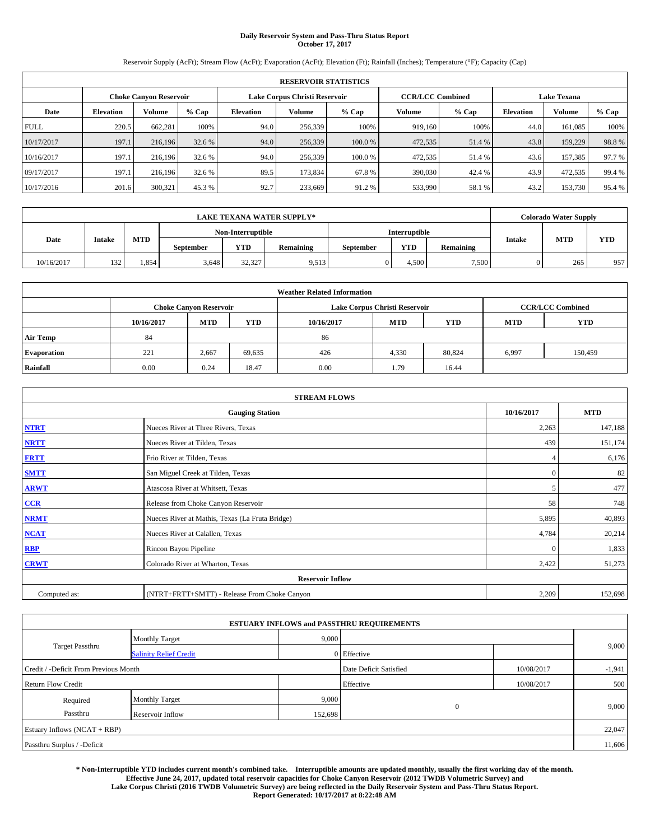# **Daily Reservoir System and Pass-Thru Status Report October 17, 2017**

Reservoir Supply (AcFt); Stream Flow (AcFt); Evaporation (AcFt); Elevation (Ft); Rainfall (Inches); Temperature (°F); Capacity (Cap)

| <b>RESERVOIR STATISTICS</b> |                  |                               |        |                               |         |         |                         |         |                    |         |        |
|-----------------------------|------------------|-------------------------------|--------|-------------------------------|---------|---------|-------------------------|---------|--------------------|---------|--------|
|                             |                  | <b>Choke Canyon Reservoir</b> |        | Lake Corpus Christi Reservoir |         |         | <b>CCR/LCC Combined</b> |         | <b>Lake Texana</b> |         |        |
| Date                        | <b>Elevation</b> | Volume                        | % Cap  | <b>Elevation</b>              | Volume  | $%$ Cap | Volume                  | $%$ Cap | <b>Elevation</b>   | Volume  | % Cap  |
| <b>FULL</b>                 | 220.5            | 662,281                       | 100%   | 94.0                          | 256,339 | 100%    | 919.160                 | 100%    | 44.0               | 161.085 | 100%   |
| 10/17/2017                  | 197.1            | 216,196                       | 32.6 % | 94.0                          | 256,339 | 100.0 % | 472,535                 | 51.4 %  | 43.8               | 159,229 | 98.8%  |
| 10/16/2017                  | 197.1            | 216.196                       | 32.6 % | 94.0                          | 256,339 | 100.0%  | 472,535                 | 51.4 %  | 43.6               | 157,385 | 97.7 % |
| 09/17/2017                  | 197.1            | 216.196                       | 32.6 % | 89.5                          | 173.834 | 67.8%   | 390,030                 | 42.4 %  | 43.9               | 472,535 | 99.4 % |
| 10/17/2016                  | 201.6            | 300,321                       | 45.3%  | 92.7                          | 233,669 | 91.2 %  | 533,990                 | 58.1 %  | 43.2               | 153,730 | 95.4 % |

| <b>LAKE TEXANA WATER SUPPLY*</b> |               |       |                  |                   |           |                  |               |                  | <b>Colorado Water Supply</b> |            |            |
|----------------------------------|---------------|-------|------------------|-------------------|-----------|------------------|---------------|------------------|------------------------------|------------|------------|
|                                  |               |       |                  | Non-Interruptible |           |                  | Interruptible |                  |                              |            |            |
| Date                             | <b>Intake</b> | MTD   | <b>September</b> | YTD               | Remaining | <b>September</b> | <b>YTD</b>    | <b>Remaining</b> | <b>Intake</b>                | <b>MTD</b> | <b>YTD</b> |
| 10/16/2017                       | 132           | 1,854 | 3.648            | 32,327            | 9,513     |                  | 4.500         | 7,500            |                              | 265        | 957        |

| <b>Weather Related Information</b> |            |                               |            |            |                                                      |                         |       |         |  |  |
|------------------------------------|------------|-------------------------------|------------|------------|------------------------------------------------------|-------------------------|-------|---------|--|--|
|                                    |            | <b>Choke Canyon Reservoir</b> |            |            | Lake Corpus Christi Reservoir                        | <b>CCR/LCC Combined</b> |       |         |  |  |
|                                    | 10/16/2017 | <b>MTD</b>                    | <b>YTD</b> | 10/16/2017 | <b>YTD</b><br><b>MTD</b><br><b>YTD</b><br><b>MTD</b> |                         |       |         |  |  |
| <b>Air Temp</b>                    | 84         |                               |            | 86         |                                                      |                         |       |         |  |  |
| <b>Evaporation</b>                 | 221        | 2,667                         | 69,635     | 426        | 4,330                                                | 80,824                  | 6,997 | 150,459 |  |  |
| Rainfall                           | 0.00       | 0.24                          | 18.47      | 0.00       | 1.79                                                 | 16.44                   |       |         |  |  |

| <b>STREAM FLOWS</b> |                                                 |              |         |  |  |  |  |  |
|---------------------|-------------------------------------------------|--------------|---------|--|--|--|--|--|
|                     | 10/16/2017                                      | <b>MTD</b>   |         |  |  |  |  |  |
| <b>NTRT</b>         | Nueces River at Three Rivers, Texas             | 2,263        | 147,188 |  |  |  |  |  |
| <b>NRTT</b>         | Nueces River at Tilden, Texas                   | 439          | 151,174 |  |  |  |  |  |
| <b>FRTT</b>         | Frio River at Tilden, Texas                     |              | 6,176   |  |  |  |  |  |
| <b>SMTT</b>         | San Miguel Creek at Tilden, Texas               | $\mathbf{0}$ | 82      |  |  |  |  |  |
| <b>ARWT</b>         | Atascosa River at Whitsett, Texas               | 5            | 477     |  |  |  |  |  |
| $CCR$               | Release from Choke Canyon Reservoir             | 58           | 748     |  |  |  |  |  |
| <b>NRMT</b>         | Nueces River at Mathis, Texas (La Fruta Bridge) | 5,895        | 40,893  |  |  |  |  |  |
| <b>NCAT</b>         | Nueces River at Calallen, Texas                 | 4,784        | 20,214  |  |  |  |  |  |
| RBP                 | Rincon Bayou Pipeline                           | $\Omega$     | 1,833   |  |  |  |  |  |
| <b>CRWT</b>         | Colorado River at Wharton, Texas                | 2,422        | 51,273  |  |  |  |  |  |
|                     | <b>Reservoir Inflow</b>                         |              |         |  |  |  |  |  |
| Computed as:        | (NTRT+FRTT+SMTT) - Release From Choke Canyon    | 2,209        | 152,698 |  |  |  |  |  |

| <b>ESTUARY INFLOWS and PASSTHRU REQUIREMENTS</b> |                               |         |                        |            |          |  |  |  |  |  |
|--------------------------------------------------|-------------------------------|---------|------------------------|------------|----------|--|--|--|--|--|
|                                                  | <b>Monthly Target</b>         | 9,000   |                        |            |          |  |  |  |  |  |
| <b>Target Passthru</b>                           | <b>Salinity Relief Credit</b> |         | 0 Effective            |            | 9,000    |  |  |  |  |  |
| Credit / -Deficit From Previous Month            |                               |         | Date Deficit Satisfied | 10/08/2017 | $-1,941$ |  |  |  |  |  |
| <b>Return Flow Credit</b>                        |                               |         | Effective              | 10/08/2017 | 500      |  |  |  |  |  |
| Required                                         | <b>Monthly Target</b>         | 9,000   |                        |            |          |  |  |  |  |  |
| Passthru                                         | Reservoir Inflow              | 152,698 | $\mathbf{0}$           |            | 9,000    |  |  |  |  |  |
| Estuary Inflows (NCAT + RBP)                     |                               |         |                        |            |          |  |  |  |  |  |
| Passthru Surplus / -Deficit                      |                               |         |                        |            |          |  |  |  |  |  |

**\* Non-Interruptible YTD includes current month's combined take. Interruptible amounts are updated monthly, usually the first working day of the month. Effective June 24, 2017, updated total reservoir capacities for Choke Canyon Reservoir (2012 TWDB Volumetric Survey) and Lake Corpus Christi (2016 TWDB Volumetric Survey) are being reflected in the Daily Reservoir System and Pass-Thru Status Report. Report Generated: 10/17/2017 at 8:22:48 AM**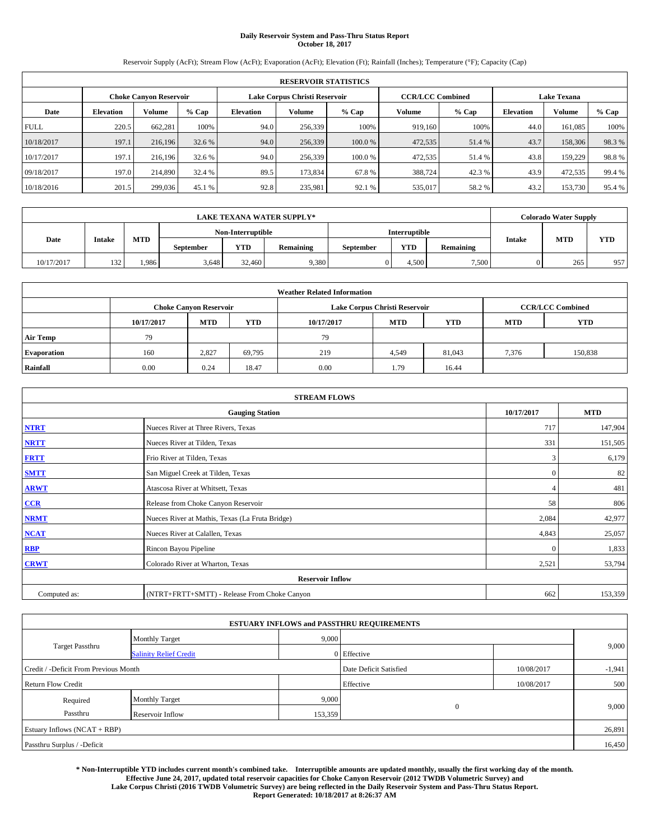# **Daily Reservoir System and Pass-Thru Status Report October 18, 2017**

Reservoir Supply (AcFt); Stream Flow (AcFt); Evaporation (AcFt); Elevation (Ft); Rainfall (Inches); Temperature (°F); Capacity (Cap)

| <b>RESERVOIR STATISTICS</b> |                  |                        |        |                  |                               |         |                                               |         |                  |         |        |
|-----------------------------|------------------|------------------------|--------|------------------|-------------------------------|---------|-----------------------------------------------|---------|------------------|---------|--------|
|                             |                  | Choke Canvon Reservoir |        |                  | Lake Corpus Christi Reservoir |         | <b>Lake Texana</b><br><b>CCR/LCC Combined</b> |         |                  |         |        |
| Date                        | <b>Elevation</b> | <b>Volume</b>          | % Cap  | <b>Elevation</b> | <b>Volume</b>                 | $%$ Cap | Volume                                        | $%$ Cap | <b>Elevation</b> | Volume  | % Cap  |
| <b>FULL</b>                 | 220.5            | 662.281                | 100%   | 94.0             | 256,339                       | 100%    | 919.160                                       | 100%    | 44.0             | 161.085 | 100%   |
| 10/18/2017                  | 197.1            | 216,196                | 32.6 % | 94.0             | 256,339                       | 100.0 % | 472,535                                       | 51.4 %  | 43.7             | 158,306 | 98.3%  |
| 10/17/2017                  | 197.1            | 216.196                | 32.6 % | 94.0             | 256,339                       | 100.0 % | 472,535                                       | 51.4 %  | 43.8             | 159,229 | 98.8%  |
| 09/18/2017                  | 197.0            | 214,890                | 32.4 % | 89.5             | 173.834                       | 67.8%   | 388,724                                       | 42.3 %  | 43.9             | 472.535 | 99.4 % |
| 10/18/2016                  | 201.5            | 299,036                | 45.1 % | 92.8             | 235.981                       | 92.1 %  | 535,017                                       | 58.2 %  | 43.2             | 153,730 | 95.4 % |

|            |               |       |                  |                   | <b>LAKE TEXANA WATER SUPPLY*</b> |                  |               |                  |               | <b>Colorado Water Supply</b> |            |
|------------|---------------|-------|------------------|-------------------|----------------------------------|------------------|---------------|------------------|---------------|------------------------------|------------|
|            |               |       |                  | Non-Interruptible |                                  |                  | Interruptible |                  |               |                              |            |
| Date       | <b>Intake</b> | MTD   | <b>September</b> | YTD               | Remaining                        | <b>September</b> | <b>YTD</b>    | <b>Remaining</b> | <b>Intake</b> | <b>MTD</b>                   | <b>YTD</b> |
| 10/17/2017 | 132           | 1.986 | 3.648            | 32,460            | 9,380                            |                  | 4.500         | 7,500            |               | 265                          | 957        |

| <b>Weather Related Information</b> |            |                                                                                  |        |      |                               |        |       |                         |  |  |
|------------------------------------|------------|----------------------------------------------------------------------------------|--------|------|-------------------------------|--------|-------|-------------------------|--|--|
|                                    |            | <b>Choke Canyon Reservoir</b>                                                    |        |      | Lake Corpus Christi Reservoir |        |       | <b>CCR/LCC Combined</b> |  |  |
|                                    | 10/17/2017 | <b>YTD</b><br><b>MTD</b><br><b>MTD</b><br>10/17/2017<br><b>YTD</b><br><b>MTD</b> |        |      |                               |        |       |                         |  |  |
| <b>Air Temp</b>                    | 79         |                                                                                  |        | 79   |                               |        |       |                         |  |  |
| <b>Evaporation</b>                 | 160        | 2.827                                                                            | 69,795 | 219  | 4,549                         | 81,043 | 7,376 | 150,838                 |  |  |
| Rainfall                           | 0.00       | 0.24                                                                             | 18.47  | 0.00 | 1.79                          | 16.44  |       |                         |  |  |

| <b>STREAM FLOWS</b> |                                                 |              |            |  |  |  |  |  |  |
|---------------------|-------------------------------------------------|--------------|------------|--|--|--|--|--|--|
|                     | <b>Gauging Station</b>                          | 10/17/2017   | <b>MTD</b> |  |  |  |  |  |  |
| <b>NTRT</b>         | Nueces River at Three Rivers, Texas             | 717          | 147,904    |  |  |  |  |  |  |
| <b>NRTT</b>         | Nueces River at Tilden, Texas                   | 331          | 151,505    |  |  |  |  |  |  |
| <b>FRTT</b>         | Frio River at Tilden, Texas                     | 3            | 6,179      |  |  |  |  |  |  |
| <b>SMTT</b>         | San Miguel Creek at Tilden, Texas               | $\mathbf{0}$ | 82         |  |  |  |  |  |  |
| <b>ARWT</b>         | Atascosa River at Whitsett, Texas               |              | 481        |  |  |  |  |  |  |
| $CCR$               | Release from Choke Canyon Reservoir             | 58           | 806        |  |  |  |  |  |  |
| <b>NRMT</b>         | Nueces River at Mathis, Texas (La Fruta Bridge) | 2,084        | 42,977     |  |  |  |  |  |  |
| <b>NCAT</b>         | Nueces River at Calallen, Texas                 | 4,843        | 25,057     |  |  |  |  |  |  |
| RBP                 | Rincon Bayou Pipeline                           | $\Omega$     | 1,833      |  |  |  |  |  |  |
| <b>CRWT</b>         | Colorado River at Wharton, Texas                | 2,521        | 53,794     |  |  |  |  |  |  |
|                     | <b>Reservoir Inflow</b>                         |              |            |  |  |  |  |  |  |
| Computed as:        | (NTRT+FRTT+SMTT) - Release From Choke Canyon    | 662          | 153,359    |  |  |  |  |  |  |

| <b>ESTUARY INFLOWS and PASSTHRU REQUIREMENTS</b> |                               |         |                        |            |          |  |  |  |  |  |
|--------------------------------------------------|-------------------------------|---------|------------------------|------------|----------|--|--|--|--|--|
|                                                  | <b>Monthly Target</b>         | 9,000   |                        |            |          |  |  |  |  |  |
| <b>Target Passthru</b>                           | <b>Salinity Relief Credit</b> |         | 0 Effective            |            | 9,000    |  |  |  |  |  |
| Credit / -Deficit From Previous Month            |                               |         | Date Deficit Satisfied | 10/08/2017 | $-1,941$ |  |  |  |  |  |
| <b>Return Flow Credit</b>                        |                               |         | Effective              | 10/08/2017 | 500      |  |  |  |  |  |
| Required                                         | <b>Monthly Target</b>         | 9,000   |                        |            |          |  |  |  |  |  |
| Passthru                                         | Reservoir Inflow              | 153,359 | $\mathbf{0}$           |            | 9,000    |  |  |  |  |  |
| Estuary Inflows (NCAT + RBP)                     |                               |         |                        |            |          |  |  |  |  |  |
| Passthru Surplus / -Deficit                      |                               |         |                        |            |          |  |  |  |  |  |

**\* Non-Interruptible YTD includes current month's combined take. Interruptible amounts are updated monthly, usually the first working day of the month. Effective June 24, 2017, updated total reservoir capacities for Choke Canyon Reservoir (2012 TWDB Volumetric Survey) and Lake Corpus Christi (2016 TWDB Volumetric Survey) are being reflected in the Daily Reservoir System and Pass-Thru Status Report. Report Generated: 10/18/2017 at 8:26:37 AM**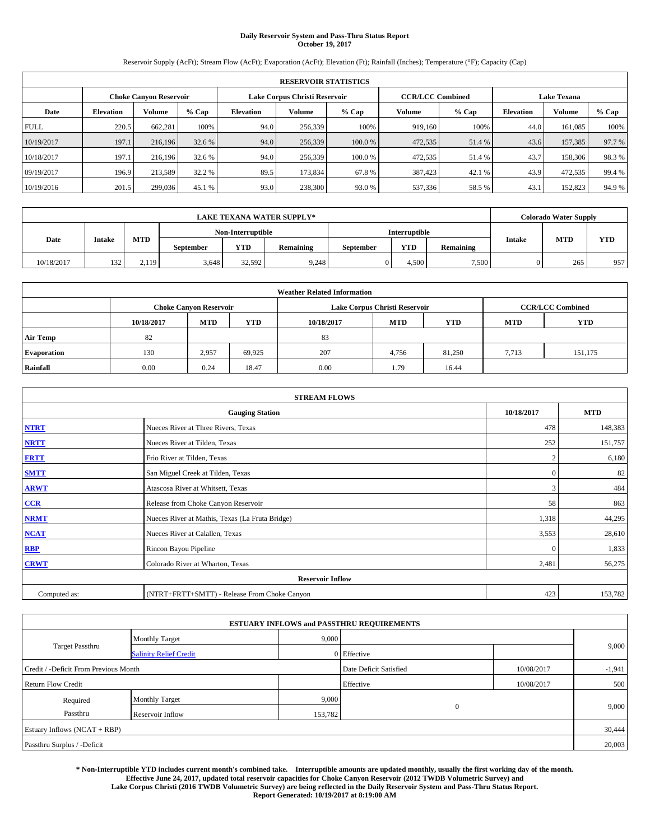# **Daily Reservoir System and Pass-Thru Status Report October 19, 2017**

Reservoir Supply (AcFt); Stream Flow (AcFt); Evaporation (AcFt); Elevation (Ft); Rainfall (Inches); Temperature (°F); Capacity (Cap)

| <b>RESERVOIR STATISTICS</b> |                  |                               |        |                  |                               |         |         |                                               |                  |         |        |
|-----------------------------|------------------|-------------------------------|--------|------------------|-------------------------------|---------|---------|-----------------------------------------------|------------------|---------|--------|
|                             |                  | <b>Choke Canyon Reservoir</b> |        |                  | Lake Corpus Christi Reservoir |         |         | <b>Lake Texana</b><br><b>CCR/LCC Combined</b> |                  |         |        |
| Date                        | <b>Elevation</b> | Volume                        | % Cap  | <b>Elevation</b> | Volume                        | $%$ Cap | Volume  | $%$ Cap                                       | <b>Elevation</b> | Volume  | % Cap  |
| <b>FULL</b>                 | 220.5            | 662,281                       | 100%   | 94.0             | 256,339                       | 100%    | 919.160 | 100%                                          | 44.0             | 161.085 | 100%   |
| 10/19/2017                  | 197.1            | 216,196                       | 32.6 % | 94.0             | 256,339                       | 100.0 % | 472,535 | 51.4 %                                        | 43.6             | 157,385 | 97.7 % |
| 10/18/2017                  | 197.1            | 216.196                       | 32.6 % | 94.0             | 256,339                       | 100.0%  | 472,535 | 51.4 %                                        | 43.7             | 158,306 | 98.3%  |
| 09/19/2017                  | 196.9            | 213.589                       | 32.2 % | 89.5             | 173.834                       | 67.8%   | 387,423 | 42.1 %                                        | 43.9             | 472,535 | 99.4 % |
| 10/19/2016                  | 201.5            | 299,036                       | 45.1 % | 93.0             | 238,300                       | 93.0 %  | 537,336 | 58.5 %                                        | 43.1             | 152,823 | 94.9 % |

|            |               |       |           |                   | <b>LAKE TEXANA WATER SUPPLY*</b> |                  |               |                  |               | <b>Colorado Water Supply</b> |            |
|------------|---------------|-------|-----------|-------------------|----------------------------------|------------------|---------------|------------------|---------------|------------------------------|------------|
|            |               |       |           | Non-Interruptible |                                  |                  | Interruptible |                  |               |                              |            |
| Date       | <b>Intake</b> | MTD   | September | YTD               | Remaining                        | <b>September</b> | <b>YTD</b>    | <b>Remaining</b> | <b>Intake</b> | <b>MTD</b>                   | <b>YTD</b> |
| 10/18/2017 | 132           | 2.119 | 3.648     | 32.592            | 9,248                            |                  | 4.500         | 7,500            |               | 265                          | 957        |

| <b>Weather Related Information</b> |            |                               |        |      |                               |        |       |                         |  |  |
|------------------------------------|------------|-------------------------------|--------|------|-------------------------------|--------|-------|-------------------------|--|--|
|                                    |            | <b>Choke Canyon Reservoir</b> |        |      | Lake Corpus Christi Reservoir |        |       | <b>CCR/LCC Combined</b> |  |  |
|                                    | 10/18/2017 | <b>YTD</b>                    |        |      |                               |        |       |                         |  |  |
| <b>Air Temp</b>                    | 82         |                               |        | 83   |                               |        |       |                         |  |  |
| <b>Evaporation</b>                 | 130        | 2,957                         | 69,925 | 207  | 4,756                         | 81,250 | 7.713 | 151,175                 |  |  |
| Rainfall                           | 0.00       | 0.24                          | 18.47  | 0.00 | 1.79                          | 16.44  |       |                         |  |  |

|              | <b>STREAM FLOWS</b>                             |              |            |  |  |  |  |  |  |  |
|--------------|-------------------------------------------------|--------------|------------|--|--|--|--|--|--|--|
|              | <b>Gauging Station</b>                          | 10/18/2017   | <b>MTD</b> |  |  |  |  |  |  |  |
| <b>NTRT</b>  | Nueces River at Three Rivers, Texas             | 478          | 148,383    |  |  |  |  |  |  |  |
| <b>NRTT</b>  | Nueces River at Tilden, Texas                   | 252          | 151,757    |  |  |  |  |  |  |  |
| <b>FRTT</b>  | Frio River at Tilden, Texas                     |              | 6,180      |  |  |  |  |  |  |  |
| <b>SMTT</b>  | San Miguel Creek at Tilden, Texas               | $\mathbf{0}$ | 82         |  |  |  |  |  |  |  |
| <b>ARWT</b>  | Atascosa River at Whitsett, Texas               | 3            | 484        |  |  |  |  |  |  |  |
| CCR          | Release from Choke Canyon Reservoir             | 58           | 863        |  |  |  |  |  |  |  |
| <b>NRMT</b>  | Nueces River at Mathis, Texas (La Fruta Bridge) | 1,318        | 44,295     |  |  |  |  |  |  |  |
| <b>NCAT</b>  | Nueces River at Calallen, Texas                 | 3,553        | 28,610     |  |  |  |  |  |  |  |
| <b>RBP</b>   | Rincon Bayou Pipeline                           | $\Omega$     | 1,833      |  |  |  |  |  |  |  |
| <b>CRWT</b>  | Colorado River at Wharton, Texas                | 2,481        | 56,275     |  |  |  |  |  |  |  |
|              | <b>Reservoir Inflow</b>                         |              |            |  |  |  |  |  |  |  |
| Computed as: | (NTRT+FRTT+SMTT) - Release From Choke Canyon    | 423          | 153,782    |  |  |  |  |  |  |  |

|                                       |                               |         | <b>ESTUARY INFLOWS and PASSTHRU REQUIREMENTS</b> |            |          |  |  |  |  |
|---------------------------------------|-------------------------------|---------|--------------------------------------------------|------------|----------|--|--|--|--|
|                                       | <b>Monthly Target</b>         | 9,000   |                                                  |            |          |  |  |  |  |
| Target Passthru                       | <b>Salinity Relief Credit</b> |         | 0 Effective                                      |            | 9,000    |  |  |  |  |
| Credit / -Deficit From Previous Month |                               |         | Date Deficit Satisfied                           | 10/08/2017 | $-1,941$ |  |  |  |  |
| <b>Return Flow Credit</b>             |                               |         | Effective                                        | 10/08/2017 | 500      |  |  |  |  |
| Required                              | <b>Monthly Target</b>         | 9,000   |                                                  |            |          |  |  |  |  |
| Passthru                              | Reservoir Inflow              | 153,782 | $\overline{0}$                                   |            | 9,000    |  |  |  |  |
| Estuary Inflows (NCAT + RBP)          |                               |         |                                                  |            |          |  |  |  |  |
| Passthru Surplus / -Deficit           |                               |         |                                                  |            |          |  |  |  |  |

**\* Non-Interruptible YTD includes current month's combined take. Interruptible amounts are updated monthly, usually the first working day of the month. Effective June 24, 2017, updated total reservoir capacities for Choke Canyon Reservoir (2012 TWDB Volumetric Survey) and Lake Corpus Christi (2016 TWDB Volumetric Survey) are being reflected in the Daily Reservoir System and Pass-Thru Status Report. Report Generated: 10/19/2017 at 8:19:00 AM**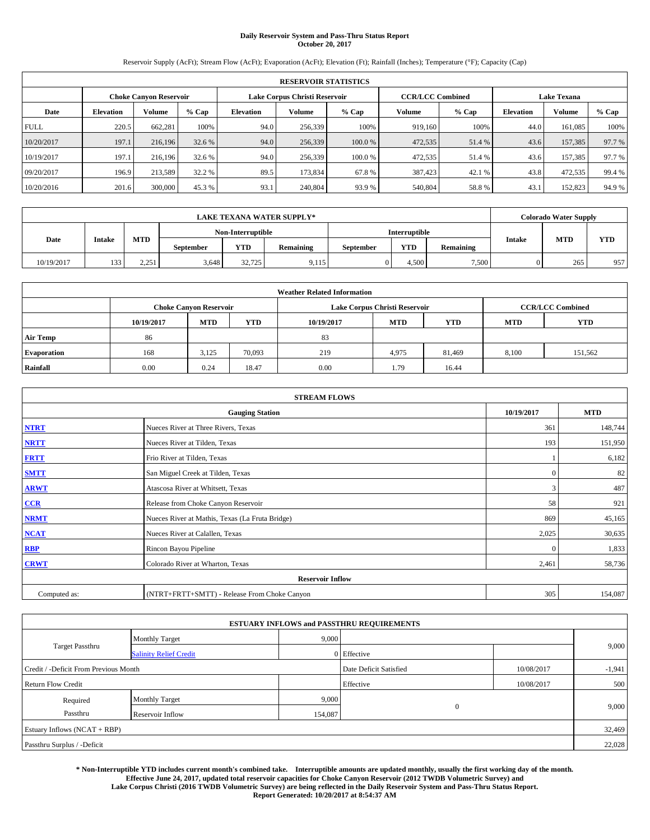# **Daily Reservoir System and Pass-Thru Status Report October 20, 2017**

Reservoir Supply (AcFt); Stream Flow (AcFt); Evaporation (AcFt); Elevation (Ft); Rainfall (Inches); Temperature (°F); Capacity (Cap)

| <b>RESERVOIR STATISTICS</b>   |                  |               |        |                  |                               |         |                                               |         |                  |         |        |
|-------------------------------|------------------|---------------|--------|------------------|-------------------------------|---------|-----------------------------------------------|---------|------------------|---------|--------|
| <b>Choke Canvon Reservoir</b> |                  |               |        |                  | Lake Corpus Christi Reservoir |         | <b>Lake Texana</b><br><b>CCR/LCC Combined</b> |         |                  |         |        |
| Date                          | <b>Elevation</b> | <b>Volume</b> | % Cap  | <b>Elevation</b> | <b>Volume</b>                 | $%$ Cap | Volume                                        | $%$ Cap | <b>Elevation</b> | Volume  | % Cap  |
| <b>FULL</b>                   | 220.5            | 662.281       | 100%   | 94.0             | 256,339                       | 100%    | 919,160                                       | 100%    | 44.0             | 161.085 | 100%   |
| 10/20/2017                    | 197.1            | 216,196       | 32.6 % | 94.0             | 256,339                       | 100.0 % | 472,535                                       | 51.4 %  | 43.6             | 157,385 | 97.7 % |
| 10/19/2017                    | 197.1            | 216.196       | 32.6 % | 94.0             | 256,339                       | 100.0 % | 472,535                                       | 51.4 %  | 43.6             | 157.385 | 97.7 % |
| 09/20/2017                    | 196.9            | 213.589       | 32.2 % | 89.5             | 173.834                       | 67.8%   | 387,423                                       | 42.1 %  | 43.8             | 472,535 | 99.4 % |
| 10/20/2016                    | 201.6            | 300,000       | 45.3%  | 93.1             | 240,804                       | 93.9%   | 540,804                                       | 58.8%   | 43.1             | 152,823 | 94.9%  |

|            |               |                                                      |                   |        | <b>LAKE TEXANA WATER SUPPLY*</b> |                  |               |                  |               | <b>Colorado Water Supply</b> |            |  |
|------------|---------------|------------------------------------------------------|-------------------|--------|----------------------------------|------------------|---------------|------------------|---------------|------------------------------|------------|--|
|            |               |                                                      | Non-Interruptible |        |                                  |                  | Interruptible |                  |               |                              |            |  |
| Date       | <b>Intake</b> | MTD                                                  | <b>September</b>  | YTD    | Remaining                        | <b>September</b> | <b>YTD</b>    | <b>Remaining</b> | <b>Intake</b> | <b>MTD</b>                   | <b>YTD</b> |  |
| 10/19/2017 | 133           | 2.251<br>المدار من سنة المستوفية المستوفية المستوفية | 3.648             | 32,725 | 9.115                            |                  | 4.500         | 7,500            |               | 265                          | 957        |  |

| <b>Weather Related Information</b> |            |                                                                                  |        |      |                               |                         |       |         |  |  |  |  |
|------------------------------------|------------|----------------------------------------------------------------------------------|--------|------|-------------------------------|-------------------------|-------|---------|--|--|--|--|
|                                    |            | <b>Choke Canyon Reservoir</b>                                                    |        |      | Lake Corpus Christi Reservoir | <b>CCR/LCC Combined</b> |       |         |  |  |  |  |
|                                    | 10/19/2017 | <b>YTD</b><br><b>MTD</b><br><b>MTD</b><br><b>YTD</b><br>10/19/2017<br><b>MTD</b> |        |      |                               |                         |       |         |  |  |  |  |
| <b>Air Temp</b>                    | 86         |                                                                                  |        | 83   |                               |                         |       |         |  |  |  |  |
| <b>Evaporation</b>                 | 168        | 3,125                                                                            | 70,093 | 219  | 4,975                         | 81,469                  | 8,100 | 151,562 |  |  |  |  |
| Rainfall                           | 0.00       | 0.24                                                                             | 18.47  | 0.00 | 1.79                          | 16.44                   |       |         |  |  |  |  |

| <b>STREAM FLOWS</b> |                                                 |            |            |  |  |  |  |  |
|---------------------|-------------------------------------------------|------------|------------|--|--|--|--|--|
|                     | <b>Gauging Station</b>                          | 10/19/2017 | <b>MTD</b> |  |  |  |  |  |
| <b>NTRT</b>         | Nueces River at Three Rivers, Texas             | 361        | 148,744    |  |  |  |  |  |
| <b>NRTT</b>         | Nueces River at Tilden, Texas                   | 193        | 151,950    |  |  |  |  |  |
| <b>FRTT</b>         | Frio River at Tilden, Texas                     |            | 6,182      |  |  |  |  |  |
| <b>SMTT</b>         | San Miguel Creek at Tilden, Texas               | $\theta$   | 82         |  |  |  |  |  |
| <b>ARWT</b>         | Atascosa River at Whitsett, Texas               | 3          | 487        |  |  |  |  |  |
| $CCR$               | Release from Choke Canyon Reservoir             | 58         | 921        |  |  |  |  |  |
| <b>NRMT</b>         | Nueces River at Mathis, Texas (La Fruta Bridge) | 869        | 45,165     |  |  |  |  |  |
| <b>NCAT</b>         | Nueces River at Calallen, Texas                 | 2,025      | 30,635     |  |  |  |  |  |
| RBP                 | Rincon Bayou Pipeline                           | $\Omega$   | 1,833      |  |  |  |  |  |
| <b>CRWT</b>         | Colorado River at Wharton, Texas                | 2,461      | 58,736     |  |  |  |  |  |
|                     | <b>Reservoir Inflow</b>                         |            |            |  |  |  |  |  |
| Computed as:        | (NTRT+FRTT+SMTT) - Release From Choke Canyon    | 305        | 154,087    |  |  |  |  |  |

|                                       |                               |         | <b>ESTUARY INFLOWS and PASSTHRU REQUIREMENTS</b> |            |          |  |
|---------------------------------------|-------------------------------|---------|--------------------------------------------------|------------|----------|--|
|                                       | <b>Monthly Target</b>         | 9,000   |                                                  |            |          |  |
| Target Passthru                       | <b>Salinity Relief Credit</b> |         | 0 Effective                                      |            | 9,000    |  |
| Credit / -Deficit From Previous Month |                               |         | Date Deficit Satisfied                           | 10/08/2017 | $-1,941$ |  |
| <b>Return Flow Credit</b>             |                               |         | Effective                                        | 10/08/2017 | 500      |  |
| Required                              | <b>Monthly Target</b>         | 9,000   |                                                  |            |          |  |
| Passthru                              | Reservoir Inflow              | 154,087 | $\mathbf{0}$                                     |            | 9,000    |  |
| Estuary Inflows (NCAT + RBP)          |                               |         |                                                  |            | 32,469   |  |
| Passthru Surplus / -Deficit           |                               |         |                                                  |            | 22,028   |  |

**\* Non-Interruptible YTD includes current month's combined take. Interruptible amounts are updated monthly, usually the first working day of the month. Effective June 24, 2017, updated total reservoir capacities for Choke Canyon Reservoir (2012 TWDB Volumetric Survey) and Lake Corpus Christi (2016 TWDB Volumetric Survey) are being reflected in the Daily Reservoir System and Pass-Thru Status Report. Report Generated: 10/20/2017 at 8:54:37 AM**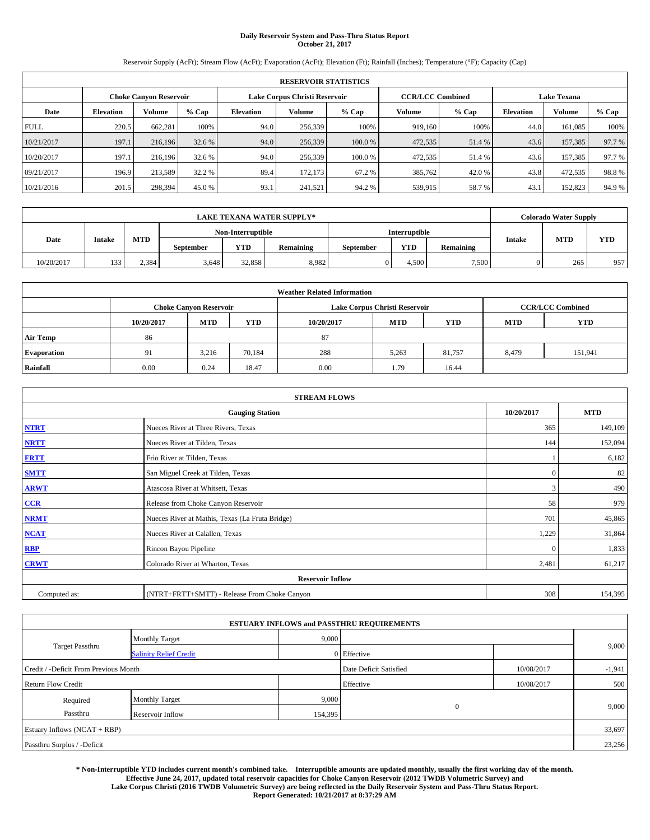# **Daily Reservoir System and Pass-Thru Status Report October 21, 2017**

Reservoir Supply (AcFt); Stream Flow (AcFt); Evaporation (AcFt); Elevation (Ft); Rainfall (Inches); Temperature (°F); Capacity (Cap)

|             | <b>RESERVOIR STATISTICS</b> |                               |        |                               |               |         |                         |         |                    |         |         |  |  |
|-------------|-----------------------------|-------------------------------|--------|-------------------------------|---------------|---------|-------------------------|---------|--------------------|---------|---------|--|--|
|             |                             | <b>Choke Canvon Reservoir</b> |        | Lake Corpus Christi Reservoir |               |         | <b>CCR/LCC Combined</b> |         | <b>Lake Texana</b> |         |         |  |  |
| Date        | <b>Elevation</b>            | Volume                        | % Cap  | <b>Elevation</b>              | <b>Volume</b> | $%$ Cap | Volume                  | $%$ Cap | <b>Elevation</b>   | Volume  | $%$ Cap |  |  |
| <b>FULL</b> | 220.5                       | 662,281                       | 100%   | 94.0                          | 256,339       | 100%    | 919.160                 | 100%    | 44.0               | 161.085 | 100%    |  |  |
| 10/21/2017  | 197.1                       | 216,196                       | 32.6 % | 94.0                          | 256,339       | 100.0 % | 472,535                 | 51.4 %  | 43.6               | 157,385 | 97.7 %  |  |  |
| 10/20/2017  | 197.1                       | 216.196                       | 32.6 % | 94.0                          | 256,339       | 100.0%  | 472,535                 | 51.4 %  | 43.6               | 157,385 | 97.7 %  |  |  |
| 09/21/2017  | 196.9                       | 213.589                       | 32.2 % | 89.4                          | 172,173       | 67.2 %  | 385,762                 | 42.0 %  | 43.8               | 472,535 | 98.8%   |  |  |
| 10/21/2016  | 201.5                       | 298,394                       | 45.0 % | 93.1                          | 241,521       | 94.2 %  | 539,915                 | 58.7%   | 43.1               | 152,823 | 94.9 %  |  |  |

|            |               |            |                   |            | <b>LAKE TEXANA WATER SUPPLY*</b> |           |                      |                  |               | <b>Colorado Water Supply</b> |            |  |
|------------|---------------|------------|-------------------|------------|----------------------------------|-----------|----------------------|------------------|---------------|------------------------------|------------|--|
|            |               |            | Non-Interruptible |            |                                  |           | <b>Interruptible</b> |                  |               |                              |            |  |
| Date       | <b>Intake</b> | <b>MTD</b> | September         | <b>YTD</b> | <b>Remaining</b>                 | September | <b>YTD</b>           | <b>Remaining</b> | <b>Intake</b> | <b>MTD</b>                   | <b>YTD</b> |  |
| 10/20/2017 | 133           | 2.384      | 3.648             | 32.858     | 8,982                            |           | 4.500                | 7,500            |               | 265                          | 957        |  |

|                    | <b>Weather Related Information</b> |                                                                                                |        |      |                               |                         |       |         |  |  |  |  |  |
|--------------------|------------------------------------|------------------------------------------------------------------------------------------------|--------|------|-------------------------------|-------------------------|-------|---------|--|--|--|--|--|
|                    |                                    | <b>Choke Canyon Reservoir</b>                                                                  |        |      | Lake Corpus Christi Reservoir | <b>CCR/LCC Combined</b> |       |         |  |  |  |  |  |
|                    | 10/20/2017                         | <b>YTD</b><br><b>YTD</b><br><b>MTD</b><br><b>MTD</b><br><b>YTD</b><br>10/20/2017<br><b>MTD</b> |        |      |                               |                         |       |         |  |  |  |  |  |
| <b>Air Temp</b>    | 86                                 |                                                                                                |        | 87   |                               |                         |       |         |  |  |  |  |  |
| <b>Evaporation</b> | 91                                 | 3.216                                                                                          | 70,184 | 288  | 5,263                         | 81,757                  | 8,479 | 151,941 |  |  |  |  |  |
| Rainfall           | 0.00                               | 0.24                                                                                           | 18.47  | 0.00 | 1.79                          | 16.44                   |       |         |  |  |  |  |  |

| <b>STREAM FLOWS</b> |                                                 |              |            |  |  |  |  |  |
|---------------------|-------------------------------------------------|--------------|------------|--|--|--|--|--|
|                     | <b>Gauging Station</b>                          | 10/20/2017   | <b>MTD</b> |  |  |  |  |  |
| <b>NTRT</b>         | Nueces River at Three Rivers, Texas             | 365          | 149,109    |  |  |  |  |  |
| <b>NRTT</b>         | Nueces River at Tilden, Texas                   | 144          | 152,094    |  |  |  |  |  |
| <b>FRTT</b>         | Frio River at Tilden, Texas                     |              | 6,182      |  |  |  |  |  |
| <b>SMTT</b>         | San Miguel Creek at Tilden, Texas               | $\mathbf{0}$ | 82         |  |  |  |  |  |
| <b>ARWT</b>         | Atascosa River at Whitsett, Texas               | 3            | 490        |  |  |  |  |  |
| $CCR$               | Release from Choke Canyon Reservoir             | 58           | 979        |  |  |  |  |  |
| <b>NRMT</b>         | Nueces River at Mathis, Texas (La Fruta Bridge) | 701          | 45,865     |  |  |  |  |  |
| <b>NCAT</b>         | Nueces River at Calallen, Texas                 | 1,229        | 31,864     |  |  |  |  |  |
| RBP                 | Rincon Bayou Pipeline                           | $\Omega$     | 1,833      |  |  |  |  |  |
| <b>CRWT</b>         | Colorado River at Wharton, Texas                | 2,481        | 61,217     |  |  |  |  |  |
|                     | <b>Reservoir Inflow</b>                         |              |            |  |  |  |  |  |
| Computed as:        | (NTRT+FRTT+SMTT) - Release From Choke Canyon    | 308          | 154,395    |  |  |  |  |  |

|                                       |                               |         | <b>ESTUARY INFLOWS and PASSTHRU REQUIREMENTS</b> |            |          |
|---------------------------------------|-------------------------------|---------|--------------------------------------------------|------------|----------|
|                                       | <b>Monthly Target</b>         | 9,000   |                                                  |            |          |
| <b>Target Passthru</b>                | <b>Salinity Relief Credit</b> |         | 0 Effective                                      |            | 9,000    |
| Credit / -Deficit From Previous Month |                               |         | Date Deficit Satisfied                           | 10/08/2017 | $-1,941$ |
| <b>Return Flow Credit</b>             |                               |         | Effective                                        | 10/08/2017 | 500      |
| Required                              | <b>Monthly Target</b>         | 9,000   |                                                  |            |          |
| Passthru                              | Reservoir Inflow              | 154,395 | $\mathbf{0}$                                     |            | 9,000    |
| Estuary Inflows (NCAT + RBP)          |                               |         |                                                  |            | 33,697   |
| Passthru Surplus / -Deficit           |                               |         |                                                  |            | 23,256   |

**\* Non-Interruptible YTD includes current month's combined take. Interruptible amounts are updated monthly, usually the first working day of the month. Effective June 24, 2017, updated total reservoir capacities for Choke Canyon Reservoir (2012 TWDB Volumetric Survey) and Lake Corpus Christi (2016 TWDB Volumetric Survey) are being reflected in the Daily Reservoir System and Pass-Thru Status Report. Report Generated: 10/21/2017 at 8:37:29 AM**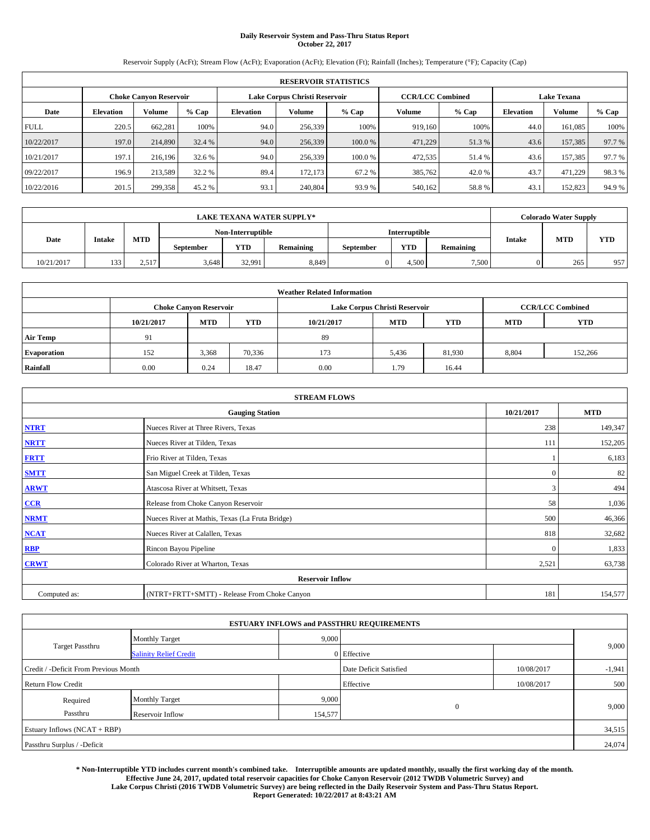## **Daily Reservoir System and Pass-Thru Status Report October 22, 2017**

Reservoir Supply (AcFt); Stream Flow (AcFt); Evaporation (AcFt); Elevation (Ft); Rainfall (Inches); Temperature (°F); Capacity (Cap)

|             | <b>RESERVOIR STATISTICS</b> |                               |        |                               |               |         |                         |         |                    |         |        |  |  |
|-------------|-----------------------------|-------------------------------|--------|-------------------------------|---------------|---------|-------------------------|---------|--------------------|---------|--------|--|--|
|             |                             | <b>Choke Canvon Reservoir</b> |        | Lake Corpus Christi Reservoir |               |         | <b>CCR/LCC Combined</b> |         | <b>Lake Texana</b> |         |        |  |  |
| Date        | <b>Elevation</b>            | <b>Volume</b>                 | % Cap  | <b>Elevation</b>              | <b>Volume</b> | % Cap   | Volume                  | $%$ Cap | <b>Elevation</b>   | Volume  | % Cap  |  |  |
| <b>FULL</b> | 220.5                       | 662.281                       | 100%   | 94.0                          | 256,339       | 100%    | 919,160                 | 100%    | 44.0               | 161.085 | 100%   |  |  |
| 10/22/2017  | 197.0                       | 214,890                       | 32.4 % | 94.0                          | 256,339       | 100.0 % | 471,229                 | 51.3 %  | 43.6               | 157,385 | 97.7 % |  |  |
| 10/21/2017  | 197.1                       | 216.196                       | 32.6 % | 94.0                          | 256,339       | 100.0 % | 472,535                 | 51.4 %  | 43.6               | 157.385 | 97.7 % |  |  |
| 09/22/2017  | 196.9                       | 213.589                       | 32.2 % | 89.4                          | 172.173       | 67.2 %  | 385,762                 | 42.0 %  | 43.7               | 471.229 | 98.3%  |  |  |
| 10/22/2016  | 201.5                       | 299,358                       | 45.2 % | 93.1                          | 240,804       | 93.9%   | 540,162                 | 58.8%   | 43.1               | 152,823 | 94.9%  |  |  |

|            |               |       |                   |        | <b>LAKE TEXANA WATER SUPPLY*</b> |                  |               |                  |               | <b>Colorado Water Supply</b> |            |  |
|------------|---------------|-------|-------------------|--------|----------------------------------|------------------|---------------|------------------|---------------|------------------------------|------------|--|
|            |               |       | Non-Interruptible |        |                                  |                  | Interruptible |                  |               |                              |            |  |
| Date       | <b>Intake</b> | MTD   | <b>September</b>  | YTD    | Remaining                        | <b>September</b> | <b>YTD</b>    | <b>Remaining</b> | <b>Intake</b> | <b>MTD</b>                   | <b>YTD</b> |  |
| 10/21/2017 | 133           | 2,517 | 3.648             | 32.991 | 8,849                            |                  | 4.500         | 7,500            |               | 265                          | 957        |  |

| <b>Weather Related Information</b> |            |                                                                                                |        |      |                               |                         |       |         |  |  |  |  |
|------------------------------------|------------|------------------------------------------------------------------------------------------------|--------|------|-------------------------------|-------------------------|-------|---------|--|--|--|--|
|                                    |            | <b>Choke Canyon Reservoir</b>                                                                  |        |      | Lake Corpus Christi Reservoir | <b>CCR/LCC Combined</b> |       |         |  |  |  |  |
|                                    | 10/21/2017 | <b>YTD</b><br><b>YTD</b><br><b>MTD</b><br><b>MTD</b><br><b>YTD</b><br>10/21/2017<br><b>MTD</b> |        |      |                               |                         |       |         |  |  |  |  |
| <b>Air Temp</b>                    | 91         |                                                                                                |        | 89   |                               |                         |       |         |  |  |  |  |
| <b>Evaporation</b>                 | 152        | 3,368                                                                                          | 70,336 | 173  | 5,436                         | 81,930                  | 8,804 | 152,266 |  |  |  |  |
| Rainfall                           | 0.00       | 0.24                                                                                           | 18.47  | 0.00 | 1.79                          | 16.44                   |       |         |  |  |  |  |

| <b>STREAM FLOWS</b>     |                                                 |              |         |  |  |  |  |  |  |
|-------------------------|-------------------------------------------------|--------------|---------|--|--|--|--|--|--|
|                         | <b>Gauging Station</b>                          |              |         |  |  |  |  |  |  |
| <b>NTRT</b>             | Nueces River at Three Rivers, Texas             | 238          | 149,347 |  |  |  |  |  |  |
| <b>NRTT</b>             | Nueces River at Tilden, Texas                   | 111          | 152,205 |  |  |  |  |  |  |
| <b>FRTT</b>             | Frio River at Tilden, Texas                     |              | 6,183   |  |  |  |  |  |  |
| <b>SMTT</b>             | San Miguel Creek at Tilden, Texas               | $\mathbf{0}$ | 82      |  |  |  |  |  |  |
| <b>ARWT</b>             | Atascosa River at Whitsett, Texas               | 3            | 494     |  |  |  |  |  |  |
| $CCR$                   | Release from Choke Canyon Reservoir             | 58           | 1,036   |  |  |  |  |  |  |
| <b>NRMT</b>             | Nueces River at Mathis, Texas (La Fruta Bridge) | 500          | 46,366  |  |  |  |  |  |  |
| <b>NCAT</b>             | Nueces River at Calallen, Texas                 | 818          | 32,682  |  |  |  |  |  |  |
| RBP                     | Rincon Bayou Pipeline                           | $\Omega$     | 1,833   |  |  |  |  |  |  |
| <b>CRWT</b>             | Colorado River at Wharton, Texas                | 2,521        | 63,738  |  |  |  |  |  |  |
| <b>Reservoir Inflow</b> |                                                 |              |         |  |  |  |  |  |  |
| Computed as:            | (NTRT+FRTT+SMTT) - Release From Choke Canyon    | 181          | 154,577 |  |  |  |  |  |  |

| <b>ESTUARY INFLOWS and PASSTHRU REQUIREMENTS</b> |                               |         |                                      |            |          |  |  |  |  |  |  |
|--------------------------------------------------|-------------------------------|---------|--------------------------------------|------------|----------|--|--|--|--|--|--|
|                                                  | <b>Monthly Target</b>         | 9,000   |                                      |            |          |  |  |  |  |  |  |
| <b>Target Passthru</b>                           | <b>Salinity Relief Credit</b> |         | 0 Effective                          |            | 9,000    |  |  |  |  |  |  |
| Credit / -Deficit From Previous Month            |                               |         | Date Deficit Satisfied<br>10/08/2017 |            | $-1,941$ |  |  |  |  |  |  |
| <b>Return Flow Credit</b>                        |                               |         | Effective                            | 10/08/2017 | 500      |  |  |  |  |  |  |
| Required                                         | <b>Monthly Target</b>         | 9,000   |                                      |            |          |  |  |  |  |  |  |
| Passthru                                         | Reservoir Inflow              | 154,577 | $\mathbf{0}$                         |            | 9,000    |  |  |  |  |  |  |
| Estuary Inflows (NCAT + RBP)                     |                               |         |                                      |            |          |  |  |  |  |  |  |
| Passthru Surplus / -Deficit                      |                               |         |                                      |            | 24,074   |  |  |  |  |  |  |

**\* Non-Interruptible YTD includes current month's combined take. Interruptible amounts are updated monthly, usually the first working day of the month. Effective June 24, 2017, updated total reservoir capacities for Choke Canyon Reservoir (2012 TWDB Volumetric Survey) and Lake Corpus Christi (2016 TWDB Volumetric Survey) are being reflected in the Daily Reservoir System and Pass-Thru Status Report. Report Generated: 10/22/2017 at 8:43:21 AM**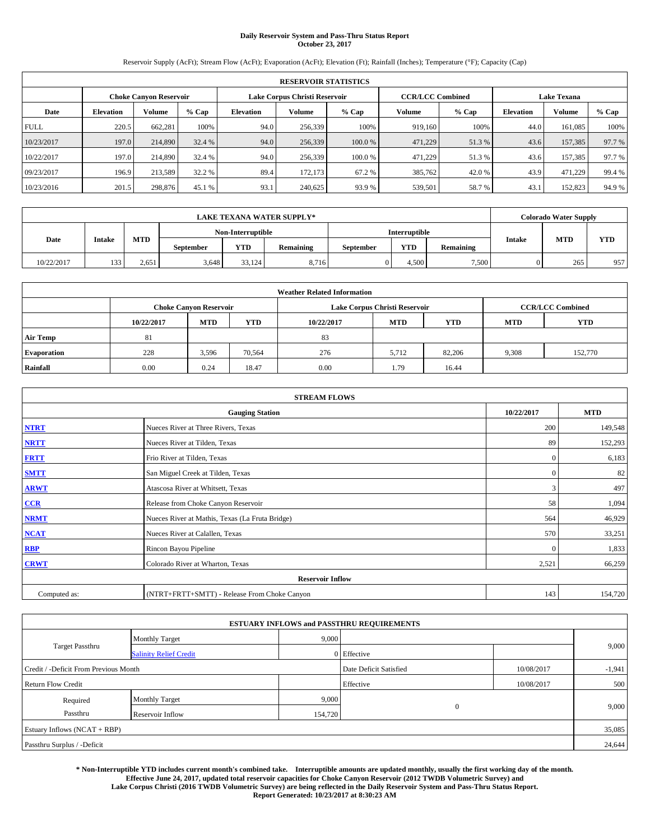# **Daily Reservoir System and Pass-Thru Status Report October 23, 2017**

Reservoir Supply (AcFt); Stream Flow (AcFt); Evaporation (AcFt); Elevation (Ft); Rainfall (Inches); Temperature (°F); Capacity (Cap)

| <b>RESERVOIR STATISTICS</b> |                               |               |        |                  |                               |         |                         |         |                    |         |        |
|-----------------------------|-------------------------------|---------------|--------|------------------|-------------------------------|---------|-------------------------|---------|--------------------|---------|--------|
|                             | <b>Choke Canvon Reservoir</b> |               |        |                  | Lake Corpus Christi Reservoir |         | <b>CCR/LCC Combined</b> |         | <b>Lake Texana</b> |         |        |
| Date                        | <b>Elevation</b>              | <b>Volume</b> | % Cap  | <b>Elevation</b> | <b>Volume</b>                 | $%$ Cap | Volume                  | $%$ Cap | <b>Elevation</b>   | Volume  | % Cap  |
| <b>FULL</b>                 | 220.5                         | 662.281       | 100%   | 94.0             | 256,339                       | 100%    | 919,160                 | 100%    | 44.0               | 161.085 | 100%   |
| 10/23/2017                  | 197.0                         | 214,890       | 32.4 % | 94.0             | 256,339                       | 100.0 % | 471,229                 | 51.3 %  | 43.6               | 157,385 | 97.7 % |
| 10/22/2017                  | 197.0                         | 214,890       | 32.4 % | 94.0             | 256,339                       | 100.0 % | 471,229                 | 51.3 %  | 43.6               | 157.385 | 97.7 % |
| 09/23/2017                  | 196.9                         | 213.589       | 32.2 % | 89.4             | 172.173                       | 67.2 %  | 385,762                 | 42.0 %  | 43.9               | 471.229 | 99.4 % |
| 10/23/2016                  | 201.5                         | 298,876       | 45.1 % | 93.1             | 240.625                       | 93.9%   | 539,501                 | 58.7 %  | 43.1               | 152,823 | 94.9%  |

| <b>LAKE TEXANA WATER SUPPLY*</b> |               |       |                  |                   |           |                  |               | <b>Colorado Water Supply</b> |               |            |            |
|----------------------------------|---------------|-------|------------------|-------------------|-----------|------------------|---------------|------------------------------|---------------|------------|------------|
|                                  |               |       |                  | Non-Interruptible |           |                  | Interruptible |                              |               |            |            |
| Date                             | <b>Intake</b> | MTD   | <b>September</b> | <b>YTD</b>        | Remaining | <b>September</b> | <b>YTD</b>    | <b>Remaining</b>             | <b>Intake</b> | <b>MTD</b> | <b>YTD</b> |
| 10/22/2017                       | 133           | 2.651 | 3.648            | 33.124            | 8.716     |                  | 4.500         | 7,500                        |               | 265        | 957        |

| <b>Weather Related Information</b> |            |                               |            |            |                               |                         |            |            |  |  |  |
|------------------------------------|------------|-------------------------------|------------|------------|-------------------------------|-------------------------|------------|------------|--|--|--|
|                                    |            | <b>Choke Canyon Reservoir</b> |            |            | Lake Corpus Christi Reservoir | <b>CCR/LCC Combined</b> |            |            |  |  |  |
|                                    | 10/22/2017 | <b>MTD</b>                    | <b>YTD</b> | 10/22/2017 | <b>MTD</b>                    | <b>YTD</b>              | <b>MTD</b> | <b>YTD</b> |  |  |  |
| <b>Air Temp</b>                    | 81         |                               |            | 83         |                               |                         |            |            |  |  |  |
| <b>Evaporation</b>                 | 228        | 3,596                         | 70,564     | 276        | 5,712                         | 82,206                  | 9,308      | 152,770    |  |  |  |
| Rainfall                           | 0.00       | 0.24                          | 18.47      | 0.00       | 1.79                          | 16.44                   |            |            |  |  |  |

| <b>STREAM FLOWS</b> |                                                 |              |         |  |  |  |  |  |  |
|---------------------|-------------------------------------------------|--------------|---------|--|--|--|--|--|--|
|                     | <b>Gauging Station</b>                          |              |         |  |  |  |  |  |  |
| <b>NTRT</b>         | Nueces River at Three Rivers, Texas             | 200          | 149,548 |  |  |  |  |  |  |
| <b>NRTT</b>         | Nueces River at Tilden, Texas                   | 89           | 152,293 |  |  |  |  |  |  |
| <b>FRTT</b>         | Frio River at Tilden, Texas                     | $\mathbf{0}$ | 6,183   |  |  |  |  |  |  |
| <b>SMTT</b>         | San Miguel Creek at Tilden, Texas               | $\mathbf{0}$ | 82      |  |  |  |  |  |  |
| <b>ARWT</b>         | Atascosa River at Whitsett, Texas               | 3            | 497     |  |  |  |  |  |  |
| $CCR$               | Release from Choke Canyon Reservoir             | 58           | 1,094   |  |  |  |  |  |  |
| <b>NRMT</b>         | Nueces River at Mathis, Texas (La Fruta Bridge) | 564          | 46,929  |  |  |  |  |  |  |
| <b>NCAT</b>         | Nueces River at Calallen, Texas                 | 570          | 33,251  |  |  |  |  |  |  |
| RBP                 | Rincon Bayou Pipeline                           | $\Omega$     | 1,833   |  |  |  |  |  |  |
| <b>CRWT</b>         | Colorado River at Wharton, Texas                | 2,521        | 66,259  |  |  |  |  |  |  |
|                     | <b>Reservoir Inflow</b>                         |              |         |  |  |  |  |  |  |
| Computed as:        | (NTRT+FRTT+SMTT) - Release From Choke Canyon    | 143          | 154,720 |  |  |  |  |  |  |

| <b>ESTUARY INFLOWS and PASSTHRU REQUIREMENTS</b> |                               |         |                                      |            |          |  |  |  |  |  |
|--------------------------------------------------|-------------------------------|---------|--------------------------------------|------------|----------|--|--|--|--|--|
|                                                  | <b>Monthly Target</b>         | 9,000   |                                      |            |          |  |  |  |  |  |
| <b>Target Passthru</b>                           | <b>Salinity Relief Credit</b> |         | 0 Effective                          |            | 9,000    |  |  |  |  |  |
| Credit / -Deficit From Previous Month            |                               |         | Date Deficit Satisfied<br>10/08/2017 |            | $-1,941$ |  |  |  |  |  |
| <b>Return Flow Credit</b>                        |                               |         | Effective                            | 10/08/2017 | 500      |  |  |  |  |  |
| Required                                         | <b>Monthly Target</b>         | 9,000   |                                      |            |          |  |  |  |  |  |
| Passthru<br>Reservoir Inflow                     |                               | 154,720 | $\mathbf{0}$                         |            | 9,000    |  |  |  |  |  |
| Estuary Inflows (NCAT + RBP)                     |                               |         |                                      |            |          |  |  |  |  |  |
| Passthru Surplus / -Deficit                      |                               |         |                                      |            | 24,644   |  |  |  |  |  |

**\* Non-Interruptible YTD includes current month's combined take. Interruptible amounts are updated monthly, usually the first working day of the month. Effective June 24, 2017, updated total reservoir capacities for Choke Canyon Reservoir (2012 TWDB Volumetric Survey) and Lake Corpus Christi (2016 TWDB Volumetric Survey) are being reflected in the Daily Reservoir System and Pass-Thru Status Report. Report Generated: 10/23/2017 at 8:30:23 AM**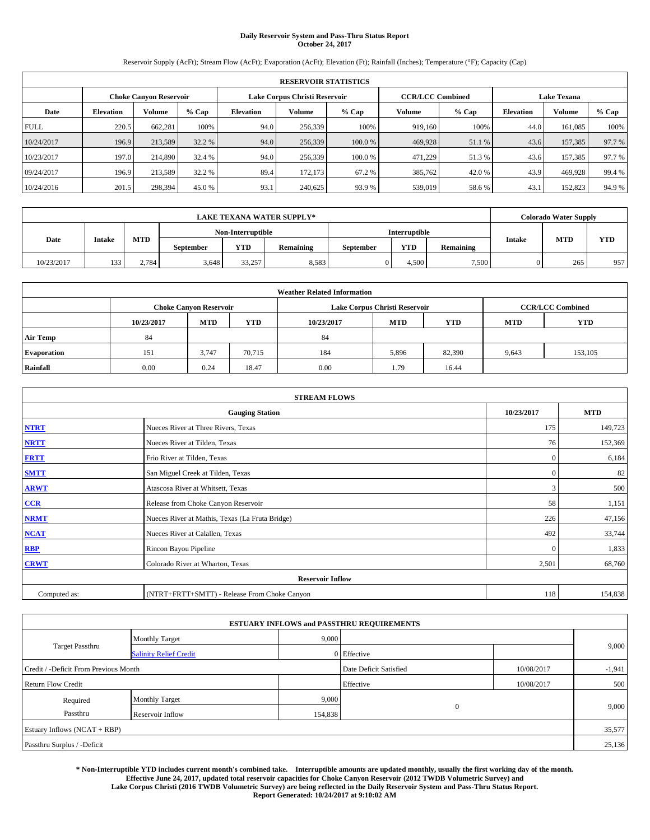# **Daily Reservoir System and Pass-Thru Status Report October 24, 2017**

Reservoir Supply (AcFt); Stream Flow (AcFt); Evaporation (AcFt); Elevation (Ft); Rainfall (Inches); Temperature (°F); Capacity (Cap)

| <b>RESERVOIR STATISTICS</b> |                               |               |        |                  |                               |         |                         |         |                    |         |        |
|-----------------------------|-------------------------------|---------------|--------|------------------|-------------------------------|---------|-------------------------|---------|--------------------|---------|--------|
|                             | <b>Choke Canvon Reservoir</b> |               |        |                  | Lake Corpus Christi Reservoir |         | <b>CCR/LCC Combined</b> |         | <b>Lake Texana</b> |         |        |
| Date                        | <b>Elevation</b>              | <b>Volume</b> | % Cap  | <b>Elevation</b> | <b>Volume</b>                 | $%$ Cap | Volume                  | $%$ Cap | <b>Elevation</b>   | Volume  | % Cap  |
| <b>FULL</b>                 | 220.5                         | 662.281       | 100%   | 94.0             | 256,339                       | 100%    | 919,160                 | 100%    | 44.0               | 161.085 | 100%   |
| 10/24/2017                  | 196.9                         | 213,589       | 32.2 % | 94.0             | 256,339                       | 100.0 % | 469,928                 | 51.1 %  | 43.6               | 157,385 | 97.7 % |
| 10/23/2017                  | 197.0                         | 214,890       | 32.4 % | 94.0             | 256,339                       | 100.0 % | 471,229                 | 51.3 %  | 43.6               | 157.385 | 97.7 % |
| 09/24/2017                  | 196.9                         | 213.589       | 32.2 % | 89.4             | 172.173                       | 67.2 %  | 385,762                 | 42.0 %  | 43.9               | 469,928 | 99.4%  |
| 10/24/2016                  | 201.5                         | 298,394       | 45.0 % | 93.1             | 240.625                       | 93.9%   | 539,019                 | 58.6%   | 43.1               | 152,823 | 94.9%  |

| <b>LAKE TEXANA WATER SUPPLY*</b> |               |       |                  |                   |           |                  |               | <b>Colorado Water Supply</b> |               |            |            |
|----------------------------------|---------------|-------|------------------|-------------------|-----------|------------------|---------------|------------------------------|---------------|------------|------------|
|                                  |               |       |                  | Non-Interruptible |           |                  | Interruptible |                              |               |            |            |
| Date                             | <b>Intake</b> | MTD   | <b>September</b> | YTD               | Remaining | <b>September</b> | <b>YTD</b>    | <b>Remaining</b>             | <b>Intake</b> | <b>MTD</b> | <b>YTD</b> |
| 10/23/2017                       | 133           | 2.784 | 3.648            | 33,257            | 8,583     |                  | 4.500         | 7,500                        |               | 265        | 957        |

| <b>Weather Related Information</b> |            |                               |            |            |                               |                         |            |            |  |  |  |
|------------------------------------|------------|-------------------------------|------------|------------|-------------------------------|-------------------------|------------|------------|--|--|--|
|                                    |            | <b>Choke Canyon Reservoir</b> |            |            | Lake Corpus Christi Reservoir | <b>CCR/LCC Combined</b> |            |            |  |  |  |
|                                    | 10/23/2017 | <b>MTD</b>                    | <b>YTD</b> | 10/23/2017 | <b>MTD</b>                    | <b>YTD</b>              | <b>MTD</b> | <b>YTD</b> |  |  |  |
| <b>Air Temp</b>                    | 84         |                               |            | 84         |                               |                         |            |            |  |  |  |
| <b>Evaporation</b>                 | 151        | 3.747                         | 70,715     | 184        | 5,896                         | 82,390                  | 9,643      | 153,105    |  |  |  |
| Rainfall                           | 0.00       | 0.24                          | 18.47      | 0.00       | 1.79                          | 16.44                   |            |            |  |  |  |

| <b>STREAM FLOWS</b> |                                                 |              |         |  |  |  |  |  |  |
|---------------------|-------------------------------------------------|--------------|---------|--|--|--|--|--|--|
|                     | <b>Gauging Station</b>                          |              |         |  |  |  |  |  |  |
| <b>NTRT</b>         | Nueces River at Three Rivers, Texas             | 175          | 149,723 |  |  |  |  |  |  |
| <b>NRTT</b>         | Nueces River at Tilden, Texas                   | 76           | 152,369 |  |  |  |  |  |  |
| <b>FRTT</b>         | Frio River at Tilden, Texas                     | $\mathbf{0}$ | 6,184   |  |  |  |  |  |  |
| <b>SMTT</b>         | San Miguel Creek at Tilden, Texas               | $\bf{0}$     | 82      |  |  |  |  |  |  |
| <b>ARWT</b>         | Atascosa River at Whitsett, Texas               | 3            | 500     |  |  |  |  |  |  |
| CCR                 | Release from Choke Canyon Reservoir             | 58           | 1,151   |  |  |  |  |  |  |
| <b>NRMT</b>         | Nueces River at Mathis, Texas (La Fruta Bridge) | 226          | 47,156  |  |  |  |  |  |  |
| <b>NCAT</b>         | Nueces River at Calallen, Texas                 | 492          | 33,744  |  |  |  |  |  |  |
| <b>RBP</b>          | Rincon Bayou Pipeline                           | $\bf{0}$     | 1,833   |  |  |  |  |  |  |
| <b>CRWT</b>         | Colorado River at Wharton, Texas                | 2,501        | 68,760  |  |  |  |  |  |  |
|                     | <b>Reservoir Inflow</b>                         |              |         |  |  |  |  |  |  |
| Computed as:        | (NTRT+FRTT+SMTT) - Release From Choke Canyon    | 118          | 154,838 |  |  |  |  |  |  |

| <b>ESTUARY INFLOWS and PASSTHRU REQUIREMENTS</b> |                               |         |                        |            |          |  |  |  |  |  |
|--------------------------------------------------|-------------------------------|---------|------------------------|------------|----------|--|--|--|--|--|
|                                                  | <b>Monthly Target</b>         | 9,000   |                        |            |          |  |  |  |  |  |
| Target Passthru                                  | <b>Salinity Relief Credit</b> |         | 0 Effective            |            | 9,000    |  |  |  |  |  |
| Credit / -Deficit From Previous Month            |                               |         | Date Deficit Satisfied | 10/08/2017 | $-1,941$ |  |  |  |  |  |
| <b>Return Flow Credit</b>                        |                               |         | Effective              | 10/08/2017 | 500      |  |  |  |  |  |
| Required                                         | <b>Monthly Target</b>         | 9,000   |                        |            |          |  |  |  |  |  |
| Passthru<br>Reservoir Inflow                     |                               | 154,838 | $\overline{0}$         |            | 9,000    |  |  |  |  |  |
| Estuary Inflows (NCAT + RBP)                     |                               |         |                        |            |          |  |  |  |  |  |
| Passthru Surplus / -Deficit                      |                               |         |                        |            | 25,136   |  |  |  |  |  |

**\* Non-Interruptible YTD includes current month's combined take. Interruptible amounts are updated monthly, usually the first working day of the month. Effective June 24, 2017, updated total reservoir capacities for Choke Canyon Reservoir (2012 TWDB Volumetric Survey) and Lake Corpus Christi (2016 TWDB Volumetric Survey) are being reflected in the Daily Reservoir System and Pass-Thru Status Report. Report Generated: 10/24/2017 at 9:10:02 AM**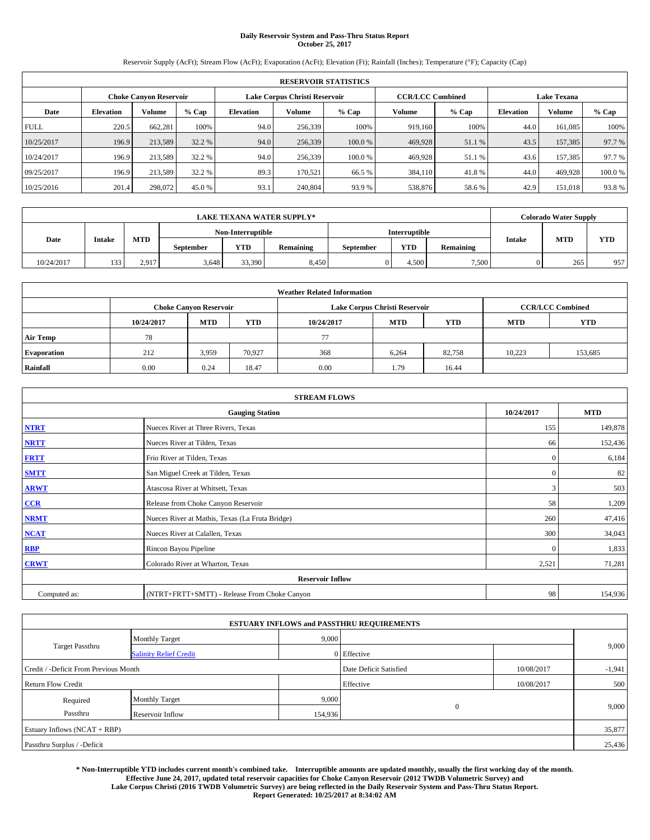# **Daily Reservoir System and Pass-Thru Status Report October 25, 2017**

Reservoir Supply (AcFt); Stream Flow (AcFt); Evaporation (AcFt); Elevation (Ft); Rainfall (Inches); Temperature (°F); Capacity (Cap)

|             | <b>RESERVOIR STATISTICS</b> |                               |         |                  |                                                          |         |         |         |                    |               |         |
|-------------|-----------------------------|-------------------------------|---------|------------------|----------------------------------------------------------|---------|---------|---------|--------------------|---------------|---------|
|             |                             | <b>Choke Canyon Reservoir</b> |         |                  | Lake Corpus Christi Reservoir<br><b>CCR/LCC Combined</b> |         |         |         | <b>Lake Texana</b> |               |         |
| Date        | <b>Elevation</b>            | Volume                        | $%$ Cap | <b>Elevation</b> | Volume                                                   | % Cap   | Volume  | $%$ Cap | <b>Elevation</b>   | <b>Volume</b> | $%$ Cap |
| <b>FULL</b> | 220.5                       | 662,281                       | 100%    | 94.0             | 256,339                                                  | 100%    | 919.160 | 100%    | 44.0               | 161.085       | 100%    |
| 10/25/2017  | 196.9                       | 213,589                       | 32.2 %  | 94.0             | 256,339                                                  | 100.0%  | 469,928 | 51.1 %  | 43.5               | 157,385       | 97.7 %  |
| 10/24/2017  | 196.9                       | 213,589                       | 32.2 %  | 94.0             | 256,339                                                  | 100.0 % | 469.928 | 51.1%   | 43.6               | 157.385       | 97.7 %  |
| 09/25/2017  | 196.9                       | 213.589                       | 32.2 %  | 89.3             | 170.521                                                  | 66.5 %  | 384,110 | 41.8%   | 44.0               | 469,928       | 100.0%  |
| 10/25/2016  | 201.4                       | 298,072                       | 45.0 %  | 93.1             | 240,804                                                  | 93.9%   | 538,876 | 58.6%   | 42.9               | 151.018       | 93.8%   |

|                                                                      | <b>LAKE TEXANA WATER SUPPLY*</b> |       |       |                   |                  |            |                  |               |            | <b>Colorado Water Supply</b> |     |  |
|----------------------------------------------------------------------|----------------------------------|-------|-------|-------------------|------------------|------------|------------------|---------------|------------|------------------------------|-----|--|
|                                                                      |                                  |       |       | Non-Interruptible |                  |            | Interruptible    |               |            |                              |     |  |
| MTD<br>Date<br><b>Intake</b><br>YTD<br>Remaining<br><b>September</b> |                                  |       |       |                   | <b>September</b> | <b>YTD</b> | <b>Remaining</b> | <b>Intake</b> | <b>MTD</b> | <b>YTD</b>                   |     |  |
| 10/24/2017                                                           | 133                              | 2.917 | 3.648 | 33,390            | 8,450            |            | 4.500            | 7,500         |            | 265                          | 957 |  |

| <b>Weather Related Information</b> |            |                                                                                                |        |      |                               |                         |        |         |  |  |
|------------------------------------|------------|------------------------------------------------------------------------------------------------|--------|------|-------------------------------|-------------------------|--------|---------|--|--|
|                                    |            | <b>Choke Canyon Reservoir</b>                                                                  |        |      | Lake Corpus Christi Reservoir | <b>CCR/LCC Combined</b> |        |         |  |  |
|                                    | 10/24/2017 | <b>YTD</b><br><b>MTD</b><br><b>YTD</b><br><b>MTD</b><br><b>YTD</b><br><b>MTD</b><br>10/24/2017 |        |      |                               |                         |        |         |  |  |
| <b>Air Temp</b>                    | 78         |                                                                                                |        | 77   |                               |                         |        |         |  |  |
| <b>Evaporation</b>                 | 212        | 3,959                                                                                          | 70,927 | 368  | 6,264                         | 82,758                  | 10,223 | 153,685 |  |  |
| Rainfall                           | 0.00       | 0.24                                                                                           | 18.47  | 0.00 | 1.79                          | 16.44                   |        |         |  |  |

| <b>STREAM FLOWS</b> |                                                 |              |            |  |  |  |  |  |  |
|---------------------|-------------------------------------------------|--------------|------------|--|--|--|--|--|--|
|                     | <b>Gauging Station</b>                          | 10/24/2017   | <b>MTD</b> |  |  |  |  |  |  |
| <b>NTRT</b>         | Nueces River at Three Rivers, Texas             | 155          | 149,878    |  |  |  |  |  |  |
| <b>NRTT</b>         | Nueces River at Tilden, Texas                   | 66           | 152,436    |  |  |  |  |  |  |
| <b>FRTT</b>         | Frio River at Tilden, Texas                     | $\mathbf{0}$ | 6,184      |  |  |  |  |  |  |
| <b>SMTT</b>         | San Miguel Creek at Tilden, Texas               | $\mathbf{0}$ | 82         |  |  |  |  |  |  |
| <b>ARWT</b>         | Atascosa River at Whitsett, Texas               | 3            | 503        |  |  |  |  |  |  |
| CCR                 | Release from Choke Canyon Reservoir             | 58           | 1,209      |  |  |  |  |  |  |
| <b>NRMT</b>         | Nueces River at Mathis, Texas (La Fruta Bridge) | 260          | 47,416     |  |  |  |  |  |  |
| NCAT                | Nueces River at Calallen, Texas                 | 300          | 34,043     |  |  |  |  |  |  |
| <b>RBP</b>          | Rincon Bayou Pipeline                           | $\Omega$     | 1,833      |  |  |  |  |  |  |
| <b>CRWT</b>         | Colorado River at Wharton, Texas                | 2,521        | 71,281     |  |  |  |  |  |  |
|                     | <b>Reservoir Inflow</b>                         |              |            |  |  |  |  |  |  |
| Computed as:        | (NTRT+FRTT+SMTT) - Release From Choke Canyon    | 98           | 154,936    |  |  |  |  |  |  |

| <b>ESTUARY INFLOWS and PASSTHRU REQUIREMENTS</b> |                               |         |                        |            |          |  |  |  |  |  |
|--------------------------------------------------|-------------------------------|---------|------------------------|------------|----------|--|--|--|--|--|
|                                                  | <b>Monthly Target</b>         | 9,000   |                        |            |          |  |  |  |  |  |
| Target Passthru                                  | <b>Salinity Relief Credit</b> |         | 0 Effective            |            | 9,000    |  |  |  |  |  |
| Credit / -Deficit From Previous Month            |                               |         | Date Deficit Satisfied | 10/08/2017 | $-1,941$ |  |  |  |  |  |
| <b>Return Flow Credit</b>                        |                               |         | Effective              | 10/08/2017 | 500      |  |  |  |  |  |
| Required                                         | <b>Monthly Target</b>         | 9,000   |                        |            |          |  |  |  |  |  |
| Passthru                                         | Reservoir Inflow              | 154,936 | $\overline{0}$         |            | 9,000    |  |  |  |  |  |
| Estuary Inflows (NCAT + RBP)                     |                               |         |                        | 35,877     |          |  |  |  |  |  |
| Passthru Surplus / -Deficit                      |                               |         |                        |            |          |  |  |  |  |  |

**\* Non-Interruptible YTD includes current month's combined take. Interruptible amounts are updated monthly, usually the first working day of the month. Effective June 24, 2017, updated total reservoir capacities for Choke Canyon Reservoir (2012 TWDB Volumetric Survey) and Lake Corpus Christi (2016 TWDB Volumetric Survey) are being reflected in the Daily Reservoir System and Pass-Thru Status Report. Report Generated: 10/25/2017 at 8:34:02 AM**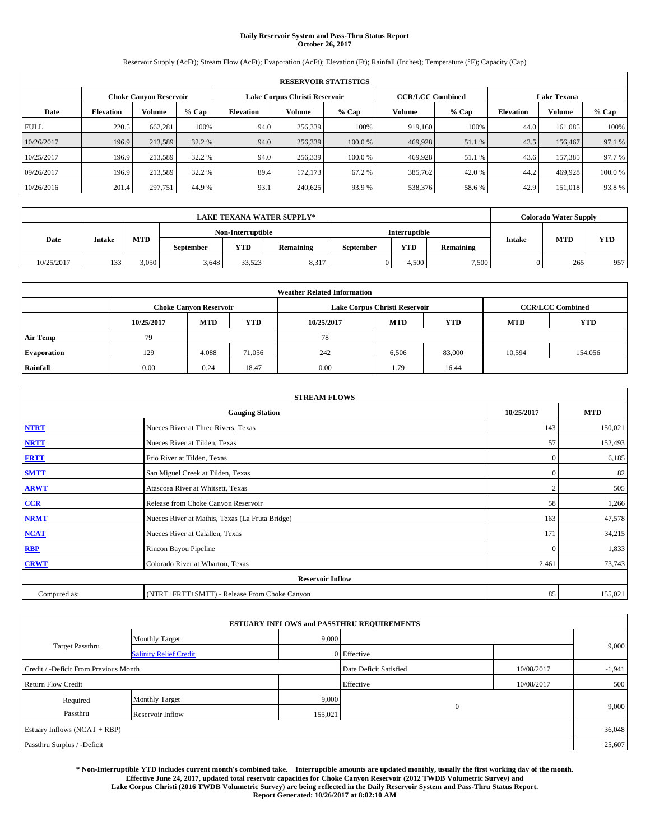# **Daily Reservoir System and Pass-Thru Status Report October 26, 2017**

Reservoir Supply (AcFt); Stream Flow (AcFt); Evaporation (AcFt); Elevation (Ft); Rainfall (Inches); Temperature (°F); Capacity (Cap)

|             | <b>RESERVOIR STATISTICS</b> |                               |         |                               |         |         |                         |         |                  |                    |         |
|-------------|-----------------------------|-------------------------------|---------|-------------------------------|---------|---------|-------------------------|---------|------------------|--------------------|---------|
|             |                             | <b>Choke Canyon Reservoir</b> |         | Lake Corpus Christi Reservoir |         |         | <b>CCR/LCC Combined</b> |         |                  | <b>Lake Texana</b> |         |
| Date        | <b>Elevation</b>            | Volume                        | $%$ Cap | <b>Elevation</b>              | Volume  | % Cap   | Volume                  | $%$ Cap | <b>Elevation</b> | <b>Volume</b>      | $%$ Cap |
| <b>FULL</b> | 220.5                       | 662,281                       | 100%    | 94.0                          | 256,339 | 100%    | 919.160                 | 100%    | 44.0             | 161.085            | 100%    |
| 10/26/2017  | 196.9                       | 213,589                       | 32.2 %  | 94.0                          | 256,339 | 100.0%  | 469,928                 | 51.1 %  | 43.5             | 156,467            | 97.1 %  |
| 10/25/2017  | 196.9                       | 213,589                       | 32.2 %  | 94.0                          | 256,339 | 100.0 % | 469.928                 | 51.1%   | 43.6             | 157.385            | 97.7 %  |
| 09/26/2017  | 196.9                       | 213.589                       | 32.2 %  | 89.4                          | 172,173 | 67.2%   | 385,762                 | 42.0%   | 44.2             | 469,928            | 100.0%  |
| 10/26/2016  | 201.4                       | 297,751                       | 44.9 %  | 93.1                          | 240,625 | 93.9%   | 538,376                 | 58.6%   | 42.9             | 151.018            | 93.8%   |

|                                                                      | <b>LAKE TEXANA WATER SUPPLY*</b> |       |       |                   |                  |            |                  |               |            | <b>Colorado Water Supply</b> |     |
|----------------------------------------------------------------------|----------------------------------|-------|-------|-------------------|------------------|------------|------------------|---------------|------------|------------------------------|-----|
|                                                                      |                                  |       |       | Non-Interruptible |                  |            | Interruptible    |               |            |                              |     |
| MTD<br>Date<br><b>Intake</b><br>YTD<br>Remaining<br><b>September</b> |                                  |       |       |                   | <b>September</b> | <b>YTD</b> | <b>Remaining</b> | <b>Intake</b> | <b>MTD</b> | <b>YTD</b>                   |     |
| 10/25/2017                                                           | 133                              | 3.050 | 3.648 | 33.523            | 8,317            |            | 4.500            | 7,500         |            | 265                          | 957 |

| <b>Weather Related Information</b> |            |                                                                                  |        |      |                               |                         |        |         |  |  |
|------------------------------------|------------|----------------------------------------------------------------------------------|--------|------|-------------------------------|-------------------------|--------|---------|--|--|
|                                    |            | <b>Choke Canyon Reservoir</b>                                                    |        |      | Lake Corpus Christi Reservoir | <b>CCR/LCC Combined</b> |        |         |  |  |
|                                    | 10/25/2017 | <b>YTD</b><br><b>MTD</b><br><b>MTD</b><br><b>YTD</b><br><b>MTD</b><br>10/25/2017 |        |      |                               |                         |        |         |  |  |
| <b>Air Temp</b>                    | 79         |                                                                                  |        | 78   |                               |                         |        |         |  |  |
| <b>Evaporation</b>                 | 129        | 4,088                                                                            | 71,056 | 242  | 6,506                         | 83,000                  | 10,594 | 154,056 |  |  |
| Rainfall                           | 0.00       | 0.24                                                                             | 18.47  | 0.00 | 1.79                          | 16.44                   |        |         |  |  |

| <b>STREAM FLOWS</b> |                                                 |                |            |  |  |  |  |  |  |
|---------------------|-------------------------------------------------|----------------|------------|--|--|--|--|--|--|
|                     | <b>Gauging Station</b>                          | 10/25/2017     | <b>MTD</b> |  |  |  |  |  |  |
| <b>NTRT</b>         | Nueces River at Three Rivers, Texas             | 143            | 150,021    |  |  |  |  |  |  |
| <b>NRTT</b>         | Nueces River at Tilden, Texas                   | 57             | 152,493    |  |  |  |  |  |  |
| <b>FRTT</b>         | Frio River at Tilden, Texas                     | $\mathbf{0}$   | 6,185      |  |  |  |  |  |  |
| <b>SMTT</b>         | San Miguel Creek at Tilden, Texas               | $\mathbf{0}$   | 82         |  |  |  |  |  |  |
| <b>ARWT</b>         | Atascosa River at Whitsett, Texas               | $\overline{2}$ | 505        |  |  |  |  |  |  |
| $CCR$               | Release from Choke Canyon Reservoir             | 58             | 1,266      |  |  |  |  |  |  |
| <b>NRMT</b>         | Nueces River at Mathis, Texas (La Fruta Bridge) | 163            | 47,578     |  |  |  |  |  |  |
| <b>NCAT</b>         | Nueces River at Calallen, Texas                 | 171            | 34,215     |  |  |  |  |  |  |
| RBP                 | Rincon Bayou Pipeline                           | $\Omega$       | 1,833      |  |  |  |  |  |  |
| <b>CRWT</b>         | Colorado River at Wharton, Texas                | 2,461          | 73,743     |  |  |  |  |  |  |
|                     | <b>Reservoir Inflow</b>                         |                |            |  |  |  |  |  |  |
| Computed as:        | (NTRT+FRTT+SMTT) - Release From Choke Canyon    | 85             | 155,021    |  |  |  |  |  |  |

| <b>ESTUARY INFLOWS and PASSTHRU REQUIREMENTS</b> |                               |                        |              |            |       |  |  |  |  |  |
|--------------------------------------------------|-------------------------------|------------------------|--------------|------------|-------|--|--|--|--|--|
|                                                  | <b>Monthly Target</b>         | 9,000                  |              |            |       |  |  |  |  |  |
| Target Passthru                                  | <b>Salinity Relief Credit</b> |                        | 0 Effective  |            | 9,000 |  |  |  |  |  |
| Credit / -Deficit From Previous Month            |                               | Date Deficit Satisfied | 10/08/2017   | $-1,941$   |       |  |  |  |  |  |
| <b>Return Flow Credit</b>                        |                               |                        | Effective    | 10/08/2017 | 500   |  |  |  |  |  |
| Required                                         | <b>Monthly Target</b>         | 9,000                  |              |            |       |  |  |  |  |  |
| Passthru                                         | Reservoir Inflow              | 155,021                | $\mathbf{0}$ |            | 9,000 |  |  |  |  |  |
| Estuary Inflows (NCAT + RBP)                     |                               |                        |              |            |       |  |  |  |  |  |
| Passthru Surplus / -Deficit                      |                               |                        |              |            |       |  |  |  |  |  |

**\* Non-Interruptible YTD includes current month's combined take. Interruptible amounts are updated monthly, usually the first working day of the month. Effective June 24, 2017, updated total reservoir capacities for Choke Canyon Reservoir (2012 TWDB Volumetric Survey) and Lake Corpus Christi (2016 TWDB Volumetric Survey) are being reflected in the Daily Reservoir System and Pass-Thru Status Report. Report Generated: 10/26/2017 at 8:02:10 AM**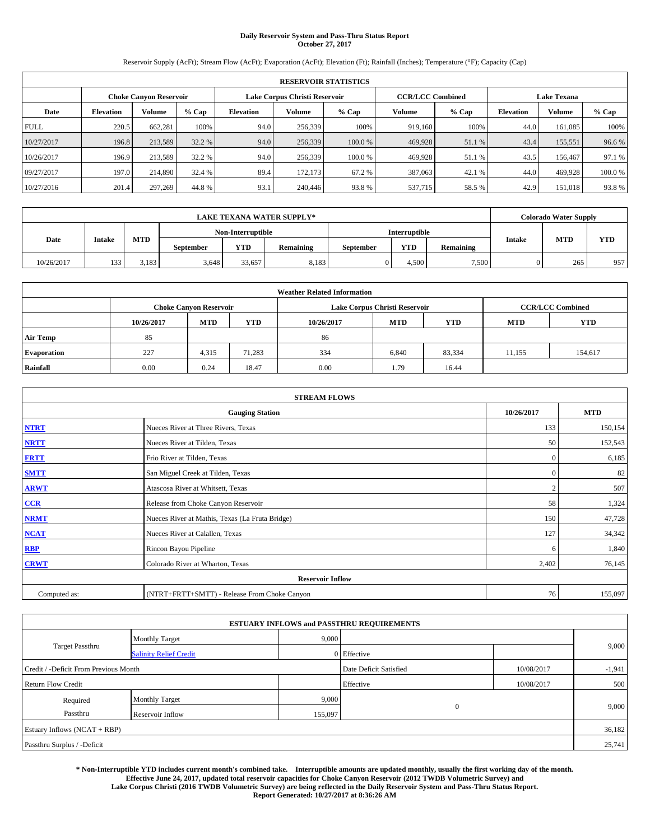# **Daily Reservoir System and Pass-Thru Status Report October 27, 2017**

Reservoir Supply (AcFt); Stream Flow (AcFt); Evaporation (AcFt); Elevation (Ft); Rainfall (Inches); Temperature (°F); Capacity (Cap)

|             | <b>RESERVOIR STATISTICS</b> |         |        |                               |         |        |                         |         |                    |               |        |
|-------------|-----------------------------|---------|--------|-------------------------------|---------|--------|-------------------------|---------|--------------------|---------------|--------|
|             | Choke Canvon Reservoir      |         |        | Lake Corpus Christi Reservoir |         |        | <b>CCR/LCC Combined</b> |         | <b>Lake Texana</b> |               |        |
| Date        | <b>Elevation</b>            | Volume  | % Cap  | Elevation                     | Volume  | % Cap  | Volume                  | $%$ Cap | <b>Elevation</b>   | <b>Volume</b> | % Cap  |
| <b>FULL</b> | 220.5                       | 662,281 | 100%   | 94.0                          | 256,339 | 100%   | 919.160                 | 100%    | 44.0               | 161.085       | 100%   |
| 10/27/2017  | 196.8                       | 213,589 | 32.2 % | 94.0                          | 256,339 | 100.0% | 469,928                 | 51.1 %  | 43.4               | 155,551       | 96.6%  |
| 10/26/2017  | 196.9                       | 213,589 | 32.2 % | 94.0                          | 256,339 | 100.0% | 469.928                 | 51.1 %  | 43.5               | 156,467       | 97.1 % |
| 09/27/2017  | 197.0                       | 214,890 | 32.4 % | 89.4                          | 172,173 | 67.2 % | 387,063                 | 42.1 %  | 44.0               | 469,928       | 100.0% |
| 10/27/2016  | 201.4                       | 297,269 | 44.8%  | 93.1                          | 240,446 | 93.8%  | 537,715                 | 58.5 %  | 42.9               | 151.018       | 93.8%  |

|            | <b>LAKE TEXANA WATER SUPPLY*</b> |       |                  |                   |                  |           |                      |           |               | <b>Colorado Water Supply</b> |            |  |
|------------|----------------------------------|-------|------------------|-------------------|------------------|-----------|----------------------|-----------|---------------|------------------------------|------------|--|
|            |                                  |       |                  | Non-Interruptible |                  |           | <b>Interruptible</b> |           |               |                              |            |  |
| Date       | <b>Intake</b>                    | MTD   | <b>September</b> | <b>YTD</b>        | <b>Remaining</b> | September | <b>YTD</b>           | Remaining | <b>Intake</b> | <b>MTD</b>                   | <b>YTD</b> |  |
| 10/26/2017 | 133                              | 3.183 | 3.648            | 33.657            | 8,183            |           | 4.500                | 7,500     |               | 265                          | 957        |  |

| <b>Weather Related Information</b> |            |                               |            |            |                                        |                         |        |         |  |  |
|------------------------------------|------------|-------------------------------|------------|------------|----------------------------------------|-------------------------|--------|---------|--|--|
|                                    |            | <b>Choke Canyon Reservoir</b> |            |            | Lake Corpus Christi Reservoir          | <b>CCR/LCC Combined</b> |        |         |  |  |
|                                    | 10/26/2017 | <b>MTD</b>                    | <b>YTD</b> | 10/26/2017 | <b>MTD</b><br><b>MTD</b><br><b>YTD</b> |                         |        |         |  |  |
| <b>Air Temp</b>                    | 85         |                               |            | 86         |                                        |                         |        |         |  |  |
| <b>Evaporation</b>                 | 227        | 4,315                         | 71,283     | 334        | 6,840                                  | 83,334                  | 11,155 | 154,617 |  |  |
| Rainfall                           | 0.00       | 0.24                          | 18.47      | 0.00       | 1.79                                   | 16.44                   |        |         |  |  |

| <b>STREAM FLOWS</b> |                                                 |                |            |  |  |  |  |  |  |
|---------------------|-------------------------------------------------|----------------|------------|--|--|--|--|--|--|
|                     | <b>Gauging Station</b>                          | 10/26/2017     | <b>MTD</b> |  |  |  |  |  |  |
| <b>NTRT</b>         | Nueces River at Three Rivers, Texas             | 133            | 150,154    |  |  |  |  |  |  |
| <b>NRTT</b>         | Nueces River at Tilden, Texas                   | 50             | 152,543    |  |  |  |  |  |  |
| <b>FRTT</b>         | Frio River at Tilden, Texas                     | $\mathbf{0}$   | 6,185      |  |  |  |  |  |  |
| <b>SMTT</b>         | San Miguel Creek at Tilden, Texas               | $\mathbf{0}$   | 82         |  |  |  |  |  |  |
| <b>ARWT</b>         | Atascosa River at Whitsett, Texas               | $\overline{2}$ | 507        |  |  |  |  |  |  |
| $CCR$               | Release from Choke Canyon Reservoir             | 58             | 1,324      |  |  |  |  |  |  |
| <b>NRMT</b>         | Nueces River at Mathis, Texas (La Fruta Bridge) | 150            | 47,728     |  |  |  |  |  |  |
| <b>NCAT</b>         | Nueces River at Calallen, Texas                 | 127            | 34,342     |  |  |  |  |  |  |
| RBP                 | Rincon Bayou Pipeline                           | 6              | 1,840      |  |  |  |  |  |  |
| <b>CRWT</b>         | Colorado River at Wharton, Texas                | 2,402          | 76,145     |  |  |  |  |  |  |
|                     | <b>Reservoir Inflow</b>                         |                |            |  |  |  |  |  |  |
| Computed as:        | (NTRT+FRTT+SMTT) - Release From Choke Canyon    | 76             | 155,097    |  |  |  |  |  |  |

|                                       |                               |         | <b>ESTUARY INFLOWS and PASSTHRU REQUIREMENTS</b> |            |          |  |  |  |
|---------------------------------------|-------------------------------|---------|--------------------------------------------------|------------|----------|--|--|--|
|                                       | <b>Monthly Target</b>         | 9,000   |                                                  |            |          |  |  |  |
| Target Passthru                       | <b>Salinity Relief Credit</b> |         | 0 Effective                                      |            | 9,000    |  |  |  |
| Credit / -Deficit From Previous Month |                               |         | Date Deficit Satisfied                           | 10/08/2017 | $-1,941$ |  |  |  |
| <b>Return Flow Credit</b>             |                               |         | Effective                                        | 10/08/2017 | 500      |  |  |  |
| Required                              | <b>Monthly Target</b>         | 9,000   |                                                  |            |          |  |  |  |
| Passthru                              | Reservoir Inflow              | 155,097 | $\mathbf{0}$                                     |            | 9,000    |  |  |  |
| Estuary Inflows (NCAT + RBP)          |                               |         |                                                  |            |          |  |  |  |
| Passthru Surplus / -Deficit           |                               |         |                                                  |            | 25,741   |  |  |  |

**\* Non-Interruptible YTD includes current month's combined take. Interruptible amounts are updated monthly, usually the first working day of the month. Effective June 24, 2017, updated total reservoir capacities for Choke Canyon Reservoir (2012 TWDB Volumetric Survey) and Lake Corpus Christi (2016 TWDB Volumetric Survey) are being reflected in the Daily Reservoir System and Pass-Thru Status Report. Report Generated: 10/27/2017 at 8:36:26 AM**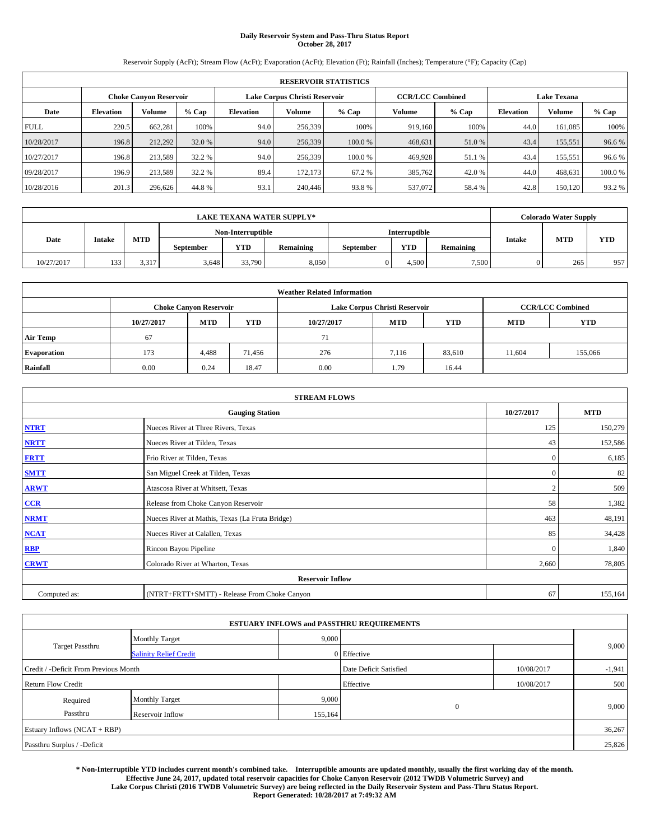## **Daily Reservoir System and Pass-Thru Status Report October 28, 2017**

Reservoir Supply (AcFt); Stream Flow (AcFt); Evaporation (AcFt); Elevation (Ft); Rainfall (Inches); Temperature (°F); Capacity (Cap)

|             | <b>RESERVOIR STATISTICS</b> |                               |         |           |                               |        |                         |         |                  |                    |        |  |
|-------------|-----------------------------|-------------------------------|---------|-----------|-------------------------------|--------|-------------------------|---------|------------------|--------------------|--------|--|
|             |                             | <b>Choke Canyon Reservoir</b> |         |           | Lake Corpus Christi Reservoir |        | <b>CCR/LCC Combined</b> |         |                  | <b>Lake Texana</b> |        |  |
| Date        | <b>Elevation</b>            | Volume                        | $%$ Cap | Elevation | Volume                        | % Cap  | Volume                  | $%$ Cap | <b>Elevation</b> | <b>Volume</b>      | % Cap  |  |
| <b>FULL</b> | 220.5                       | 662,281                       | 100%    | 94.0      | 256,339                       | 100%   | 919.160                 | 100%    | 44.0             | 161.085            | 100%   |  |
| 10/28/2017  | 196.8                       | 212.292                       | 32.0 %  | 94.0      | 256,339                       | 100.0% | 468,631                 | 51.0 %  | 43.4             | 155,551            | 96.6%  |  |
| 10/27/2017  | 196.8                       | 213,589                       | 32.2 %  | 94.0      | 256.339                       | 100.0% | 469,928                 | 51.1 %  | 43.4             | 155,551            | 96.6%  |  |
| 09/28/2017  | 196.9                       | 213,589                       | 32.2 %  | 89.4      | 172,173                       | 67.2 % | 385,762                 | 42.0 %  | 44.0             | 468,631            | 100.0% |  |
| 10/28/2016  | 201.3                       | 296,626                       | 44.8%   | 93.1      | 240,446                       | 93.8%  | 537,072                 | 58.4%   | 42.8             | 150.120            | 93.2 % |  |

| <b>LAKE TEXANA WATER SUPPLY*</b> |                   |       |                  |        |           |                  |               |                  |               | <b>Colorado Water Supply</b> |            |
|----------------------------------|-------------------|-------|------------------|--------|-----------|------------------|---------------|------------------|---------------|------------------------------|------------|
|                                  | Non-Interruptible |       |                  |        |           |                  | Interruptible |                  |               |                              |            |
| Date                             | <b>Intake</b>     | MTD   | <b>September</b> | YTD    | Remaining | <b>September</b> | <b>YTD</b>    | <b>Remaining</b> | <b>Intake</b> | <b>MTD</b>                   | <b>YTD</b> |
| 10/27/2017                       | 133               | 3,317 | 3.648            | 33,790 | 8,050     |                  | 4.500         | 7,500            |               | 265                          | 957        |

| <b>Weather Related Information</b> |            |                               |            |            |                                                      |                         |        |         |  |
|------------------------------------|------------|-------------------------------|------------|------------|------------------------------------------------------|-------------------------|--------|---------|--|
|                                    |            | <b>Choke Canyon Reservoir</b> |            |            | Lake Corpus Christi Reservoir                        | <b>CCR/LCC Combined</b> |        |         |  |
|                                    | 10/27/2017 | <b>MTD</b>                    | <b>YTD</b> | 10/27/2017 | <b>YTD</b><br><b>MTD</b><br><b>MTD</b><br><b>YTD</b> |                         |        |         |  |
| <b>Air Temp</b>                    | 67         |                               |            | 71         |                                                      |                         |        |         |  |
| <b>Evaporation</b>                 | 173        | 4,488                         | 71.456     | 276        | 7,116                                                | 83,610                  | 11,604 | 155,066 |  |
| Rainfall                           | 0.00       | 0.24                          | 18.47      | 0.00       | 1.79                                                 | 16.44                   |        |         |  |

| <b>STREAM FLOWS</b> |                                                 |                |            |  |  |  |  |  |  |
|---------------------|-------------------------------------------------|----------------|------------|--|--|--|--|--|--|
|                     | <b>Gauging Station</b>                          | 10/27/2017     | <b>MTD</b> |  |  |  |  |  |  |
| <b>NTRT</b>         | Nueces River at Three Rivers, Texas             | 125            | 150,279    |  |  |  |  |  |  |
| <b>NRTT</b>         | Nueces River at Tilden, Texas                   | 43             | 152,586    |  |  |  |  |  |  |
| <b>FRTT</b>         | Frio River at Tilden, Texas                     | $\mathbf{0}$   | 6,185      |  |  |  |  |  |  |
| <b>SMTT</b>         | San Miguel Creek at Tilden, Texas               | $\mathbf{0}$   | 82         |  |  |  |  |  |  |
| <b>ARWT</b>         | Atascosa River at Whitsett, Texas               | $\overline{c}$ | 509        |  |  |  |  |  |  |
| CCR                 | Release from Choke Canyon Reservoir             | 58             | 1,382      |  |  |  |  |  |  |
| <b>NRMT</b>         | Nueces River at Mathis, Texas (La Fruta Bridge) | 463            | 48,191     |  |  |  |  |  |  |
| NCAT                | Nueces River at Calallen, Texas                 | 85             | 34,428     |  |  |  |  |  |  |
| <b>RBP</b>          | Rincon Bayou Pipeline                           | $\Omega$       | 1,840      |  |  |  |  |  |  |
| <b>CRWT</b>         | Colorado River at Wharton, Texas                | 2,660          | 78,805     |  |  |  |  |  |  |
|                     | <b>Reservoir Inflow</b>                         |                |            |  |  |  |  |  |  |
| Computed as:        | (NTRT+FRTT+SMTT) - Release From Choke Canyon    | 67             | 155,164    |  |  |  |  |  |  |

|                                       |                               |         | <b>ESTUARY INFLOWS and PASSTHRU REQUIREMENTS</b> |            |          |  |  |  |
|---------------------------------------|-------------------------------|---------|--------------------------------------------------|------------|----------|--|--|--|
|                                       | <b>Monthly Target</b>         | 9,000   |                                                  |            |          |  |  |  |
| Target Passthru                       | <b>Salinity Relief Credit</b> |         | 0 Effective                                      |            | 9,000    |  |  |  |
| Credit / -Deficit From Previous Month |                               |         | Date Deficit Satisfied                           | 10/08/2017 | $-1,941$ |  |  |  |
| <b>Return Flow Credit</b>             |                               |         | Effective                                        | 10/08/2017 | 500      |  |  |  |
| Required                              | <b>Monthly Target</b>         | 9,000   |                                                  |            |          |  |  |  |
| Passthru                              | Reservoir Inflow              | 155,164 | $\overline{0}$                                   |            | 9,000    |  |  |  |
| Estuary Inflows (NCAT + RBP)          |                               |         |                                                  |            |          |  |  |  |
| Passthru Surplus / -Deficit           |                               |         |                                                  |            |          |  |  |  |

**\* Non-Interruptible YTD includes current month's combined take. Interruptible amounts are updated monthly, usually the first working day of the month. Effective June 24, 2017, updated total reservoir capacities for Choke Canyon Reservoir (2012 TWDB Volumetric Survey) and Lake Corpus Christi (2016 TWDB Volumetric Survey) are being reflected in the Daily Reservoir System and Pass-Thru Status Report. Report Generated: 10/28/2017 at 7:49:32 AM**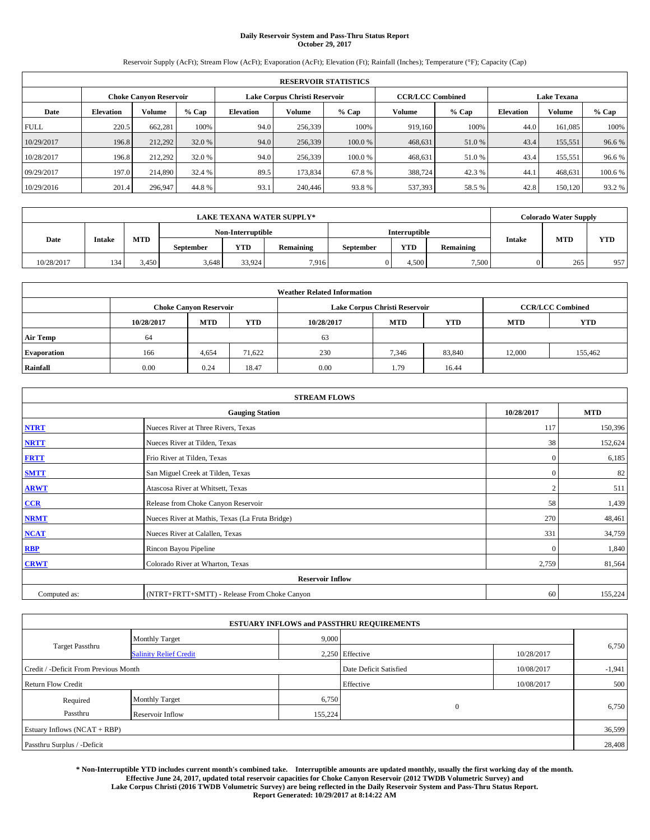# **Daily Reservoir System and Pass-Thru Status Report October 29, 2017**

Reservoir Supply (AcFt); Stream Flow (AcFt); Evaporation (AcFt); Elevation (Ft); Rainfall (Inches); Temperature (°F); Capacity (Cap)

|             | <b>RESERVOIR STATISTICS</b> |                               |         |                  |                               |         |                         |         |                  |                    |         |  |
|-------------|-----------------------------|-------------------------------|---------|------------------|-------------------------------|---------|-------------------------|---------|------------------|--------------------|---------|--|
|             |                             | <b>Choke Canyon Reservoir</b> |         |                  | Lake Corpus Christi Reservoir |         | <b>CCR/LCC Combined</b> |         |                  | <b>Lake Texana</b> |         |  |
| Date        | <b>Elevation</b>            | Volume                        | $%$ Cap | <b>Elevation</b> | Volume                        | % Cap   | Volume                  | $%$ Cap | <b>Elevation</b> | <b>Volume</b>      | $%$ Cap |  |
| <b>FULL</b> | 220.5                       | 662,281                       | 100%    | 94.0             | 256,339                       | 100%    | 919.160                 | 100%    | 44.0             | 161.085            | 100%    |  |
| 10/29/2017  | 196.8                       | 212,292                       | 32.0 %  | 94.0             | 256,339                       | 100.0%  | 468,631                 | 51.0 %  | 43.4             | 155,551            | 96.6%   |  |
| 10/28/2017  | 196.8                       | 212.292                       | 32.0 %  | 94.0             | 256,339                       | 100.0 % | 468.631                 | 51.0 %  | 43.4             | 155.551            | 96.6%   |  |
| 09/29/2017  | 197.0                       | 214,890                       | 32.4 %  | 89.5             | 173,834                       | 67.8%   | 388,724                 | 42.3%   | 44.1             | 468,631            | 100.6%  |  |
| 10/29/2016  | 201.4                       | 296,947                       | 44.8%   | 93.1             | 240,446                       | 93.8%   | 537,393                 | 58.5 %  | 42.8             | 150.120            | 93.2 %  |  |

| <b>LAKE TEXANA WATER SUPPLY*</b> |               |            |                  |                   |           |                  |               |                  |               | <b>Colorado Water Supply</b> |            |
|----------------------------------|---------------|------------|------------------|-------------------|-----------|------------------|---------------|------------------|---------------|------------------------------|------------|
|                                  |               |            |                  | Non-Interruptible |           |                  | Interruptible |                  |               | <b>MTD</b>                   |            |
| Date                             | <b>Intake</b> | <b>MTD</b> | <b>September</b> | <b>YTD</b>        | Remaining | <b>September</b> | <b>YTD</b>    | <b>Remaining</b> | <b>Intake</b> |                              | <b>YTD</b> |
| 10/28/2017                       | 134           | 3.450      | 3.648            | 33.924            | 7.916     |                  | 4,500         | 7,500            |               | 265                          | 957        |

| <b>Weather Related Information</b> |            |                               |            |            |                                        |                         |        |         |  |  |
|------------------------------------|------------|-------------------------------|------------|------------|----------------------------------------|-------------------------|--------|---------|--|--|
|                                    |            | <b>Choke Canyon Reservoir</b> |            |            | Lake Corpus Christi Reservoir          | <b>CCR/LCC Combined</b> |        |         |  |  |
|                                    | 10/28/2017 | <b>MTD</b>                    | <b>YTD</b> | 10/28/2017 | <b>MTD</b><br><b>YTD</b><br><b>MTD</b> |                         |        |         |  |  |
| <b>Air Temp</b>                    | 64         |                               |            | 63         |                                        |                         |        |         |  |  |
| <b>Evaporation</b>                 | 166        | 4,654                         | 71,622     | 230        | 7,346                                  | 83,840                  | 12,000 | 155,462 |  |  |
| Rainfall                           | 0.00       | 0.24                          | 18.47      | 0.00       | 1.79                                   | 16.44                   |        |         |  |  |

| <b>STREAM FLOWS</b> |                                                 |                |            |  |  |  |  |  |  |
|---------------------|-------------------------------------------------|----------------|------------|--|--|--|--|--|--|
|                     | <b>Gauging Station</b>                          | 10/28/2017     | <b>MTD</b> |  |  |  |  |  |  |
| <b>NTRT</b>         | Nueces River at Three Rivers, Texas             | 117            | 150,396    |  |  |  |  |  |  |
| <b>NRTT</b>         | Nueces River at Tilden, Texas                   | 38             | 152,624    |  |  |  |  |  |  |
| <b>FRTT</b>         | Frio River at Tilden, Texas                     | $\mathbf{0}$   | 6,185      |  |  |  |  |  |  |
| <b>SMTT</b>         | San Miguel Creek at Tilden, Texas               | $\bf{0}$       | 82         |  |  |  |  |  |  |
| <b>ARWT</b>         | Atascosa River at Whitsett, Texas               | $\overline{2}$ | 511        |  |  |  |  |  |  |
| CCR                 | Release from Choke Canyon Reservoir             | 58             | 1,439      |  |  |  |  |  |  |
| <b>NRMT</b>         | Nueces River at Mathis, Texas (La Fruta Bridge) | 270            | 48,461     |  |  |  |  |  |  |
| <b>NCAT</b>         | Nueces River at Calallen, Texas                 | 331            | 34,759     |  |  |  |  |  |  |
| <b>RBP</b>          | Rincon Bayou Pipeline                           | $\bf{0}$       | 1,840      |  |  |  |  |  |  |
| <b>CRWT</b>         | Colorado River at Wharton, Texas                | 2,759          | 81,564     |  |  |  |  |  |  |
|                     |                                                 |                |            |  |  |  |  |  |  |
| Computed as:        | (NTRT+FRTT+SMTT) - Release From Choke Canyon    | 60             | 155,224    |  |  |  |  |  |  |

| <b>ESTUARY INFLOWS and PASSTHRU REQUIREMENTS</b> |                               |         |                        |            |          |  |  |  |  |  |
|--------------------------------------------------|-------------------------------|---------|------------------------|------------|----------|--|--|--|--|--|
|                                                  | <b>Monthly Target</b>         | 9,000   |                        |            |          |  |  |  |  |  |
| Target Passthru                                  | <b>Salinity Relief Credit</b> |         | 2,250 Effective        | 10/28/2017 | 6,750    |  |  |  |  |  |
| Credit / -Deficit From Previous Month            |                               |         | Date Deficit Satisfied | 10/08/2017 | $-1,941$ |  |  |  |  |  |
| <b>Return Flow Credit</b>                        |                               |         | Effective              | 10/08/2017 | 500      |  |  |  |  |  |
| Required                                         | <b>Monthly Target</b>         | 6,750   |                        |            |          |  |  |  |  |  |
| Passthru                                         | Reservoir Inflow              | 155,224 | $\overline{0}$         |            | 6,750    |  |  |  |  |  |
|                                                  | Estuary Inflows (NCAT + RBP)  |         |                        |            |          |  |  |  |  |  |
| Passthru Surplus / -Deficit                      |                               |         |                        |            | 28,408   |  |  |  |  |  |

**\* Non-Interruptible YTD includes current month's combined take. Interruptible amounts are updated monthly, usually the first working day of the month. Effective June 24, 2017, updated total reservoir capacities for Choke Canyon Reservoir (2012 TWDB Volumetric Survey) and Lake Corpus Christi (2016 TWDB Volumetric Survey) are being reflected in the Daily Reservoir System and Pass-Thru Status Report. Report Generated: 10/29/2017 at 8:14:22 AM**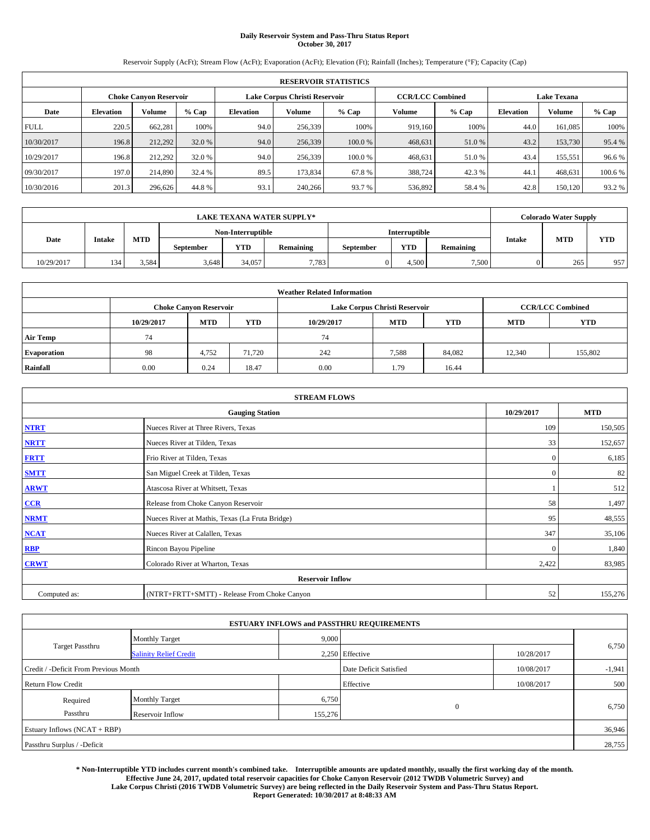# **Daily Reservoir System and Pass-Thru Status Report October 30, 2017**

Reservoir Supply (AcFt); Stream Flow (AcFt); Evaporation (AcFt); Elevation (Ft); Rainfall (Inches); Temperature (°F); Capacity (Cap)

|             | <b>RESERVOIR STATISTICS</b> |                               |         |           |                               |        |                         |         |                    |               |        |  |
|-------------|-----------------------------|-------------------------------|---------|-----------|-------------------------------|--------|-------------------------|---------|--------------------|---------------|--------|--|
|             |                             | <b>Choke Canyon Reservoir</b> |         |           | Lake Corpus Christi Reservoir |        | <b>CCR/LCC Combined</b> |         | <b>Lake Texana</b> |               |        |  |
| Date        | <b>Elevation</b>            | Volume                        | $%$ Cap | Elevation | Volume                        | % Cap  | Volume                  | $%$ Cap | <b>Elevation</b>   | <b>Volume</b> | % Cap  |  |
| <b>FULL</b> | 220.5                       | 662,281                       | 100%    | 94.0      | 256,339                       | 100%   | 919.160                 | 100%    | 44.0               | 161.085       | 100%   |  |
| 10/30/2017  | 196.8                       | 212.292                       | 32.0 %  | 94.0      | 256,339                       | 100.0% | 468,631                 | 51.0 %  | 43.2               | 153,730       | 95.4 % |  |
| 10/29/2017  | 196.8                       | 212.292                       | 32.0 %  | 94.0      | 256.339                       | 100.0% | 468,631                 | 51.0 %  | 43.4               | 155,551       | 96.6%  |  |
| 09/30/2017  | 197.0                       | 214,890                       | 32.4 %  | 89.5      | 173,834                       | 67.8%  | 388,724                 | 42.3 %  | 44.1               | 468,631       | 100.6% |  |
| 10/30/2016  | 201.3                       | 296,626                       | 44.8%   | 93.1      | 240,266                       | 93.7 % | 536,892                 | 58.4%   | 42.8               | 150.120       | 93.2 % |  |

|            |               |       |                   |        | <b>LAKE TEXANA WATER SUPPLY*</b> |                  |            |                  |               | <b>Colorado Water Supply</b> |            |
|------------|---------------|-------|-------------------|--------|----------------------------------|------------------|------------|------------------|---------------|------------------------------|------------|
|            |               |       | Non-Interruptible |        |                                  | Interruptible    |            |                  |               |                              |            |
| Date       | <b>Intake</b> | MTD   | <b>September</b>  | YTD    | Remaining                        | <b>September</b> | <b>YTD</b> | <b>Remaining</b> | <b>Intake</b> | <b>MTD</b>                   | <b>YTD</b> |
| 10/29/2017 | 134           | 3,584 | 3.648             | 34,057 | 7,783                            |                  | 4.500      | 7,500            |               | 265                          | 957        |

| <b>Weather Related Information</b> |            |                               |            |            |                               |                         |            |            |  |  |  |
|------------------------------------|------------|-------------------------------|------------|------------|-------------------------------|-------------------------|------------|------------|--|--|--|
|                                    |            | <b>Choke Canyon Reservoir</b> |            |            | Lake Corpus Christi Reservoir | <b>CCR/LCC Combined</b> |            |            |  |  |  |
|                                    | 10/29/2017 | <b>MTD</b>                    | <b>YTD</b> | 10/29/2017 | <b>MTD</b>                    | <b>YTD</b>              | <b>MTD</b> | <b>YTD</b> |  |  |  |
| <b>Air Temp</b>                    | 74         |                               |            | 74         |                               |                         |            |            |  |  |  |
| <b>Evaporation</b>                 | 98         | 4,752                         | 71.720     | 242        | 7,588                         | 84,082                  | 12,340     | 155,802    |  |  |  |
| Rainfall                           | 0.00       | 0.24                          | 18.47      | 0.00       | 1.79                          | 16.44                   |            |            |  |  |  |

| <b>STREAM FLOWS</b> |                                                 |              |         |  |  |  |  |  |  |
|---------------------|-------------------------------------------------|--------------|---------|--|--|--|--|--|--|
|                     | <b>Gauging Station</b>                          |              |         |  |  |  |  |  |  |
| <b>NTRT</b>         | Nueces River at Three Rivers, Texas             | 109          | 150,505 |  |  |  |  |  |  |
| <b>NRTT</b>         | Nueces River at Tilden, Texas                   | 33           | 152,657 |  |  |  |  |  |  |
| <b>FRTT</b>         | Frio River at Tilden, Texas                     | $\mathbf{0}$ | 6,185   |  |  |  |  |  |  |
| <b>SMTT</b>         | San Miguel Creek at Tilden, Texas               | $\mathbf{0}$ | 82      |  |  |  |  |  |  |
| <b>ARWT</b>         | Atascosa River at Whitsett, Texas               |              | 512     |  |  |  |  |  |  |
| $CCR$               | Release from Choke Canyon Reservoir             | 58           | 1,497   |  |  |  |  |  |  |
| <b>NRMT</b>         | Nueces River at Mathis, Texas (La Fruta Bridge) | 95           | 48,555  |  |  |  |  |  |  |
| <b>NCAT</b>         | Nueces River at Calallen, Texas                 | 347          | 35,106  |  |  |  |  |  |  |
| RBP                 | Rincon Bayou Pipeline                           | $\Omega$     | 1,840   |  |  |  |  |  |  |
| <b>CRWT</b>         | Colorado River at Wharton, Texas                | 2,422        | 83,985  |  |  |  |  |  |  |
|                     | <b>Reservoir Inflow</b>                         |              |         |  |  |  |  |  |  |
| Computed as:        | (NTRT+FRTT+SMTT) - Release From Choke Canyon    |              |         |  |  |  |  |  |  |

| <b>ESTUARY INFLOWS and PASSTHRU REQUIREMENTS</b> |                               |         |                        |            |          |  |  |  |  |  |
|--------------------------------------------------|-------------------------------|---------|------------------------|------------|----------|--|--|--|--|--|
|                                                  | <b>Monthly Target</b>         | 9,000   |                        |            |          |  |  |  |  |  |
| Target Passthru                                  | <b>Salinity Relief Credit</b> |         | 2,250 Effective        | 10/28/2017 | 6,750    |  |  |  |  |  |
| Credit / -Deficit From Previous Month            |                               |         | Date Deficit Satisfied | 10/08/2017 | $-1,941$ |  |  |  |  |  |
| <b>Return Flow Credit</b>                        |                               |         | Effective              | 10/08/2017 | 500      |  |  |  |  |  |
| Required                                         | <b>Monthly Target</b>         | 6,750   |                        |            |          |  |  |  |  |  |
| Passthru                                         | Reservoir Inflow              | 155,276 | $\mathbf{0}$           |            | 6,750    |  |  |  |  |  |
| Estuary Inflows (NCAT + RBP)                     |                               |         |                        |            |          |  |  |  |  |  |
| Passthru Surplus / -Deficit                      |                               |         |                        |            | 28,755   |  |  |  |  |  |

**\* Non-Interruptible YTD includes current month's combined take. Interruptible amounts are updated monthly, usually the first working day of the month. Effective June 24, 2017, updated total reservoir capacities for Choke Canyon Reservoir (2012 TWDB Volumetric Survey) and Lake Corpus Christi (2016 TWDB Volumetric Survey) are being reflected in the Daily Reservoir System and Pass-Thru Status Report. Report Generated: 10/30/2017 at 8:48:33 AM**